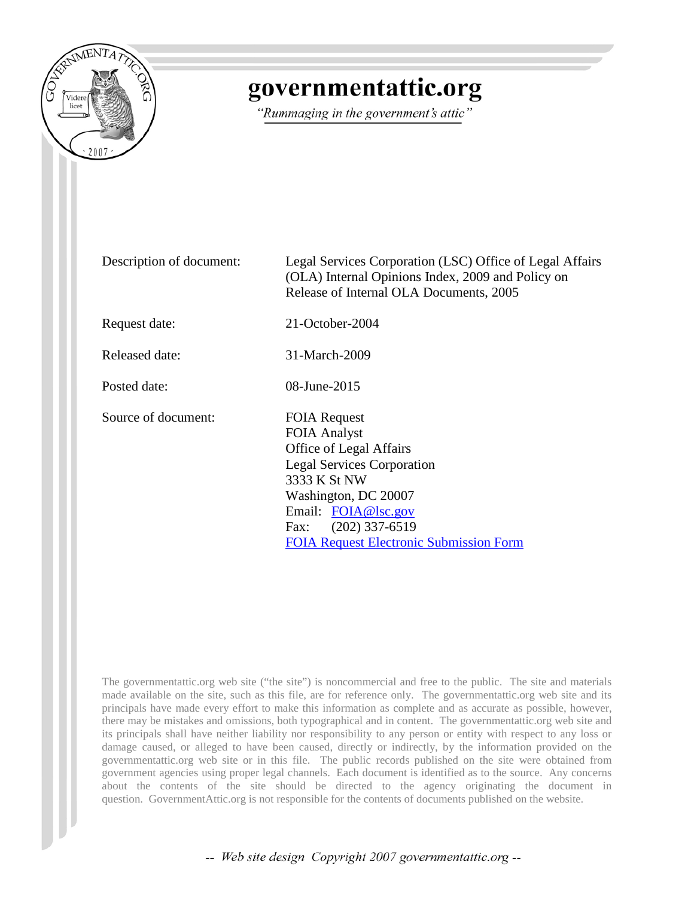

# governmentattic.org

"Rummaging in the government's attic"

Description of document: Legal Services Corporation (LSC) Office of Legal Affairs (OLA) Internal Opinions Index, 2009 and Policy on Release of Internal OLA Documents, 2005

Request date: 21-October-2004

Released date: 31-March-2009

Posted date: 08-June-2015

Source of document: FOIA Request

FOIA Analyst Office of Legal Affairs Legal Services Corporation 3333 K St NW Washington, DC 20007 Email: [FOIA@lsc.gov](mailto:FOIA@lsc.gov?subject=FOIA%20Request) Fax: (202) 337-6519 [FOIA Request Electronic Submission Form](http://www.lsc.gov/about/foia/overview/foia-electronic-submission)

The governmentattic.org web site ("the site") is noncommercial and free to the public. The site and materials made available on the site, such as this file, are for reference only. The governmentattic.org web site and its principals have made every effort to make this information as complete and as accurate as possible, however, there may be mistakes and omissions, both typographical and in content. The governmentattic.org web site and its principals shall have neither liability nor responsibility to any person or entity with respect to any loss or damage caused, or alleged to have been caused, directly or indirectly, by the information provided on the governmentattic.org web site or in this file. The public records published on the site were obtained from government agencies using proper legal channels. Each document is identified as to the source. Any concerns about the contents of the site should be directed to the agency originating the document in question. GovernmentAttic.org is not responsible for the contents of documents published on the website.

-- Web site design Copyright 2007 governmentattic.org --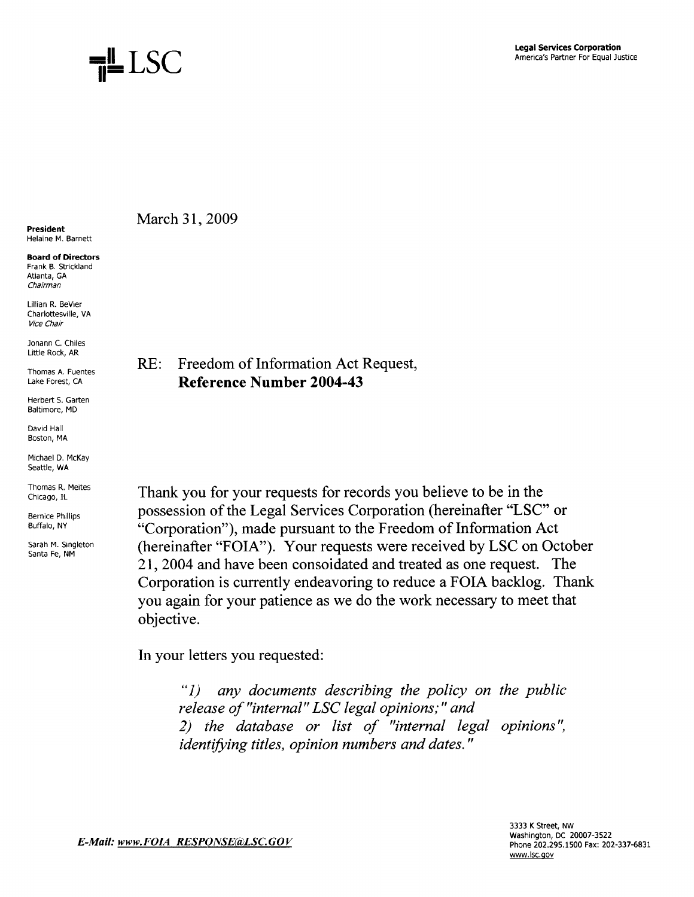

#### President Helaine M. Barnett

Board of Directors Frank B. Strickland Atlanta, GA Chairman

Lillian R. BeVier Charlottesville, VA Vice Chair

Jonann C. Chiles Little Rock, AR

Thomas A. Fuentes Lake Forest, CA

Herbert S. Garten Baltimore, MD

David Hall Boston, MA

Michael D. McKay Seattle, WA

Thomas R. Meites Chicago, IL

Bernice Phillips Buffalo, NY Sarah M. Singleton

Santa Fe, NM

March 31, 2009

### RE: Freedom of Information Act Request, **Reference Number 2004-43**

Thank you for your requests for records you believe to be in the possession of the Legal Services Corporation (hereinafter "LSC" or "Corporation"), made pursuant to the Freedom of Information Act (hereinafter "FOIA"). Your requests were received by LSC on October 21, 2004 and have been consoidated and treated as one request. The Corporation is currently endeavoring to reduce a FOIA backlog. Thank you again for your patience as we do the work necessary to meet that objective.

In your letters you requested:

"1) *any documents describing the policy on the public release of "internal" LSC legal opinions;" and 2) the database or list of "internal legal opinions* ", *identifying titles, opinion numbers and dates.* "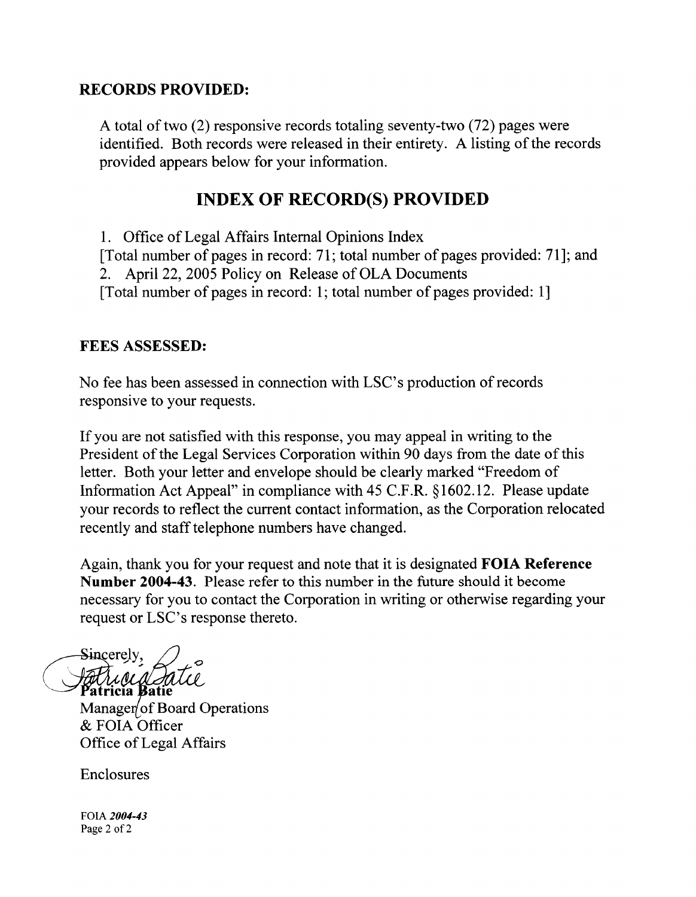#### **RECORDS PROVIDED:**

A total of two (2) responsive records totaling seventy-two (72) pages were identified. Both records were released in their entirety. A listing of the records provided appears below for your information.

# **INDEX OF RECORD(S) PROVIDED**

1. Office of Legal Affairs Internal Opinions Index [Total number of pages in record: 71; total number of pages provided: 71]; and 2. April 22, 2005 Policy on Release of OLA Documents [Total number of pages in record: 1; total number of pages provided: l]

#### **FEES ASSESSED:**

No fee has been assessed in connection with LSC's production of records responsive to your requests.

If you are not satisfied with this response, you may appeal in writing to the President of the Legal Services Corporation within 90 days from the date of this letter. Both your letter and envelope should be clearly marked "Freedom of Information Act Appeal" in compliance with 45 C.F.R. §1602.12. Please update your records to reflect the current contact information, as the Corporation relocated recently and staff telephone numbers have changed.

Again, thank you for your request and note that it is designated **FOIA Reference Number 2004-43.** Please refer to this number in the future should it become necessary for you to contact the Corporation in writing or otherwise regarding your request or LSC's response thereto.

Sincerely. *<u>Stattulud du</u>*<br>Patricia Batie

Manager of Board Operations & FOIA Officer Office of Legal Affairs

Enclosures

FOIA *2004-43*  Page 2 of 2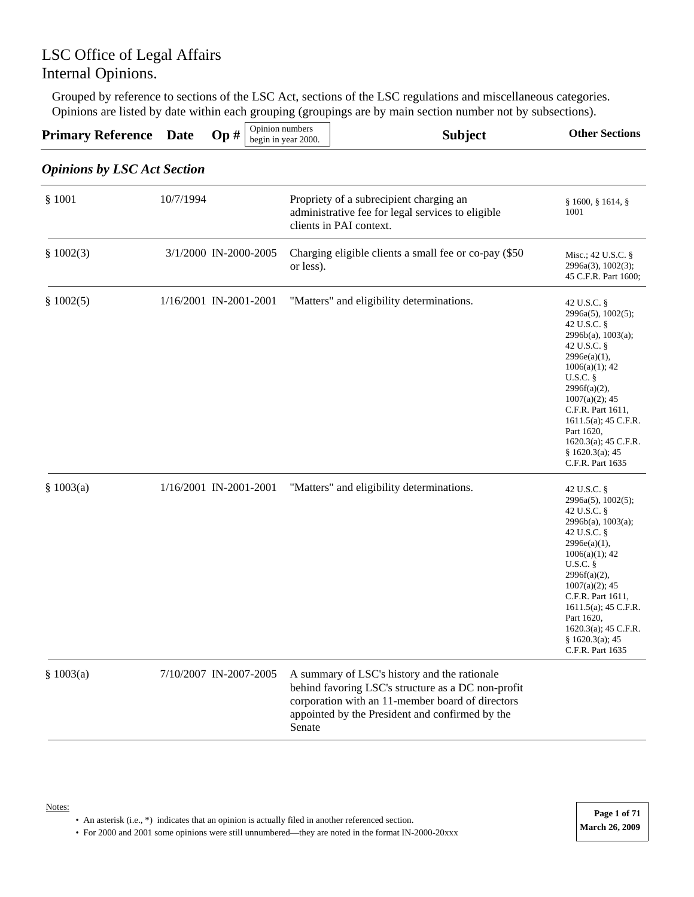Grouped by reference to sections of the LSC Act, sections of the LSC regulations and miscellaneous categories. Opinions are listed by date within each grouping (groupings are by main section number not by subsections).

| <b>Primary Reference</b> Date $\text{Op } H \big _{\text{begin in year 2000.}}$ |  |  | .<br>Opinion numbers |  | <b>Subject</b> | <b>Other Sections</b> |
|---------------------------------------------------------------------------------|--|--|----------------------|--|----------------|-----------------------|
|                                                                                 |  |  |                      |  |                |                       |

#### *Opinions by LSC Act Section*

| \$1001    | 10/7/1994              | Propriety of a subrecipient charging an<br>administrative fee for legal services to eligible<br>clients in PAI context.                                                                                             | § 1600, § 1614, §<br>1001                                                                                                                                                                                                                                                                                           |
|-----------|------------------------|---------------------------------------------------------------------------------------------------------------------------------------------------------------------------------------------------------------------|---------------------------------------------------------------------------------------------------------------------------------------------------------------------------------------------------------------------------------------------------------------------------------------------------------------------|
| \$1002(3) | 3/1/2000 IN-2000-2005  | Charging eligible clients a small fee or co-pay (\$50<br>or less).                                                                                                                                                  | Misc.; 42 U.S.C. $\S$<br>2996a(3), 1002(3);<br>45 C.F.R. Part 1600;                                                                                                                                                                                                                                                 |
| \$1002(5) | 1/16/2001 IN-2001-2001 | "Matters" and eligibility determinations.                                                                                                                                                                           | 42 U.S.C. §<br>2996a(5), 1002(5);<br>42 U.S.C. §<br>2996b(a), 1003(a);<br>42 U.S.C. §<br>$2996e(a)(1)$ ,<br>$1006(a)(1)$ ; 42<br>$U.S.C.$ §<br>$2996f(a)(2)$ ,<br>$1007(a)(2)$ ; 45<br>C.F.R. Part 1611,<br>$1611.5(a)$ ; 45 C.F.R.<br>Part 1620,<br>$1620.3(a)$ ; 45 C.F.R.<br>§ 1620.3(a); 45<br>C.F.R. Part 1635 |
| \$1003(a) | 1/16/2001 IN-2001-2001 | "Matters" and eligibility determinations.                                                                                                                                                                           | 42 U.S.C. §<br>2996a(5), 1002(5);<br>42 U.S.C. §<br>2996b(a), 1003(a);<br>42 U.S.C. §<br>2996e(a)(1),<br>$1006(a)(1)$ ; 42<br>$U.S.C.$ §<br>$2996f(a)(2)$ ,<br>$1007(a)(2)$ ; 45<br>C.F.R. Part 1611,<br>$1611.5(a)$ ; 45 C.F.R.<br>Part 1620,<br>$1620.3(a)$ ; 45 C.F.R.<br>§ 1620.3(a); 45<br>C.F.R. Part 1635    |
| \$1003(a) | 7/10/2007 IN-2007-2005 | A summary of LSC's history and the rationale<br>behind favoring LSC's structure as a DC non-profit<br>corporation with an 11-member board of directors<br>appointed by the President and confirmed by the<br>Senate |                                                                                                                                                                                                                                                                                                                     |

Notes:

• An asterisk (i.e., \*) indicates that an opinion is actually filed in another referenced section.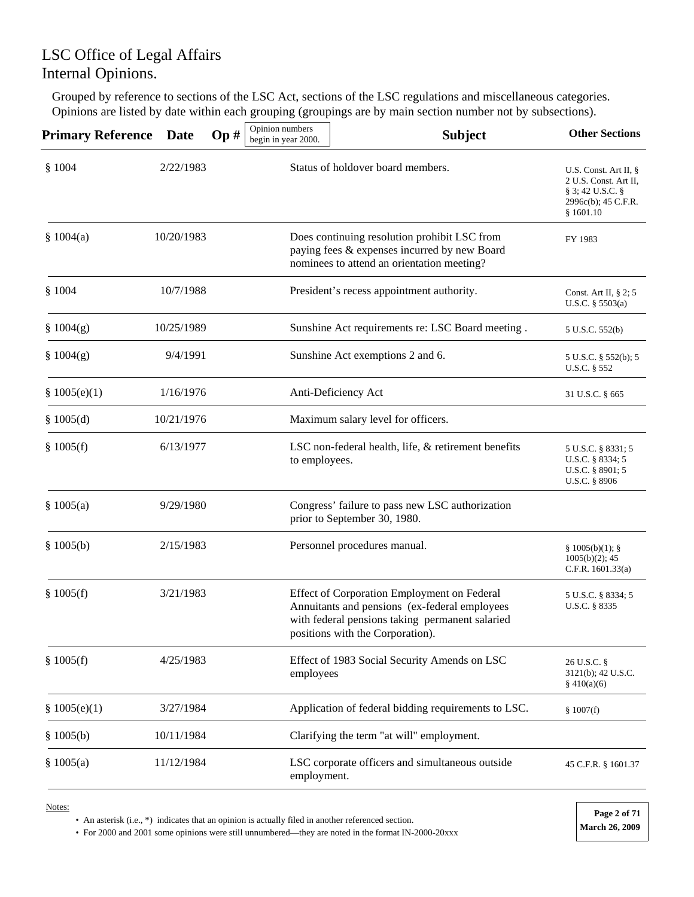Grouped by reference to sections of the LSC Act, sections of the LSC regulations and miscellaneous categories. Opinions are listed by date within each grouping (groupings are by main section number not by subsections).

| <b>Primary Reference</b> | Date       | Op# | Opinion numbers<br>begin in year 2000.    | <b>Subject</b>                                                                                                                                                                      | <b>Other Sections</b>                                                                                           |
|--------------------------|------------|-----|-------------------------------------------|-------------------------------------------------------------------------------------------------------------------------------------------------------------------------------------|-----------------------------------------------------------------------------------------------------------------|
| \$1004                   | 2/22/1983  |     |                                           | Status of holdover board members.                                                                                                                                                   | U.S. Const. Art II, $\S$<br>2 U.S. Const. Art II,<br>$\S$ 3; 42 U.S.C. $\S$<br>2996c(b); 45 C.F.R.<br>§ 1601.10 |
| \$1004(a)                | 10/20/1983 |     |                                           | Does continuing resolution prohibit LSC from<br>paying fees & expenses incurred by new Board<br>nominees to attend an orientation meeting?                                          | FY 1983                                                                                                         |
| \$1004                   | 10/7/1988  |     | President's recess appointment authority. | Const. Art II, $\S$ 2; 5<br>U.S.C. $\S 5503(a)$                                                                                                                                     |                                                                                                                 |
| \$1004(g)                | 10/25/1989 |     |                                           | Sunshine Act requirements re: LSC Board meeting.                                                                                                                                    | 5 U.S.C. 552(b)                                                                                                 |
| \$1004(g)                | 9/4/1991   |     |                                           | Sunshine Act exemptions 2 and 6.                                                                                                                                                    | 5 U.S.C. § 552(b); 5<br>U.S.C. § 552                                                                            |
| \$1005(e)(1)             | 1/16/1976  |     |                                           | Anti-Deficiency Act                                                                                                                                                                 | 31 U.S.C. § 665                                                                                                 |
| § $1005(d)$              | 10/21/1976 |     |                                           | Maximum salary level for officers.                                                                                                                                                  |                                                                                                                 |
| \$1005(f)                | 6/13/1977  |     | to employees.                             | LSC non-federal health, life, & retirement benefits                                                                                                                                 | 5 U.S.C. § 8331; 5<br>U.S.C. § 8334; 5<br>U.S.C. § 8901; 5<br>U.S.C. § 8906                                     |
| \$1005(a)                | 9/29/1980  |     |                                           | Congress' failure to pass new LSC authorization<br>prior to September 30, 1980.                                                                                                     |                                                                                                                 |
| \$1005(b)                | 2/15/1983  |     |                                           | Personnel procedures manual.                                                                                                                                                        | § 1005(b)(1);<br>$1005(b)(2)$ ; 45<br>C.F.R. $1601.33(a)$                                                       |
| \$1005(f)                | 3/21/1983  |     |                                           | Effect of Corporation Employment on Federal<br>Annuitants and pensions (ex-federal employees<br>with federal pensions taking permanent salaried<br>positions with the Corporation). | 5 U.S.C. § 8334; 5<br>U.S.C. § 8335                                                                             |
| \$1005(f)                | 4/25/1983  |     | employees                                 | Effect of 1983 Social Security Amends on LSC                                                                                                                                        | 26 U.S.C. §<br>3121(b); 42 U.S.C.<br>\$410(a)(6)                                                                |
| \$1005(e)(1)             | 3/27/1984  |     |                                           | Application of federal bidding requirements to LSC.                                                                                                                                 | \$1007(f)                                                                                                       |
| \$1005(b)                | 10/11/1984 |     |                                           | Clarifying the term "at will" employment.                                                                                                                                           |                                                                                                                 |
| \$1005(a)                | 11/12/1984 |     | employment.                               | LSC corporate officers and simultaneous outside                                                                                                                                     | 45 C.F.R. § 1601.37                                                                                             |

Notes:

• An asterisk (i.e., \*) indicates that an opinion is actually filed in another referenced section.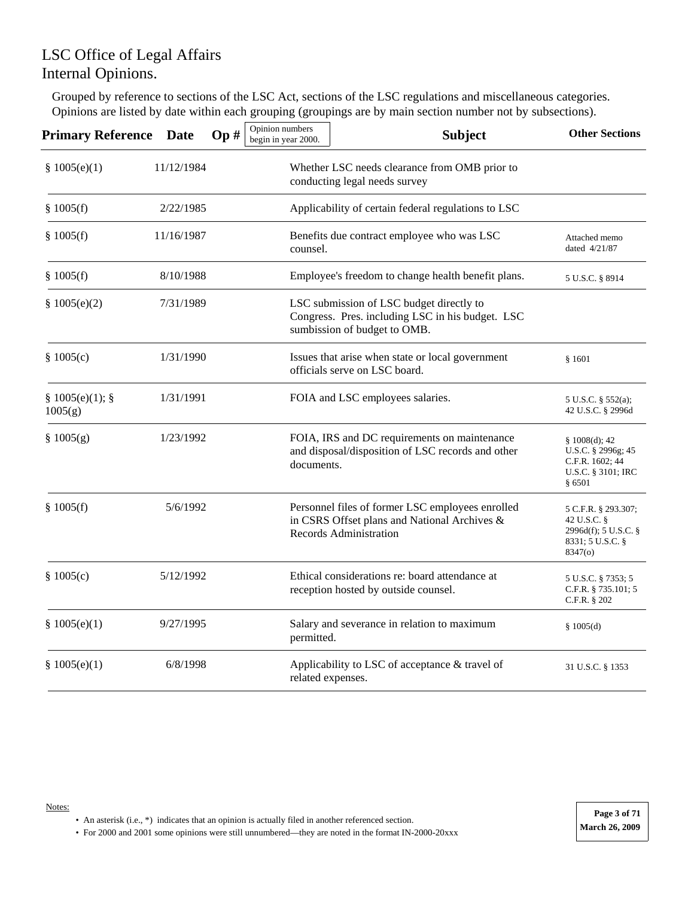Grouped by reference to sections of the LSC Act, sections of the LSC regulations and miscellaneous categories. Opinions are listed by date within each grouping (groupings are by main section number not by subsections).

| <b>Primary Reference</b> | <b>Date</b> | Op# | Opinion numbers<br>begin in year 2000. | <b>Subject</b>                                                                                                                    | <b>Other Sections</b>                                                                     |
|--------------------------|-------------|-----|----------------------------------------|-----------------------------------------------------------------------------------------------------------------------------------|-------------------------------------------------------------------------------------------|
| \$1005(e)(1)             | 11/12/1984  |     |                                        | Whether LSC needs clearance from OMB prior to<br>conducting legal needs survey                                                    |                                                                                           |
| \$1005(f)                | 2/22/1985   |     |                                        | Applicability of certain federal regulations to LSC                                                                               |                                                                                           |
| \$1005(f)                | 11/16/1987  |     | counsel.                               | Benefits due contract employee who was LSC                                                                                        | Attached memo<br>dated 4/21/87                                                            |
| \$1005(f)                | 8/10/1988   |     |                                        | Employee's freedom to change health benefit plans.                                                                                | 5 U.S.C. § 8914                                                                           |
| \$1005(e)(2)             | 7/31/1989   |     |                                        | LSC submission of LSC budget directly to<br>Congress. Pres. including LSC in his budget. LSC<br>sumbission of budget to OMB.      |                                                                                           |
| \$1005(c)                | 1/31/1990   |     |                                        | Issues that arise when state or local government<br>officials serve on LSC board.                                                 | \$1601                                                                                    |
| § 1005(e)(1);<br>1005(g) | 1/31/1991   |     |                                        | FOIA and LSC employees salaries.                                                                                                  | 5 U.S.C. § 552(a);<br>42 U.S.C. § 2996d                                                   |
| \$1005(g)                | 1/23/1992   |     | documents.                             | FOIA, IRS and DC requirements on maintenance<br>and disposal/disposition of LSC records and other                                 | \$1008(d); 42<br>U.S.C. § 2996g; 45<br>C.F.R. 1602; 44<br>U.S.C. § 3101; IRC<br>§ 6501    |
| \$1005(f)                | 5/6/1992    |     |                                        | Personnel files of former LSC employees enrolled<br>in CSRS Offset plans and National Archives &<br><b>Records Administration</b> | 5 C.F.R. § 293.307;<br>42 U.S.C. §<br>2996d(f); 5 U.S.C. §<br>8331; 5 U.S.C. §<br>8347(o) |
| \$1005(c)                | 5/12/1992   |     |                                        | Ethical considerations re: board attendance at<br>reception hosted by outside counsel.                                            | 5 U.S.C. § 7353; 5<br>C.F.R. § 735.101; 5<br>C.F.R. $§ 202$                               |
| \$1005(e)(1)             | 9/27/1995   |     | permitted.                             | Salary and severance in relation to maximum                                                                                       | \$1005(d)                                                                                 |
| § $1005(e)(1)$           | 6/8/1998    |     | related expenses.                      | Applicability to LSC of acceptance & travel of                                                                                    | 31 U.S.C. § 1353                                                                          |

#### Notes:

- An asterisk (i.e., \*) indicates that an opinion is actually filed in another referenced section.
- For 2000 and 2001 some opinions were still unnumbered—they are noted in the format IN-2000-20xxx **March 26, 2009**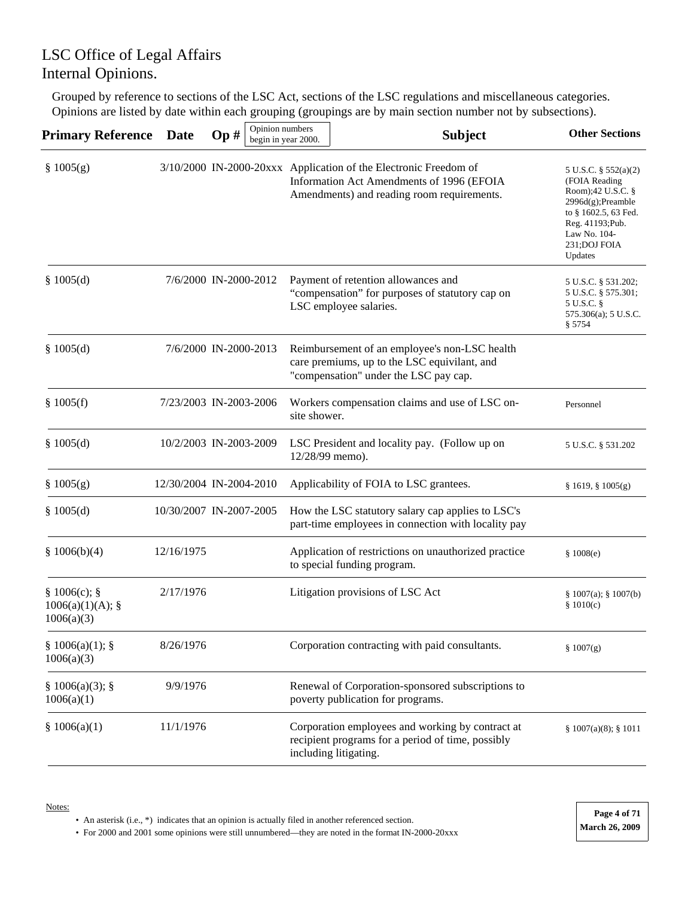Grouped by reference to sections of the LSC Act, sections of the LSC regulations and miscellaneous categories. Opinions are listed by date within each grouping (groupings are by main section number not by subsections).

| <b>Primary Reference</b>                   | <b>Date</b>             | Op# | Opinion numbers<br>begin in year 2000. |                 | <b>Subject</b>                                                                                                                                              | <b>Other Sections</b>                                                                                                                                                      |
|--------------------------------------------|-------------------------|-----|----------------------------------------|-----------------|-------------------------------------------------------------------------------------------------------------------------------------------------------------|----------------------------------------------------------------------------------------------------------------------------------------------------------------------------|
| \$1005(g)                                  |                         |     |                                        |                 | 3/10/2000 IN-2000-20xxx Application of the Electronic Freedom of<br>Information Act Amendments of 1996 (EFOIA<br>Amendments) and reading room requirements. | 5 U.S.C. § 552(a)(2)<br>(FOIA Reading<br>Room);42 U.S.C. §<br>$2996d(g);$ Preamble<br>to § 1602.5, 63 Fed.<br>Reg. 41193; Pub.<br>Law No. 104-<br>231; DOJ FOIA<br>Updates |
| \$1005(d)                                  | 7/6/2000 IN-2000-2012   |     |                                        |                 | Payment of retention allowances and<br>"compensation" for purposes of statutory cap on<br>LSC employee salaries.                                            | 5 U.S.C. § 531.202;<br>5 U.S.C. § 575.301;<br>5 U.S.C. §<br>575.306(a); 5 U.S.C.<br>\$5754                                                                                 |
| \$1005(d)                                  | 7/6/2000 IN-2000-2013   |     |                                        |                 | Reimbursement of an employee's non-LSC health<br>care premiums, up to the LSC equivilant, and<br>"compensation" under the LSC pay cap.                      |                                                                                                                                                                            |
| \$1005(f)                                  | 7/23/2003 IN-2003-2006  |     |                                        | site shower.    | Workers compensation claims and use of LSC on-                                                                                                              | Personnel                                                                                                                                                                  |
| \$1005(d)                                  | 10/2/2003 IN-2003-2009  |     |                                        | 12/28/99 memo). | LSC President and locality pay. (Follow up on                                                                                                               | 5 U.S.C. § 531.202                                                                                                                                                         |
| \$1005(g)                                  | 12/30/2004 IN-2004-2010 |     |                                        |                 | Applicability of FOIA to LSC grantees.                                                                                                                      | § 1619, § 1005(g)                                                                                                                                                          |
| \$1005(d)                                  | 10/30/2007 IN-2007-2005 |     |                                        |                 | How the LSC statutory salary cap applies to LSC's<br>part-time employees in connection with locality pay                                                    |                                                                                                                                                                            |
| \$1006(b)(4)                               | 12/16/1975              |     |                                        |                 | Application of restrictions on unauthorized practice<br>to special funding program.                                                                         | \$1008(e)                                                                                                                                                                  |
| § 1006(c);<br>1006(a)(1)(A);<br>1006(a)(3) | 2/17/1976               |     |                                        |                 | Litigation provisions of LSC Act                                                                                                                            | \$1007(a); \$1007(b)<br>\$1010(c)                                                                                                                                          |
| § 1006(a)(1);<br>1006(a)(3)                | 8/26/1976               |     |                                        |                 | Corporation contracting with paid consultants.                                                                                                              | \$1007(g)                                                                                                                                                                  |
| § 1006(a)(3);<br>1006(a)(1)                | 9/9/1976                |     |                                        |                 | Renewal of Corporation-sponsored subscriptions to<br>poverty publication for programs.                                                                      |                                                                                                                                                                            |
| \$1006(a)(1)                               | 11/1/1976               |     |                                        |                 | Corporation employees and working by contract at<br>recipient programs for a period of time, possibly<br>including litigating.                              | $§ 1007(a)(8);$ § 1011                                                                                                                                                     |

• An asterisk (i.e., \*) indicates that an opinion is actually filed in another referenced section.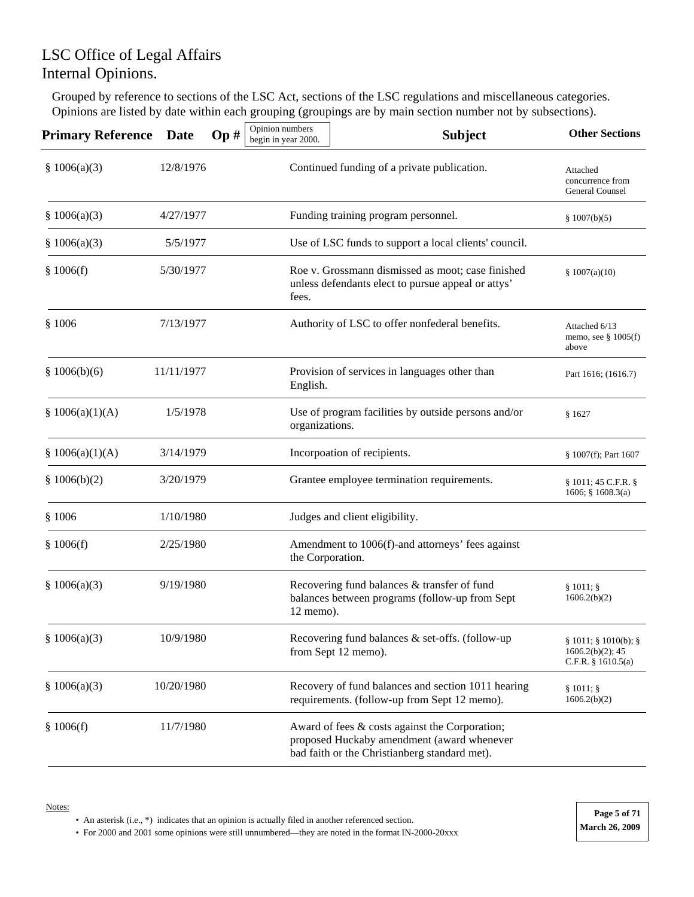Grouped by reference to sections of the LSC Act, sections of the LSC regulations and miscellaneous categories. Opinions are listed by date within each grouping (groupings are by main section number not by subsections).

| <b>Primary Reference</b> | Date       | Op# | Opinion numbers<br>begin in year 2000. | <b>Subject</b>                                                                                                                                | <b>Other Sections</b>                                               |  |  |
|--------------------------|------------|-----|----------------------------------------|-----------------------------------------------------------------------------------------------------------------------------------------------|---------------------------------------------------------------------|--|--|
| \$1006(a)(3)             | 12/8/1976  |     |                                        | Continued funding of a private publication.                                                                                                   | Attached<br>concurrence from<br>General Counsel                     |  |  |
| \$1006(a)(3)             | 4/27/1977  |     | \$1007(b)(5)                           |                                                                                                                                               |                                                                     |  |  |
| \$1006(a)(3)             | 5/5/1977   |     |                                        | Use of LSC funds to support a local clients' council.                                                                                         |                                                                     |  |  |
| \$1006(f)                | 5/30/1977  |     | fees.                                  | Roe v. Grossmann dismissed as moot; case finished<br>unless defendants elect to pursue appeal or attys'                                       |                                                                     |  |  |
| \$1006                   | 7/13/1977  |     |                                        | Authority of LSC to offer nonfederal benefits.                                                                                                |                                                                     |  |  |
| \$1006(b)(6)             | 11/11/1977 |     | English.                               | Provision of services in languages other than                                                                                                 | Part 1616; (1616.7)                                                 |  |  |
| § $1006(a)(1)(A)$        | 1/5/1978   |     |                                        | Use of program facilities by outside persons and/or<br>organizations.                                                                         |                                                                     |  |  |
| § $1006(a)(1)(A)$        | 3/14/1979  |     |                                        | Incorpoation of recipients.                                                                                                                   |                                                                     |  |  |
| \$1006(b)(2)             | 3/20/1979  |     |                                        | Grantee employee termination requirements.                                                                                                    |                                                                     |  |  |
| \$1006                   | 1/10/1980  |     |                                        | Judges and client eligibility.                                                                                                                |                                                                     |  |  |
| \$1006(f)                | 2/25/1980  |     | the Corporation.                       | Amendment to 1006(f)-and attorneys' fees against                                                                                              |                                                                     |  |  |
| \$1006(a)(3)             | 9/19/1980  |     | 12 memo).                              | Recovering fund balances & transfer of fund<br>balances between programs (follow-up from Sept                                                 | $§ 1011;$ §<br>1606.2(b)(2)                                         |  |  |
| \$1006(a)(3)             | 10/9/1980  |     |                                        | Recovering fund balances & set-offs. (follow-up<br>from Sept 12 memo).                                                                        | § 1011; § 1010(b); §<br>$1606.2(b)(2)$ ; 45<br>C.F.R. $§ 1610.5(a)$ |  |  |
| \$1006(a)(3)             | 10/20/1980 |     |                                        | Recovery of fund balances and section 1011 hearing<br>requirements. (follow-up from Sept 12 memo).                                            | $§ 1011;$ §<br>1606.2(b)(2)                                         |  |  |
| \$1006(f)                | 11/7/1980  |     |                                        | Award of fees & costs against the Corporation;<br>proposed Huckaby amendment (award whenever<br>bad faith or the Christianberg standard met). |                                                                     |  |  |

• An asterisk (i.e., \*) indicates that an opinion is actually filed in another referenced section.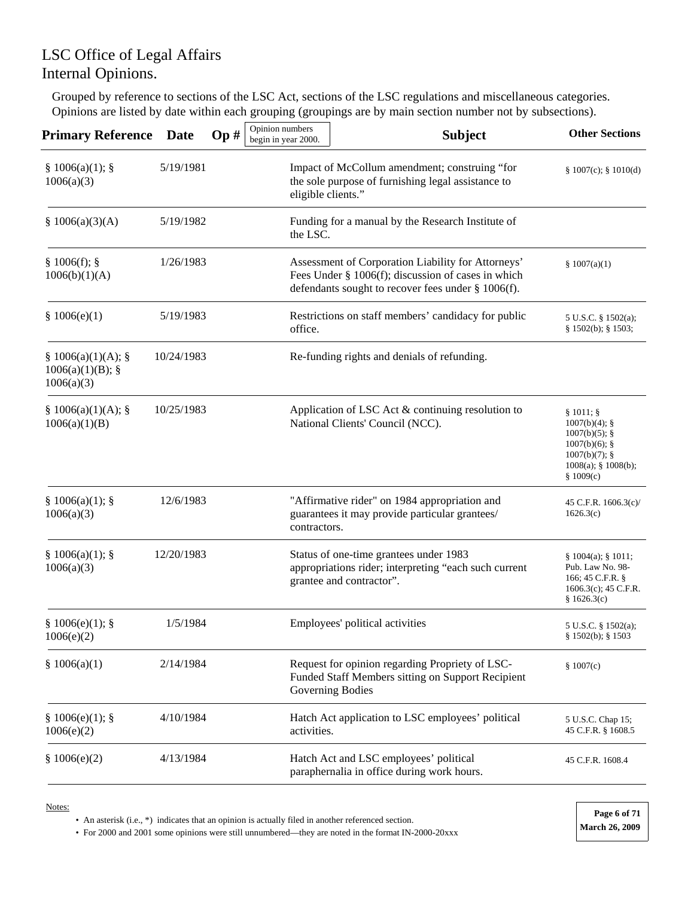Grouped by reference to sections of the LSC Act, sections of the LSC regulations and miscellaneous categories. Opinions are listed by date within each grouping (groupings are by main section number not by subsections).

| <b>Primary Reference</b>                              | <b>Date</b> | Op# | Opinion numbers<br>begin in year 2000. | <b>Subject</b>                                                                                                                                                 | <b>Other Sections</b>                                                                                                                 |
|-------------------------------------------------------|-------------|-----|----------------------------------------|----------------------------------------------------------------------------------------------------------------------------------------------------------------|---------------------------------------------------------------------------------------------------------------------------------------|
| § 1006(a)(1);<br>1006(a)(3)                           | 5/19/1981   |     | eligible clients."                     | Impact of McCollum amendment; construing "for<br>the sole purpose of furnishing legal assistance to                                                            | $§ 1007(c);$ § 1010(d)                                                                                                                |
| \$1006(a)(3)(A)                                       | 5/19/1982   |     | the LSC.                               | Funding for a manual by the Research Institute of                                                                                                              |                                                                                                                                       |
| § 1006(f);<br>1006(b)(1)(A)                           | 1/26/1983   |     |                                        | Assessment of Corporation Liability for Attorneys'<br>Fees Under § 1006(f); discussion of cases in which<br>defendants sought to recover fees under § 1006(f). | \$1007(a)(1)                                                                                                                          |
| \$1006(e)(1)                                          | 5/19/1983   |     | office.                                | Restrictions on staff members' candidacy for public                                                                                                            | 5 U.S.C. § $1502(a)$ ;<br>$§ 1502(b);$ § 1503;                                                                                        |
| § 1006(a)(1)(A);<br>$1006(a)(1)(B)$ ; §<br>1006(a)(3) | 10/24/1983  |     |                                        | Re-funding rights and denials of refunding.                                                                                                                    |                                                                                                                                       |
| § 1006(a)(1)(A);<br>1006(a)(1)(B)                     | 10/25/1983  |     |                                        | Application of LSC Act & continuing resolution to<br>National Clients' Council (NCC).                                                                          | $§ 1011;$ §<br>$1007(b)(4)$ ; §<br>$1007(b)(5)$ ; §<br>$1007(b)(6)$ ; §<br>$1007(b)(7)$ ; §<br>$1008(a)$ ; § $1008(b)$ ;<br>\$1009(c) |
| § 1006(a)(1);<br>1006(a)(3)                           | 12/6/1983   |     | contractors.                           | "Affirmative rider" on 1984 appropriation and<br>guarantees it may provide particular grantees/                                                                | 45 C.F.R. 1606.3(c)/<br>1626.3(c)                                                                                                     |
| § 1006(a)(1);<br>1006(a)(3)                           | 12/20/1983  |     |                                        | Status of one-time grantees under 1983<br>appropriations rider; interpreting "each such current<br>grantee and contractor".                                    | $§ 1004(a);$ § 1011;<br>Pub. Law No. 98-<br>166; 45 C.F.R. §<br>$1606.3(c)$ ; 45 C.F.R.<br>\$1626.3(c)                                |
| § 1006(e)(1);<br>1006(e)(2)                           | 1/5/1984    |     |                                        | Employees' political activities                                                                                                                                | 5 U.S.C. § 1502(a);<br>$§ 1502(b);$ § 1503                                                                                            |
| \$1006(a)(1)                                          | 2/14/1984   |     |                                        | Request for opinion regarding Propriety of LSC-<br>Funded Staff Members sitting on Support Recipient<br>Governing Bodies                                       | \$1007(c)                                                                                                                             |
| § 1006(e)(1);<br>1006(e)(2)                           | 4/10/1984   |     | activities.                            | Hatch Act application to LSC employees' political                                                                                                              | 5 U.S.C. Chap 15;<br>45 C.F.R. § 1608.5                                                                                               |
| \$1006(e)(2)                                          | 4/13/1984   |     |                                        | Hatch Act and LSC employees' political<br>paraphernalia in office during work hours.                                                                           | 45 C.F.R. 1608.4                                                                                                                      |

Notes:

• An asterisk (i.e., \*) indicates that an opinion is actually filed in another referenced section.

• For 2000 and 2001 some opinions were still unnumbered—they are noted in the format IN-2000-20xxx **March 26, 2009** 

**Page 6 of 71**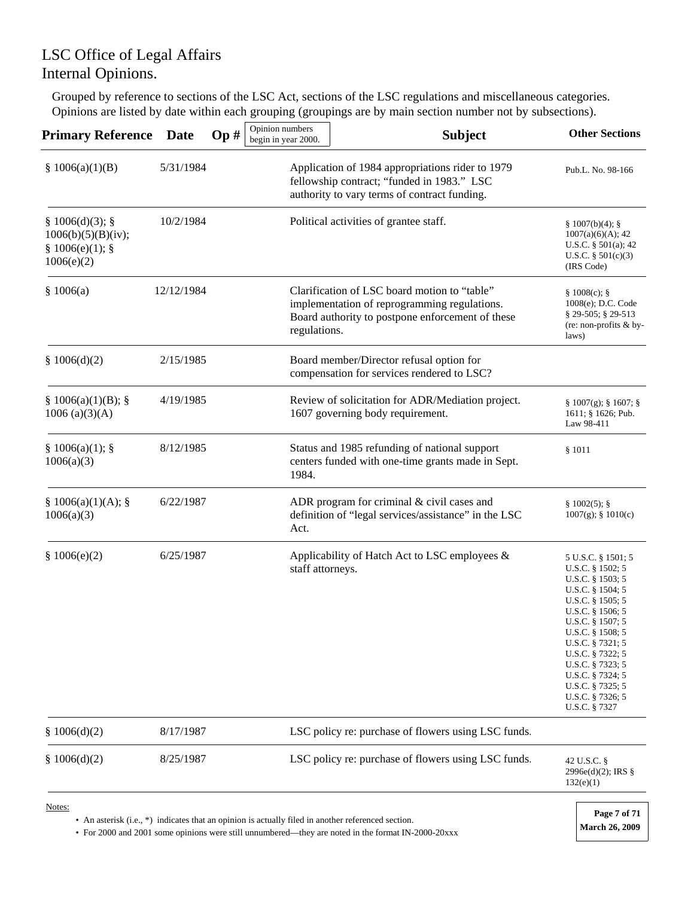Grouped by reference to sections of the LSC Act, sections of the LSC regulations and miscellaneous categories. Opinions are listed by date within each grouping (groupings are by main section number not by subsections).

| <b>Primary Reference</b>                                           | <b>Date</b> | Op# | Opinion numbers<br>begin in year 2000. | <b>Subject</b>                                                                                                                                   | <b>Other Sections</b>                                                                                                                                                                                                                                                                                   |
|--------------------------------------------------------------------|-------------|-----|----------------------------------------|--------------------------------------------------------------------------------------------------------------------------------------------------|---------------------------------------------------------------------------------------------------------------------------------------------------------------------------------------------------------------------------------------------------------------------------------------------------------|
| \$1006(a)(1)(B)                                                    | 5/31/1984   |     |                                        | Application of 1984 appropriations rider to 1979<br>fellowship contract; "funded in 1983." LSC<br>authority to vary terms of contract funding.   | Pub.L. No. 98-166                                                                                                                                                                                                                                                                                       |
| § 1006(d)(3);<br>1006(b)(5)(B)(iv);<br>§ 1006(e)(1);<br>1006(e)(2) | 10/2/1984   |     |                                        | Political activities of grantee staff.                                                                                                           | § 1007(b)(4);<br>1007(a)(6)(A); 42<br>U.S.C. $\S$ 501(a); 42<br>U.S.C. $§ 501(c)(3)$<br>(IRS Code)                                                                                                                                                                                                      |
| \$1006(a)                                                          | 12/12/1984  |     | regulations.                           | Clarification of LSC board motion to "table"<br>implementation of reprogramming regulations.<br>Board authority to postpone enforcement of these | § 1008(c);<br>1008(e); D.C. Code<br>§ 29-505; § 29-513<br>(re: non-profits & by-<br>laws)                                                                                                                                                                                                               |
| \$1006(d)(2)                                                       | 2/15/1985   |     |                                        | Board member/Director refusal option for<br>compensation for services rendered to LSC?                                                           |                                                                                                                                                                                                                                                                                                         |
| § 1006(a)(1)(B);<br>1006 (a)(3)(A)                                 | 4/19/1985   |     |                                        | Review of solicitation for ADR/Mediation project.<br>1607 governing body requirement.                                                            | $\S 1007(g)$ ; $\S 1607$ ; $\S$<br>1611; § 1626; Pub.<br>Law 98-411                                                                                                                                                                                                                                     |
| $§ 1006(a)(1);$ §<br>1006(a)(3)                                    | 8/12/1985   |     | 1984.                                  | Status and 1985 refunding of national support<br>centers funded with one-time grants made in Sept.                                               | \$1011                                                                                                                                                                                                                                                                                                  |
| § 1006(a)(1)(A);<br>1006(a)(3)                                     | 6/22/1987   |     | Act.                                   | ADR program for criminal & civil cases and<br>definition of "legal services/assistance" in the LSC                                               | § 1002(5);<br>$1007(g)$ ; § $1010(c)$                                                                                                                                                                                                                                                                   |
| \$1006(e)(2)                                                       | 6/25/1987   |     | staff attorneys.                       | Applicability of Hatch Act to LSC employees &                                                                                                    | 5 U.S.C. § 1501; 5<br>U.S.C. § 1502; 5<br>U.S.C. § 1503; 5<br>U.S.C. § 1504; 5<br>U.S.C. § 1505; 5<br>U.S.C. § 1506; 5<br>U.S.C. § 1507; 5<br>U.S.C. § 1508; 5<br>U.S.C. § 7321; 5<br>U.S.C. § 7322; 5<br>U.S.C. § 7323; 5<br>U.S.C. § 7324; 5<br>U.S.C. § 7325; 5<br>U.S.C. § 7326; 5<br>U.S.C. § 7327 |
| \$1006(d)(2)                                                       | 8/17/1987   |     |                                        | LSC policy re: purchase of flowers using LSC funds.                                                                                              |                                                                                                                                                                                                                                                                                                         |
| \$1006(d)(2)                                                       | 8/25/1987   |     |                                        | LSC policy re: purchase of flowers using LSC funds.                                                                                              | 42 U.S.C. §<br>$2996e(d)(2)$ ; IRS §<br>132(e)(1)                                                                                                                                                                                                                                                       |
| Notes:                                                             |             |     |                                        |                                                                                                                                                  |                                                                                                                                                                                                                                                                                                         |

• An asterisk (i.e., \*) indicates that an opinion is actually filed in another referenced section.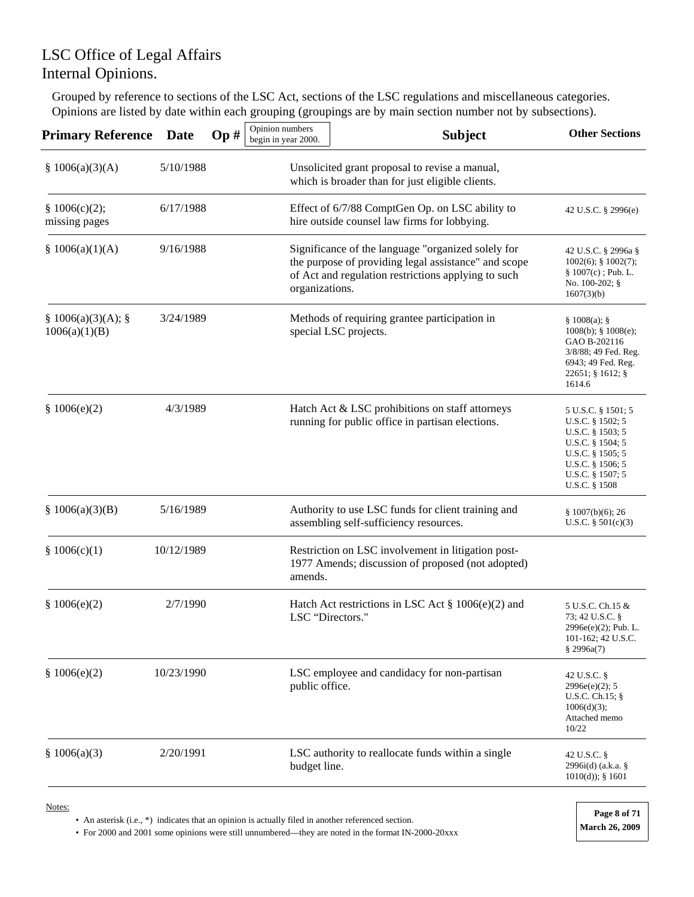Grouped by reference to sections of the LSC Act, sections of the LSC regulations and miscellaneous categories. Opinions are listed by date within each grouping (groupings are by main section number not by subsections).

| <b>Primary Reference</b>              | <b>Date</b> | Op# | Opinion numbers<br>begin in year 2000.                                                          | <b>Subject</b>                                                                                                                                                    | <b>Other Sections</b>                                                                                                                                         |
|---------------------------------------|-------------|-----|-------------------------------------------------------------------------------------------------|-------------------------------------------------------------------------------------------------------------------------------------------------------------------|---------------------------------------------------------------------------------------------------------------------------------------------------------------|
| \$1006(a)(3)(A)                       | 5/10/1988   |     |                                                                                                 | Unsolicited grant proposal to revise a manual,<br>which is broader than for just eligible clients.                                                                |                                                                                                                                                               |
| \$1006(c)(2);<br>missing pages        | 6/17/1988   |     | Effect of 6/7/88 ComptGen Op. on LSC ability to<br>hire outside counsel law firms for lobbying. | 42 U.S.C. § 2996(e)                                                                                                                                               |                                                                                                                                                               |
| \$1006(a)(1)(A)                       | 9/16/1988   |     | organizations.                                                                                  | Significance of the language "organized solely for<br>the purpose of providing legal assistance" and scope<br>of Act and regulation restrictions applying to such | 42 U.S.C. § 2996a §<br>$1002(6)$ ; § $1002(7)$ ;<br>$§ 1007(c)$ ; Pub. L.<br>No. 100-202; §<br>1607(3)(b)                                                     |
| $§ 1006(a)(3)(A);$ §<br>1006(a)(1)(B) | 3/24/1989   |     |                                                                                                 | Methods of requiring grantee participation in<br>special LSC projects.                                                                                            | § 1008(a);<br>$1008(b)$ ; § $1008(e)$ ;<br>GAO B-202116<br>3/8/88; 49 Fed. Reg.<br>6943; 49 Fed. Reg.<br>$22651$ ; § 1612; §<br>1614.6                        |
| \$1006(e)(2)                          | 4/3/1989    |     |                                                                                                 | Hatch Act & LSC prohibitions on staff attorneys<br>running for public office in partisan elections.                                                               | 5 U.S.C. § 1501; 5<br>U.S.C. $§$ 1502; 5<br>U.S.C. § 1503; 5<br>U.S.C. § 1504; 5<br>U.S.C. § 1505; 5<br>U.S.C. § 1506; 5<br>U.S.C. § 1507; 5<br>U.S.C. § 1508 |
| \$1006(a)(3)(B)                       | 5/16/1989   |     |                                                                                                 | Authority to use LSC funds for client training and<br>assembling self-sufficiency resources.                                                                      | \$1007(b)(6); 26<br>U.S.C. $§ 501(c)(3)$                                                                                                                      |
| \$1006(c)(1)                          | 10/12/1989  |     | amends.                                                                                         | Restriction on LSC involvement in litigation post-<br>1977 Amends; discussion of proposed (not adopted)                                                           |                                                                                                                                                               |
| \$1006(e)(2)                          | 2/7/1990    |     | LSC "Directors."                                                                                | Hatch Act restrictions in LSC Act $\S 1006(e)(2)$ and                                                                                                             | 5 U.S.C. Ch.15 &<br>73; 42 U.S.C. §<br>2996e(e)(2); Pub. L.<br>101-162; 42 U.S.C.<br>\$2996a(7)                                                               |
| \$1006(e)(2)                          | 10/23/1990  |     | public office.                                                                                  | LSC employee and candidacy for non-partisan                                                                                                                       | 42 U.S.C. §<br>2996e(e)(2); 5<br>U.S.C. Ch.15; $§$<br>1006(d)(3);<br>Attached memo<br>10/22                                                                   |
| \$1006(a)(3)                          | 2/20/1991   |     | budget line.                                                                                    | LSC authority to reallocate funds within a single                                                                                                                 | 42 U.S.C. §<br>2996i(d) (a.k.a. §<br>$1010(d)$ ; § 1601                                                                                                       |

Notes:

• An asterisk (i.e., \*) indicates that an opinion is actually filed in another referenced section.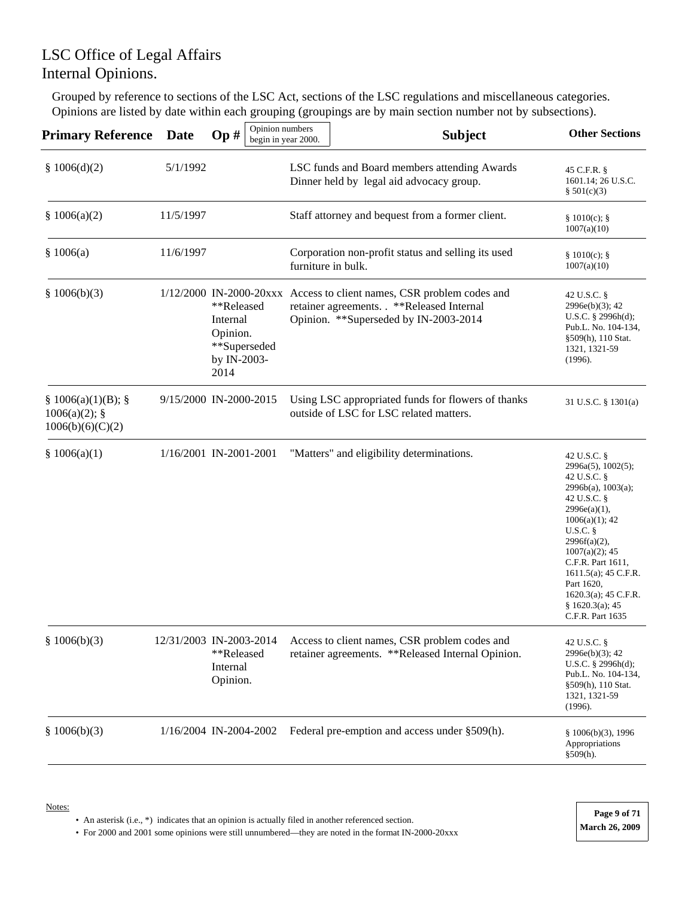Grouped by reference to sections of the LSC Act, sections of the LSC regulations and miscellaneous categories. Opinions are listed by date within each grouping (groupings are by main section number not by subsections).

| <b>Primary Reference</b>                                 | Date                    | Op#                                                                       | Opinion numbers<br>begin in year 2000. |                    | <b>Subject</b>                                                                                                                                               | <b>Other Sections</b>                                                                                                                                                                                                                                                                                            |
|----------------------------------------------------------|-------------------------|---------------------------------------------------------------------------|----------------------------------------|--------------------|--------------------------------------------------------------------------------------------------------------------------------------------------------------|------------------------------------------------------------------------------------------------------------------------------------------------------------------------------------------------------------------------------------------------------------------------------------------------------------------|
| \$1006(d)(2)                                             | 5/1/1992                |                                                                           |                                        |                    | LSC funds and Board members attending Awards<br>Dinner held by legal aid advocacy group.                                                                     | 45 C.F.R. §<br>1601.14; 26 U.S.C.<br>\$501(c)(3)                                                                                                                                                                                                                                                                 |
| \$1006(a)(2)                                             | 11/5/1997               |                                                                           |                                        |                    | Staff attorney and bequest from a former client.                                                                                                             | § 1010(c);<br>1007(a)(10)                                                                                                                                                                                                                                                                                        |
| \$1006(a)                                                | 11/6/1997               |                                                                           |                                        | furniture in bulk. | Corporation non-profit status and selling its used                                                                                                           | § 1010(c);<br>1007(a)(10)                                                                                                                                                                                                                                                                                        |
| \$1006(b)(3)                                             |                         | **Released<br>Internal<br>Opinion.<br>**Superseded<br>by IN-2003-<br>2014 |                                        |                    | 1/12/2000 IN-2000-20xxx Access to client names, CSR problem codes and<br>retainer agreements. . **Released Internal<br>Opinion. **Superseded by IN-2003-2014 | 42 U.S.C. §<br>2996e(b)(3); 42<br>U.S.C. $\S$ 2996h(d);<br>Pub.L. No. 104-134,<br>§509(h), 110 Stat.<br>1321, 1321-59<br>(1996).                                                                                                                                                                                 |
| § 1006(a)(1)(B);<br>$1006(a)(2)$ ; §<br>1006(b)(6)(C)(2) | 9/15/2000 IN-2000-2015  |                                                                           |                                        |                    | Using LSC appropriated funds for flowers of thanks<br>outside of LSC for LSC related matters.                                                                | 31 U.S.C. § 1301(a)                                                                                                                                                                                                                                                                                              |
| \$1006(a)(1)                                             | 1/16/2001 IN-2001-2001  |                                                                           |                                        |                    | "Matters" and eligibility determinations.                                                                                                                    | 42 U.S.C. §<br>2996a(5), 1002(5);<br>42 U.S.C. §<br>2996b(a), 1003(a);<br>42 U.S.C. §<br>2996e(a)(1),<br>$1006(a)(1)$ ; 42<br>$U.S.C.$ §<br>$2996f(a)(2)$ ,<br>$1007(a)(2)$ ; 45<br>C.F.R. Part 1611,<br>$1611.5(a)$ ; 45 C.F.R.<br>Part 1620,<br>$1620.3(a)$ ; 45 C.F.R.<br>§ 1620.3(a); 45<br>C.F.R. Part 1635 |
| \$1006(b)(3)                                             | 12/31/2003 IN-2003-2014 | **Released<br>Internal<br>Opinion.                                        |                                        |                    | Access to client names, CSR problem codes and<br>retainer agreements. **Released Internal Opinion.                                                           | 42 U.S.C. §<br>2996e(b)(3); 42<br>U.S.C. $\S$ 2996h(d);<br>Pub.L. No. 104-134,<br>§509(h), 110 Stat.<br>1321, 1321-59<br>(1996).                                                                                                                                                                                 |
| \$1006(b)(3)                                             | 1/16/2004 IN-2004-2002  |                                                                           |                                        |                    | Federal pre-emption and access under §509(h).                                                                                                                | \$1006(b)(3), 1996<br>Appropriations<br>§509(h).                                                                                                                                                                                                                                                                 |

• An asterisk (i.e., \*) indicates that an opinion is actually filed in another referenced section.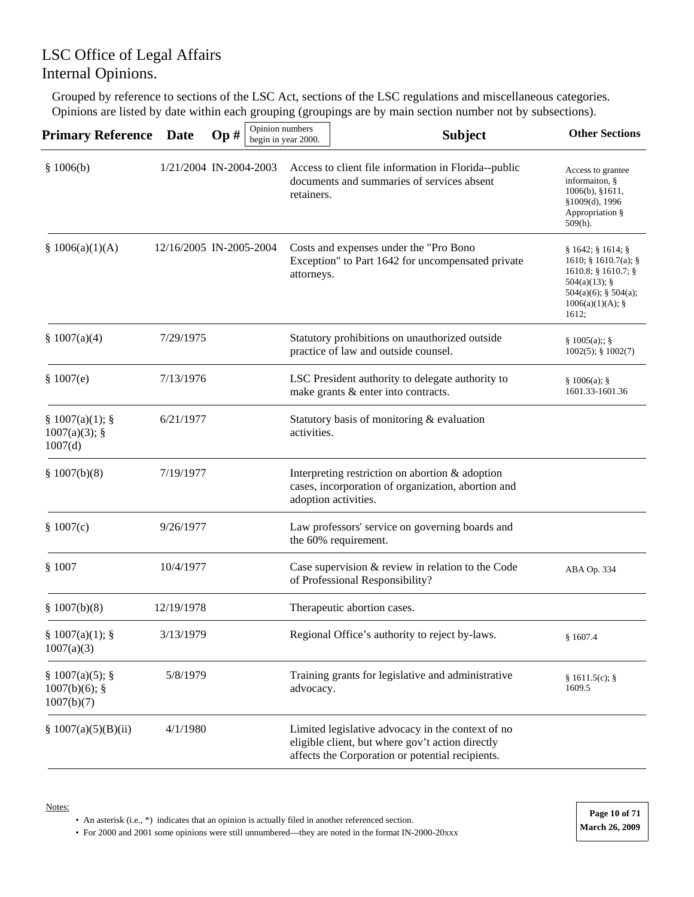Grouped by reference to sections of the LSC Act, sections of the LSC regulations and miscellaneous categories. Opinions are listed by date within each grouping (groupings are by main section number not by subsections).

| <b>Primary Reference</b>                        | Date                    | Op# | Opinion numbers | begin in year 2000. | <b>Subject</b>                                                                                                                                            | <b>Other Sections</b>                                                                                                                            |
|-------------------------------------------------|-------------------------|-----|-----------------|---------------------|-----------------------------------------------------------------------------------------------------------------------------------------------------------|--------------------------------------------------------------------------------------------------------------------------------------------------|
| \$1006(b)                                       | 1/21/2004 IN-2004-2003  |     |                 | retainers.          | Access to client file information in Florida--public<br>documents and summaries of services absent                                                        | Access to grantee<br>informaiton, §<br>$1006(b)$ , §1611,<br>§1009(d), 1996<br>Appropriation §<br>$509(h)$ .                                     |
| § $1006(a)(1)(A)$                               | 12/16/2005 IN-2005-2004 |     |                 | attorneys.          | Costs and expenses under the "Pro Bono<br>Exception" to Part 1642 for uncompensated private                                                               | § 1642; § 1614; §<br>1610; $§ 1610.7(a);$<br>$1610.8$ ; § 1610.7; §<br>504(a)(13); $§$<br>$504(a)(6)$ ; § 504(a);<br>$1006(a)(1)(A);$ §<br>1612; |
| \$1007(a)(4)                                    | 7/29/1975               |     |                 |                     | Statutory prohibitions on unauthorized outside<br>practice of law and outside counsel.                                                                    | § 1005(a);; §<br>$1002(5)$ ; § $1002(7)$                                                                                                         |
| \$1007(e)                                       | 7/13/1976               |     |                 |                     | LSC President authority to delegate authority to<br>make grants & enter into contracts.                                                                   | § 1006(a);<br>1601.33-1601.36                                                                                                                    |
| § 1007(a)(1);<br>$1007(a)(3)$ ; §<br>1007(d)    | 6/21/1977               |     |                 | activities.         | Statutory basis of monitoring & evaluation                                                                                                                |                                                                                                                                                  |
| \$1007(b)(8)                                    | 7/19/1977               |     |                 |                     | Interpreting restriction on abortion & adoption<br>cases, incorporation of organization, abortion and<br>adoption activities.                             |                                                                                                                                                  |
| \$1007(c)                                       | 9/26/1977               |     |                 |                     | Law professors' service on governing boards and<br>the 60% requirement.                                                                                   |                                                                                                                                                  |
| \$1007                                          | 10/4/1977               |     |                 |                     | Case supervision & review in relation to the Code<br>of Professional Responsibility?                                                                      | ABA Op. 334                                                                                                                                      |
| \$1007(b)(8)                                    | 12/19/1978              |     |                 |                     | Therapeutic abortion cases.                                                                                                                               |                                                                                                                                                  |
| $§ 1007(a)(1);$ §<br>1007(a)(3)                 | 3/13/1979               |     |                 |                     | Regional Office's authority to reject by-laws.                                                                                                            | \$1607.4                                                                                                                                         |
| § 1007(a)(5);<br>$1007(b)(6)$ ; §<br>1007(b)(7) | 5/8/1979                |     |                 | advocacy.           | Training grants for legislative and administrative                                                                                                        | § 1611.5(c); §<br>1609.5                                                                                                                         |
| \$1007(a)(5)(B)(ii)                             | 4/1/1980                |     |                 |                     | Limited legislative advocacy in the context of no<br>eligible client, but where gov't action directly<br>affects the Corporation or potential recipients. |                                                                                                                                                  |

Notes:

• An asterisk (i.e., \*) indicates that an opinion is actually filed in another referenced section.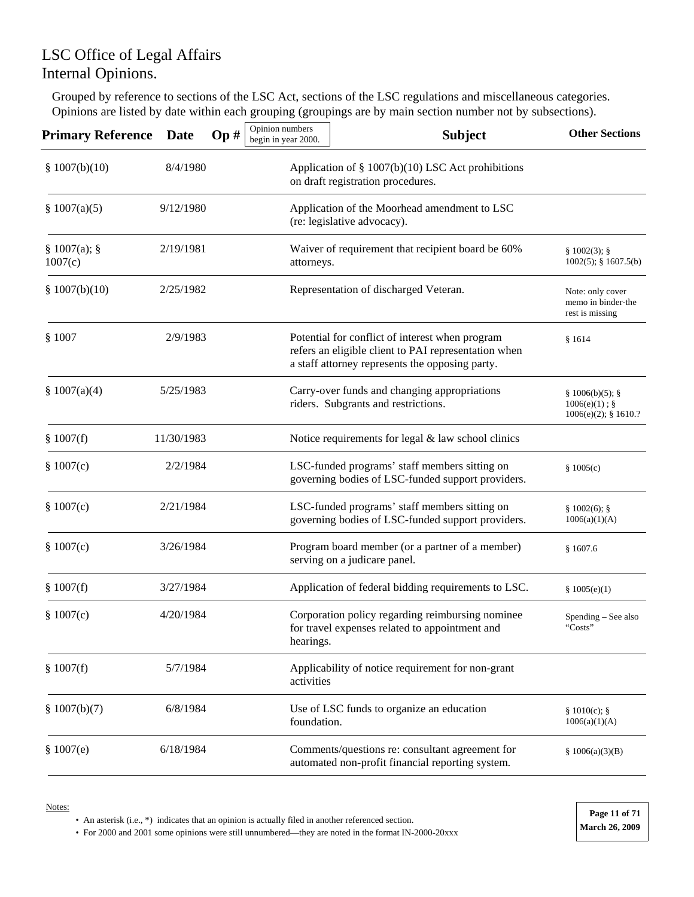Grouped by reference to sections of the LSC Act, sections of the LSC regulations and miscellaneous categories. Opinions are listed by date within each grouping (groupings are by main section number not by subsections).

| <b>Primary Reference</b> | <b>Date</b> | Op# | Opinion numbers<br>begin in year 2000. | <b>Subject</b>                                                                                                                                             | <b>Other Sections</b>                                     |
|--------------------------|-------------|-----|----------------------------------------|------------------------------------------------------------------------------------------------------------------------------------------------------------|-----------------------------------------------------------|
| \$1007(b)(10)            | 8/4/1980    |     |                                        | Application of § 1007(b)(10) LSC Act prohibitions<br>on draft registration procedures.                                                                     |                                                           |
| \$1007(a)(5)             | 9/12/1980   |     |                                        | Application of the Moorhead amendment to LSC<br>(re: legislative advocacy).                                                                                |                                                           |
| § 1007(a);<br>1007(c)    | 2/19/1981   |     | attorneys.                             | Waiver of requirement that recipient board be 60%                                                                                                          | § 1002(3);<br>$1002(5)$ ; § 1607.5(b)                     |
| \$1007(b)(10)            | 2/25/1982   |     |                                        | Representation of discharged Veteran.                                                                                                                      | Note: only cover<br>memo in binder-the<br>rest is missing |
| \$1007                   | 2/9/1983    |     |                                        | Potential for conflict of interest when program<br>refers an eligible client to PAI representation when<br>a staff attorney represents the opposing party. | \$1614                                                    |
| \$1007(a)(4)             | 5/25/1983   |     |                                        | Carry-over funds and changing appropriations<br>riders. Subgrants and restrictions.                                                                        | § 1006(b)(5);<br>$1006(e)(1)$ ; §<br>1006(e)(2); § 1610.? |
| \$1007(f)                | 11/30/1983  |     |                                        | Notice requirements for legal $&$ law school clinics                                                                                                       |                                                           |
| \$1007(c)                | 2/2/1984    |     |                                        | LSC-funded programs' staff members sitting on<br>governing bodies of LSC-funded support providers.                                                         | \$1005(c)                                                 |
| \$1007(c)                | 2/21/1984   |     |                                        | LSC-funded programs' staff members sitting on<br>governing bodies of LSC-funded support providers.                                                         | $§ 1002(6);$ §<br>1006(a)(1)(A)                           |
| \$1007(c)                | 3/26/1984   |     |                                        | Program board member (or a partner of a member)<br>serving on a judicare panel.                                                                            | \$1607.6                                                  |
| \$1007(f)                | 3/27/1984   |     |                                        | Application of federal bidding requirements to LSC.                                                                                                        | \$1005(e)(1)                                              |
| \$1007(c)                | 4/20/1984   |     | hearings.                              | Corporation policy regarding reimbursing nominee<br>for travel expenses related to appointment and                                                         | $Spending - See also$<br>"Costs"                          |
| \$1007(f)                | 5/7/1984    |     | activities                             | Applicability of notice requirement for non-grant                                                                                                          |                                                           |
| \$1007(b)(7)             | 6/8/1984    |     | foundation.                            | Use of LSC funds to organize an education                                                                                                                  | § 1010(c);<br>1006(a)(1)(A)                               |
| \$1007(e)                | 6/18/1984   |     |                                        | Comments/questions re: consultant agreement for<br>automated non-profit financial reporting system.                                                        | \$1006(a)(3)(B)                                           |

Notes:

• An asterisk (i.e., \*) indicates that an opinion is actually filed in another referenced section.

• For 2000 and 2001 some opinions were still unnumbered—they are noted in the format IN-2000-20xxx **March 26, 2009** 

**Page 11 of 71**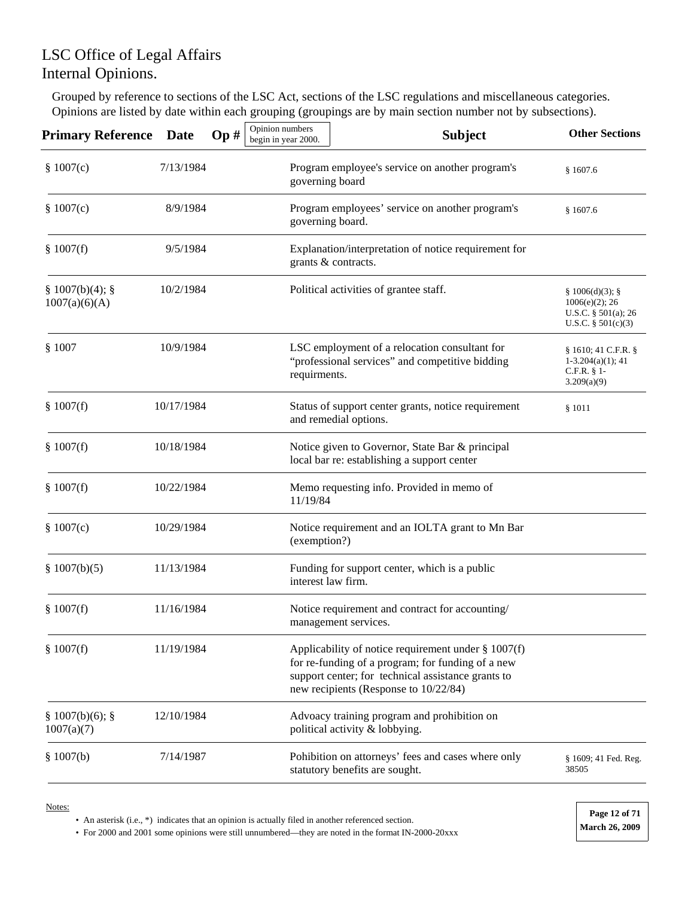Grouped by reference to sections of the LSC Act, sections of the LSC regulations and miscellaneous categories. Opinions are listed by date within each grouping (groupings are by main section number not by subsections).

| <b>Primary Reference</b>       | <b>Date</b> | Op# | Opinion numbers<br>begin in year 2000. | <b>Subject</b>                                                                                                                                                                                             | <b>Other Sections</b>                                                             |
|--------------------------------|-------------|-----|----------------------------------------|------------------------------------------------------------------------------------------------------------------------------------------------------------------------------------------------------------|-----------------------------------------------------------------------------------|
| \$1007(c)                      | 7/13/1984   |     | governing board                        | Program employee's service on another program's                                                                                                                                                            | \$1607.6                                                                          |
| \$1007(c)                      | 8/9/1984    |     | governing board.                       | Program employees' service on another program's                                                                                                                                                            | \$1607.6                                                                          |
| \$1007(f)                      | 9/5/1984    |     |                                        | Explanation/interpretation of notice requirement for<br>grants & contracts.                                                                                                                                |                                                                                   |
| § 1007(b)(4);<br>1007(a)(6)(A) | 10/2/1984   |     |                                        | Political activities of grantee staff.                                                                                                                                                                     | § 1006(d)(3);<br>$1006(e)(2)$ ; 26<br>U.S.C. § 501(a); 26<br>U.S.C. $§ 501(c)(3)$ |
| \$1007                         | 10/9/1984   |     | requirments.                           | LSC employment of a relocation consultant for<br>"professional services" and competitive bidding                                                                                                           | § 1610; 41 C.F.R. §<br>$1-3.204(a)(1); 41$<br>$C.F.R. § 1-$<br>3.209(a)(9)        |
| \$1007(f)                      | 10/17/1984  |     |                                        | Status of support center grants, notice requirement<br>and remedial options.                                                                                                                               | \$1011                                                                            |
| \$1007(f)                      | 10/18/1984  |     |                                        | Notice given to Governor, State Bar & principal<br>local bar re: establishing a support center                                                                                                             |                                                                                   |
| \$1007(f)                      | 10/22/1984  |     | 11/19/84                               | Memo requesting info. Provided in memo of                                                                                                                                                                  |                                                                                   |
| \$1007(c)                      | 10/29/1984  |     | (exemption?)                           | Notice requirement and an IOLTA grant to Mn Bar                                                                                                                                                            |                                                                                   |
| \$1007(b)(5)                   | 11/13/1984  |     | interest law firm.                     | Funding for support center, which is a public                                                                                                                                                              |                                                                                   |
| \$1007(f)                      | 11/16/1984  |     |                                        | Notice requirement and contract for accounting/<br>management services.                                                                                                                                    |                                                                                   |
| \$1007(f)                      | 11/19/1984  |     |                                        | Applicability of notice requirement under $\S 1007(f)$<br>for re-funding of a program; for funding of a new<br>support center; for technical assistance grants to<br>new recipients (Response to 10/22/84) |                                                                                   |
| § 1007(b)(6); §<br>1007(a)(7)  | 12/10/1984  |     |                                        | Advoacy training program and prohibition on<br>political activity & lobbying.                                                                                                                              |                                                                                   |
| \$1007(b)                      | 7/14/1987   |     |                                        | Pohibition on attorneys' fees and cases where only<br>statutory benefits are sought.                                                                                                                       | § 1609; 41 Fed. Reg.<br>38505                                                     |

Notes:

• An asterisk (i.e., \*) indicates that an opinion is actually filed in another referenced section.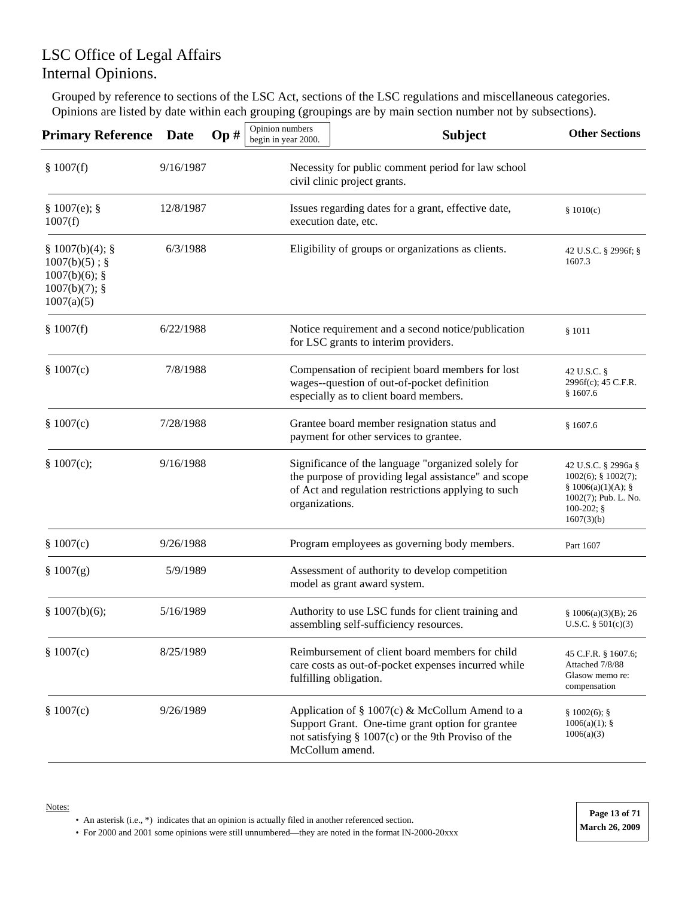Grouped by reference to sections of the LSC Act, sections of the LSC regulations and miscellaneous categories. Opinions are listed by date within each grouping (groupings are by main section number not by subsections).

| <b>Primary Reference</b>                                                                | <b>Date</b> | Op# | Opinion numbers<br>begin in year 2000. | <b>Subject</b>                                                                                                                                                                 | <b>Other Sections</b>                                                                                                      |
|-----------------------------------------------------------------------------------------|-------------|-----|----------------------------------------|--------------------------------------------------------------------------------------------------------------------------------------------------------------------------------|----------------------------------------------------------------------------------------------------------------------------|
| \$1007(f)                                                                               | 9/16/1987   |     |                                        | Necessity for public comment period for law school<br>civil clinic project grants.                                                                                             |                                                                                                                            |
| § 1007(e);<br>1007(f)                                                                   | 12/8/1987   |     |                                        | Issues regarding dates for a grant, effective date,<br>execution date, etc.                                                                                                    | \$1010(c)                                                                                                                  |
| § 1007(b)(4);<br>$1007(b)(5)$ ; §<br>$1007(b)(6)$ ; §<br>$1007(b)(7)$ ; §<br>1007(a)(5) | 6/3/1988    |     |                                        | Eligibility of groups or organizations as clients.                                                                                                                             | 42 U.S.C. § 2996f; §<br>1607.3                                                                                             |
| \$1007(f)                                                                               | 6/22/1988   |     |                                        | Notice requirement and a second notice/publication<br>for LSC grants to interim providers.                                                                                     | \$1011                                                                                                                     |
| \$1007(c)                                                                               | 7/8/1988    |     |                                        | Compensation of recipient board members for lost<br>wages--question of out-of-pocket definition<br>especially as to client board members.                                      | 42 U.S.C. §<br>2996f(c); 45 C.F.R.<br>\$1607.6                                                                             |
| \$1007(c)                                                                               | 7/28/1988   |     |                                        | Grantee board member resignation status and<br>payment for other services to grantee.                                                                                          | \$1607.6                                                                                                                   |
| \$1007(c);                                                                              | 9/16/1988   |     | organizations.                         | Significance of the language "organized solely for<br>the purpose of providing legal assistance" and scope<br>of Act and regulation restrictions applying to such              | 42 U.S.C. § 2996a §<br>$1002(6)$ ; § $1002(7)$ ;<br>§ 1006(a)(1)(A);<br>1002(7); Pub. L. No.<br>$100-202;$ §<br>1607(3)(b) |
| \$1007(c)                                                                               | 9/26/1988   |     |                                        | Program employees as governing body members.                                                                                                                                   | Part 1607                                                                                                                  |
| \$1007(g)                                                                               | 5/9/1989    |     |                                        | Assessment of authority to develop competition<br>model as grant award system.                                                                                                 |                                                                                                                            |
| § 1007(b)(6);                                                                           | 5/16/1989   |     |                                        | Authority to use LSC funds for client training and<br>assembling self-sufficiency resources.                                                                                   | \$1006(a)(3)(B); 26<br>U.S.C. $§ 501(c)(3)$                                                                                |
| \$1007(c)                                                                               | 8/25/1989   |     |                                        | Reimbursement of client board members for child<br>care costs as out-of-pocket expenses incurred while<br>fulfilling obligation.                                               | 45 C.F.R. § 1607.6;<br>Attached 7/8/88<br>Glasow memo re:<br>compensation                                                  |
| \$1007(c)                                                                               | 9/26/1989   |     |                                        | Application of § 1007(c) & McCollum Amend to a<br>Support Grant. One-time grant option for grantee<br>not satisfying $\S$ 1007(c) or the 9th Proviso of the<br>McCollum amend. | $§ 1002(6);$ §<br>$1006(a)(1)$ ; §<br>1006(a)(3)                                                                           |

• An asterisk (i.e., \*) indicates that an opinion is actually filed in another referenced section.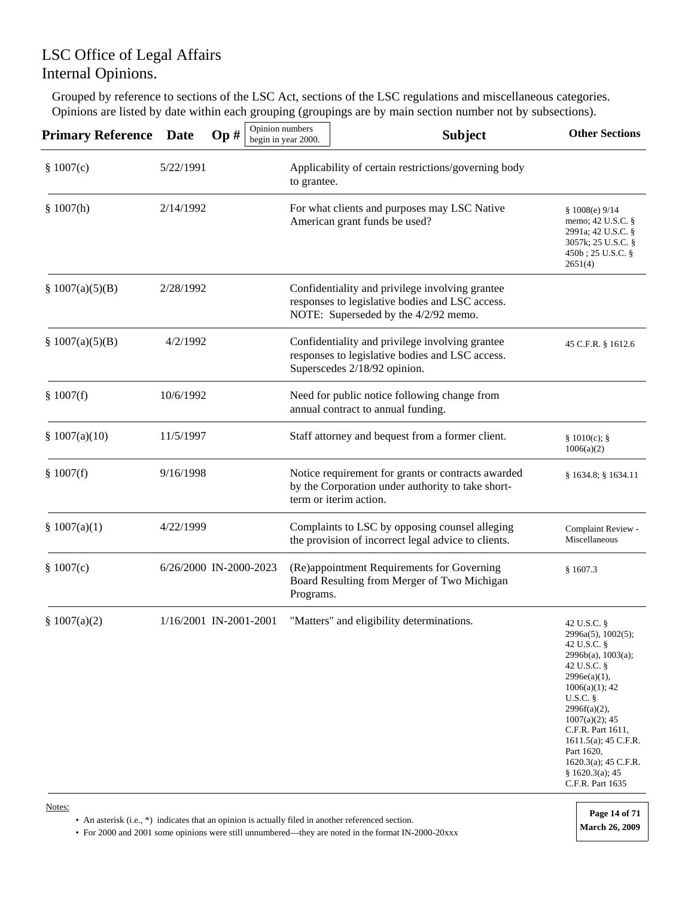Grouped by reference to sections of the LSC Act, sections of the LSC regulations and miscellaneous categories. Opinions are listed by date within each grouping (groupings are by main section number not by subsections).

| <b>Primary Reference</b> | <b>Date</b> | Op#                    | Opinion numbers<br>begin in year 2000. | <b>Subject</b>                                                                                                                             | <b>Other Sections</b>                                                                                                                                                                                                                                                                                        |
|--------------------------|-------------|------------------------|----------------------------------------|--------------------------------------------------------------------------------------------------------------------------------------------|--------------------------------------------------------------------------------------------------------------------------------------------------------------------------------------------------------------------------------------------------------------------------------------------------------------|
| \$1007(c)                | 5/22/1991   |                        | to grantee.                            | Applicability of certain restrictions/governing body                                                                                       |                                                                                                                                                                                                                                                                                                              |
| \$1007(h)                | 2/14/1992   |                        |                                        | For what clients and purposes may LSC Native<br>American grant funds be used?                                                              | \$1008(e) 9/14<br>memo; $42$ U.S.C. $\S$<br>2991a; 42 U.S.C. §<br>3057k; 25 U.S.C. §<br>$450b$ ; 25 U.S.C. §<br>2651(4)                                                                                                                                                                                      |
| \$1007(a)(5)(B)          | 2/28/1992   |                        |                                        | Confidentiality and privilege involving grantee<br>responses to legislative bodies and LSC access.<br>NOTE: Superseded by the 4/2/92 memo. |                                                                                                                                                                                                                                                                                                              |
| \$1007(a)(5)(B)          | 4/2/1992    |                        |                                        | Confidentiality and privilege involving grantee<br>responses to legislative bodies and LSC access.<br>Superscedes 2/18/92 opinion.         | 45 C.F.R. § 1612.6                                                                                                                                                                                                                                                                                           |
| \$1007(f)                | 10/6/1992   |                        |                                        | Need for public notice following change from<br>annual contract to annual funding.                                                         |                                                                                                                                                                                                                                                                                                              |
| \$1007(a)(10)            | 11/5/1997   |                        |                                        | Staff attorney and bequest from a former client.                                                                                           | § 1010(c);<br>1006(a)(2)                                                                                                                                                                                                                                                                                     |
| \$1007(f)                | 9/16/1998   |                        |                                        | Notice requirement for grants or contracts awarded<br>by the Corporation under authority to take short-<br>term or iterim action.          | § 1634.8; § 1634.11                                                                                                                                                                                                                                                                                          |
| \$1007(a)(1)             | 4/22/1999   |                        |                                        | Complaints to LSC by opposing counsel alleging<br>the provision of incorrect legal advice to clients.                                      | Complaint Review -<br>Miscellaneous                                                                                                                                                                                                                                                                          |
| \$1007(c)                |             | 6/26/2000 IN-2000-2023 | Programs.                              | (Re)appointment Requirements for Governing<br>Board Resulting from Merger of Two Michigan                                                  | \$1607.3                                                                                                                                                                                                                                                                                                     |
| \$1007(a)(2)             |             | 1/16/2001 IN-2001-2001 |                                        | "Matters" and eligibility determinations.                                                                                                  | 42 U.S.C. §<br>2996a(5), 1002(5);<br>42 U.S.C. §<br>2996b(a), 1003(a);<br>42 U.S.C. §<br>$2996e(a)(1)$ ,<br>1006(a)(1); 42<br>U.S.C.<br>$2996f(a)(2)$ ,<br>$1007(a)(2)$ ; 45<br>C.F.R. Part 1611,<br>$1611.5(a)$ ; 45 C.F.R.<br>Part 1620,<br>$1620.3(a)$ ; 45 C.F.R.<br>§ 1620.3(a); 45<br>C.F.R. Part 1635 |

• An asterisk (i.e., \*) indicates that an opinion is actually filed in another referenced section. • For 2000 and 2001 some opinions were still unnumbered—they are noted in the format IN-2000-20xxx **March 26, 2009 Page 14 of 71**

Notes: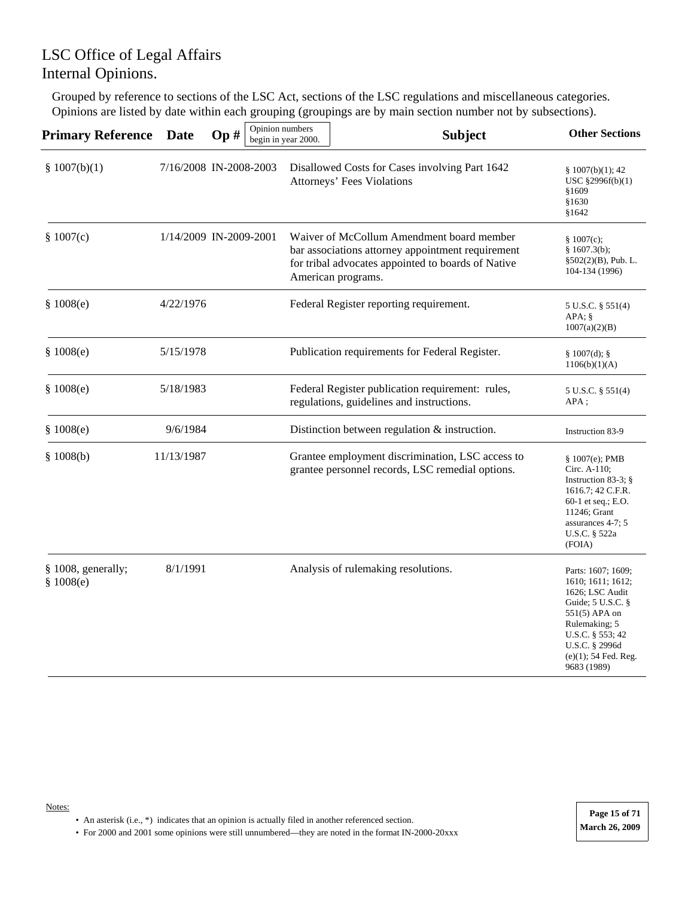Grouped by reference to sections of the LSC Act, sections of the LSC regulations and miscellaneous categories. Opinions are listed by date within each grouping (groupings are by main section number not by subsections).

| <b>Primary Reference</b>        | <b>Date</b>            | Op# | Opinion numbers | begin in year 2000. | <b>Subject</b>                                                                                                                                                             | <b>Other Sections</b>                                                                                                                                                                                  |
|---------------------------------|------------------------|-----|-----------------|---------------------|----------------------------------------------------------------------------------------------------------------------------------------------------------------------------|--------------------------------------------------------------------------------------------------------------------------------------------------------------------------------------------------------|
| \$1007(b)(1)                    | 7/16/2008 IN-2008-2003 |     |                 |                     | Disallowed Costs for Cases involving Part 1642<br>Attorneys' Fees Violations                                                                                               | \$1007(b)(1); 42<br>USC §2996f(b)(1)<br>§1609<br>\$1630<br>§1642                                                                                                                                       |
| \$1007(c)                       | 1/14/2009 IN-2009-2001 |     |                 |                     | Waiver of McCollum Amendment board member<br>bar associations attorney appointment requirement<br>for tribal advocates appointed to boards of Native<br>American programs. | \$1007(c);<br>§ 1607.3(b);<br>$§502(2)(B)$ , Pub. L.<br>104-134 (1996)                                                                                                                                 |
| \$1008(e)                       | 4/22/1976              |     |                 |                     | Federal Register reporting requirement.                                                                                                                                    | 5 U.S.C. § 551(4)<br>APA; §<br>1007(a)(2)(B)                                                                                                                                                           |
| \$1008(e)                       | 5/15/1978              |     |                 |                     | Publication requirements for Federal Register.                                                                                                                             | § 1007(d);<br>1106(b)(1)(A)                                                                                                                                                                            |
| \$1008(e)                       | 5/18/1983              |     |                 |                     | Federal Register publication requirement: rules,<br>regulations, guidelines and instructions.                                                                              | 5 U.S.C. § 551(4)<br>$APA$ ;                                                                                                                                                                           |
| \$1008(e)                       | 9/6/1984               |     |                 |                     | Distinction between regulation $\&$ instruction.                                                                                                                           | Instruction 83-9                                                                                                                                                                                       |
| \$1008(b)                       | 11/13/1987             |     |                 |                     | Grantee employment discrimination, LSC access to<br>grantee personnel records, LSC remedial options.                                                                       | $$1007(e);$ PMB<br>Circ. A-110;<br>Instruction 83-3; $\S$<br>1616.7; 42 C.F.R.<br>60-1 et seq.; $E.O.$<br>11246; Grant<br>assurances 4-7; 5<br>U.S.C. § 522a<br>(FOIA)                                 |
| § 1008, generally;<br>\$1008(e) | 8/1/1991               |     |                 |                     | Analysis of rulemaking resolutions.                                                                                                                                        | Parts: 1607; 1609;<br>1610; 1611; 1612;<br>1626; LSC Audit<br>Guide; $5$ U.S.C. $\S$<br>551(5) APA on<br>Rulemaking; 5<br>U.S.C. § 553; 42<br>U.S.C. § 2996d<br>$(e)(1)$ ; 54 Fed. Reg.<br>9683 (1989) |

• An asterisk (i.e., \*) indicates that an opinion is actually filed in another referenced section.

• For 2000 and 2001 some opinions were still unnumbered—they are noted in the format IN-2000-20xxx **March 26, 2009** 

Notes: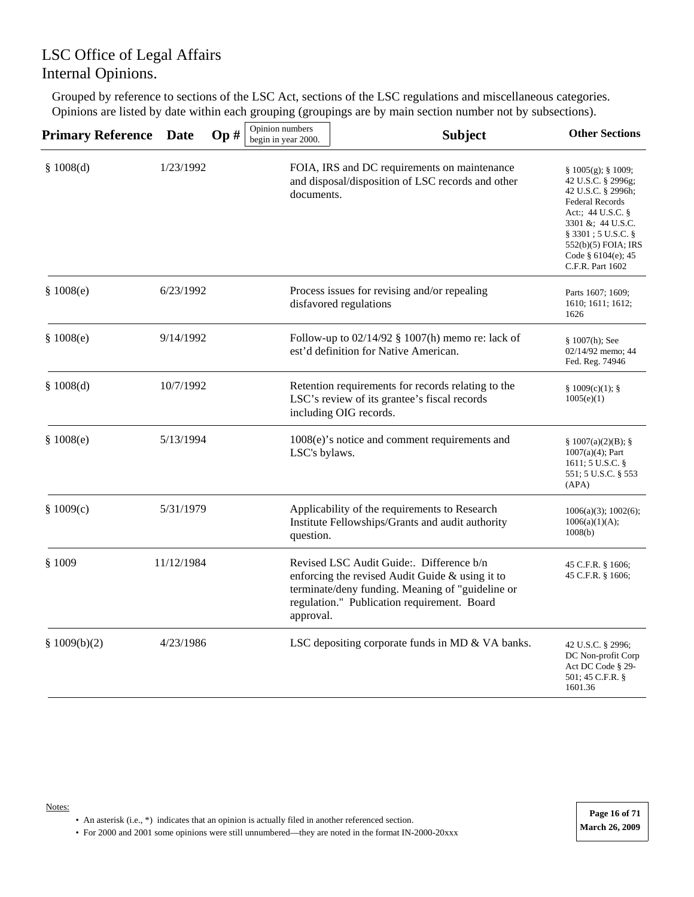Grouped by reference to sections of the LSC Act, sections of the LSC regulations and miscellaneous categories. Opinions are listed by date within each grouping (groupings are by main section number not by subsections).

| <b>Primary Reference Date</b> |            | Op# | Opinion numbers<br>begin in year 2000. | <b>Subject</b>                                                                                                                                                                                 | <b>Other Sections</b>                                                                                                                                                                                                                  |
|-------------------------------|------------|-----|----------------------------------------|------------------------------------------------------------------------------------------------------------------------------------------------------------------------------------------------|----------------------------------------------------------------------------------------------------------------------------------------------------------------------------------------------------------------------------------------|
| \$1008(d)                     | 1/23/1992  |     | documents.                             | FOIA, IRS and DC requirements on maintenance<br>and disposal/disposition of LSC records and other                                                                                              | $§ 1005(g);$ § 1009;<br>42 U.S.C. § 2996g;<br>42 U.S.C. § 2996h;<br><b>Federal Records</b><br>Act:; 44 U.S.C. §<br>3301 &; $44$ U.S.C.<br>$\S$ 3301 ; 5 U.S.C. $\S$<br>552(b)(5) FOIA; IRS<br>Code $§$ 6104(e); 45<br>C.F.R. Part 1602 |
| \$1008(e)                     | 6/23/1992  |     |                                        | Process issues for revising and/or repealing<br>disfavored regulations                                                                                                                         | Parts 1607; 1609;<br>1610; 1611; 1612;<br>1626                                                                                                                                                                                         |
| \$1008(e)                     | 9/14/1992  |     |                                        | Follow-up to $02/14/92$ § 1007(h) memo re: lack of<br>est'd definition for Native American.                                                                                                    | $§ 1007(h);$ See<br>02/14/92 memo; 44<br>Fed. Reg. 74946                                                                                                                                                                               |
| \$1008(d)                     | 10/7/1992  |     |                                        | Retention requirements for records relating to the<br>LSC's review of its grantee's fiscal records<br>including OIG records.                                                                   | § 1009(c)(1);<br>1005(e)(1)                                                                                                                                                                                                            |
| \$1008(e)                     | 5/13/1994  |     | LSC's bylaws.                          | $1008(e)$ 's notice and comment requirements and                                                                                                                                               | § 1007(a)(2)(B);<br>$1007(a)(4)$ ; Part<br>1611; 5 U.S.C. §<br>551; 5 U.S.C. § 553<br>(APA)                                                                                                                                            |
| \$1009(c)                     | 5/31/1979  |     | question.                              | Applicability of the requirements to Research<br>Institute Fellowships/Grants and audit authority                                                                                              | 1006(a)(3); 1002(6);<br>1006(a)(1)(A);<br>1008(b)                                                                                                                                                                                      |
| \$1009                        | 11/12/1984 |     | approval.                              | Revised LSC Audit Guide:. Difference b/n<br>enforcing the revised Audit Guide & using it to<br>terminate/deny funding. Meaning of "guideline or<br>regulation." Publication requirement. Board | 45 C.F.R. § 1606;<br>45 C.F.R. § 1606;                                                                                                                                                                                                 |
| \$1009(b)(2)                  | 4/23/1986  |     |                                        | LSC depositing corporate funds in MD & VA banks.                                                                                                                                               | 42 U.S.C. § 2996;<br>DC Non-profit Corp<br>Act DC Code § 29-<br>501; 45 C.F.R. §<br>1601.36                                                                                                                                            |

• An asterisk (i.e., \*) indicates that an opinion is actually filed in another referenced section.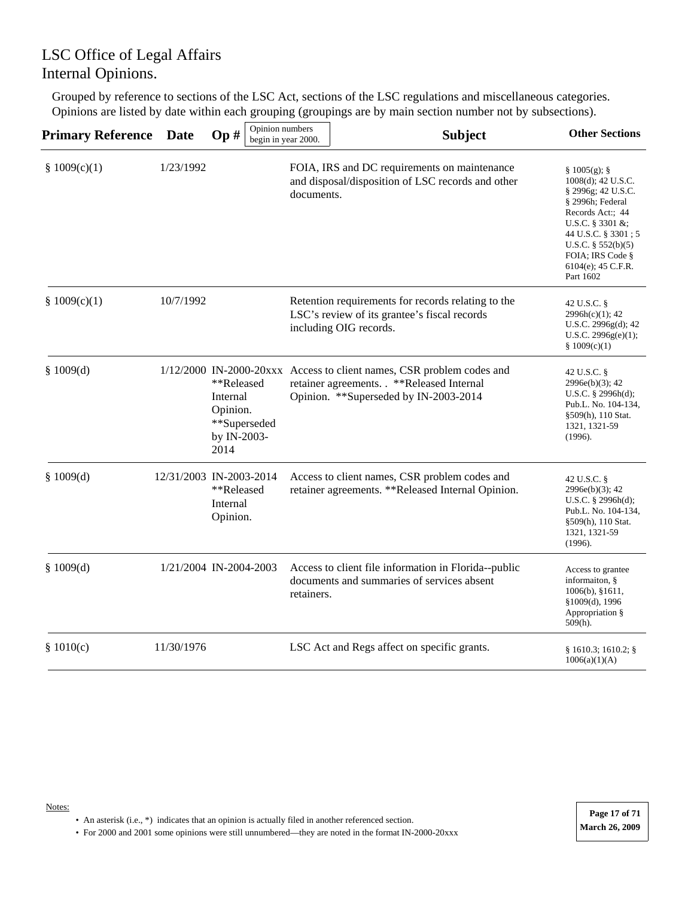Grouped by reference to sections of the LSC Act, sections of the LSC regulations and miscellaneous categories. Opinions are listed by date within each grouping (groupings are by main section number not by subsections).

| <b>Primary Reference</b> | <b>Date</b> | Op#                                                                       | Opinion numbers<br>begin in year 2000. | <b>Subject</b>                                                                                                                                               | <b>Other Sections</b>                                                                                                                                                                                                                |
|--------------------------|-------------|---------------------------------------------------------------------------|----------------------------------------|--------------------------------------------------------------------------------------------------------------------------------------------------------------|--------------------------------------------------------------------------------------------------------------------------------------------------------------------------------------------------------------------------------------|
| § $1009(c)(1)$           | 1/23/1992   |                                                                           | documents.                             | FOIA, IRS and DC requirements on maintenance<br>and disposal/disposition of LSC records and other                                                            | § 1005(g);<br>$1008(d)$ ; 42 U.S.C.<br>§ 2996g; 42 U.S.C.<br>§ 2996h; Federal<br>Records Act:; 44<br>U.S.C. $\S 3301 \&$ ;<br>44 U.S.C. § 3301; 5<br>U.S.C. $\S 552(b)(5)$<br>FOIA; IRS Code §<br>$6104(e)$ ; 45 C.F.R.<br>Part 1602 |
| § $1009(c)(1)$           | 10/7/1992   |                                                                           |                                        | Retention requirements for records relating to the<br>LSC's review of its grantee's fiscal records<br>including OIG records.                                 | 42 U.S.C. §<br>2996h(c)(1); 42<br>U.S.C. 2996g(d); 42<br>U.S.C. 2996g(e)(1);<br>§ 1009(c)(1)                                                                                                                                         |
| § $1009(d)$              |             | **Released<br>Internal<br>Opinion.<br>**Superseded<br>by IN-2003-<br>2014 |                                        | 1/12/2000 IN-2000-20xxx Access to client names, CSR problem codes and<br>retainer agreements. . **Released Internal<br>Opinion. **Superseded by IN-2003-2014 | 42 U.S.C. §<br>$2996e(b)(3)$ ; 42<br>U.S.C. $\S$ 2996h(d);<br>Pub.L. No. 104-134,<br>§509(h), 110 Stat.<br>1321, 1321-59<br>(1996).                                                                                                  |
| \$1009(d)                |             | 12/31/2003 IN-2003-2014<br>**Released<br>Internal<br>Opinion.             |                                        | Access to client names, CSR problem codes and<br>retainer agreements. **Released Internal Opinion.                                                           | 42 U.S.C. §<br>2996e(b)(3); 42<br>U.S.C. $\S$ 2996h(d);<br>Pub.L. No. 104-134,<br>§509(h), 110 Stat.<br>1321, 1321-59<br>(1996).                                                                                                     |
| § $1009(d)$              |             | 1/21/2004 IN-2004-2003                                                    | retainers.                             | Access to client file information in Florida--public<br>documents and summaries of services absent                                                           | Access to grantee<br>informaiton, §<br>$1006(b)$ , §1611,<br>§1009(d), 1996<br>Appropriation §<br>$509(h)$ .                                                                                                                         |
| \$1010(c)                | 11/30/1976  |                                                                           |                                        | LSC Act and Regs affect on specific grants.                                                                                                                  | § 1610.3; 1610.2;<br>1006(a)(1)(A)                                                                                                                                                                                                   |

• An asterisk (i.e., \*) indicates that an opinion is actually filed in another referenced section.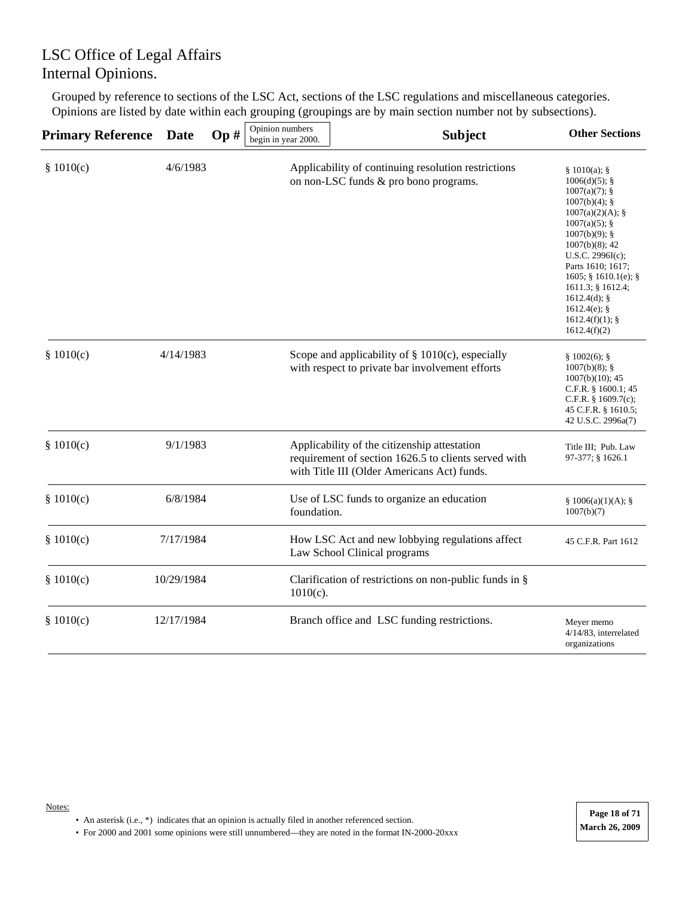Grouped by reference to sections of the LSC Act, sections of the LSC regulations and miscellaneous categories. Opinions are listed by date within each grouping (groupings are by main section number not by subsections).

| <b>Primary Reference</b> | <b>Date</b> | Op# | Opinion numbers<br>begin in year 2000. | <b>Subject</b>                                                                                                                                      | <b>Other Sections</b>                                                                                                                                                                                                                                                                                                 |
|--------------------------|-------------|-----|----------------------------------------|-----------------------------------------------------------------------------------------------------------------------------------------------------|-----------------------------------------------------------------------------------------------------------------------------------------------------------------------------------------------------------------------------------------------------------------------------------------------------------------------|
| \$1010(c)                | 4/6/1983    |     |                                        | Applicability of continuing resolution restrictions<br>on non-LSC funds & pro bono programs.                                                        | § 1010(a);<br>$1006(d)(5)$ ; §<br>$1007(a)(7)$ ; §<br>$1007(b)(4)$ ; §<br>1007(a)(2)(A);<br>$1007(a)(5)$ ; §<br>$1007(b)(9)$ ; §<br>$1007(b)(8)$ ; 42<br>U.S.C. 2996I(c);<br>Parts 1610; 1617;<br>$1605$ ; § 1610.1(e); §<br>1611.3; § 1612.4;<br>$1612.4(d)$ ; §<br>$1612.4(e)$ ; §<br>1612.4(f)(1);<br>1612.4(f)(2) |
| \$1010(c)                | 4/14/1983   |     |                                        | Scope and applicability of $\S$ 1010(c), especially<br>with respect to private bar involvement efforts                                              | § 1002(6);<br>$1007(b)(8);$ §<br>$1007(b)(10)$ ; 45<br>C.F.R. $§$ 1600.1; 45<br>C.F.R. $§$ 1609.7(c);<br>45 C.F.R. § 1610.5;<br>42 U.S.C. 2996a(7)                                                                                                                                                                    |
| \$1010(c)                | 9/1/1983    |     |                                        | Applicability of the citizenship attestation<br>requirement of section 1626.5 to clients served with<br>with Title III (Older Americans Act) funds. | Title III: Pub. Law<br>97-377; § 1626.1                                                                                                                                                                                                                                                                               |
| \$1010(c)                | 6/8/1984    |     | foundation.                            | Use of LSC funds to organize an education                                                                                                           | § 1006(a)(1)(A);<br>1007(b)(7)                                                                                                                                                                                                                                                                                        |
| \$1010(c)                | 7/17/1984   |     |                                        | How LSC Act and new lobbying regulations affect<br>Law School Clinical programs                                                                     | 45 C.F.R. Part 1612                                                                                                                                                                                                                                                                                                   |
| \$1010(c)                | 10/29/1984  |     | $1010(c)$ .                            | Clarification of restrictions on non-public funds in §                                                                                              |                                                                                                                                                                                                                                                                                                                       |
| \$1010(c)                | 12/17/1984  |     |                                        | Branch office and LSC funding restrictions.                                                                                                         | Meyer memo<br>4/14/83, interrelated<br>organizations                                                                                                                                                                                                                                                                  |

• An asterisk (i.e., \*) indicates that an opinion is actually filed in another referenced section.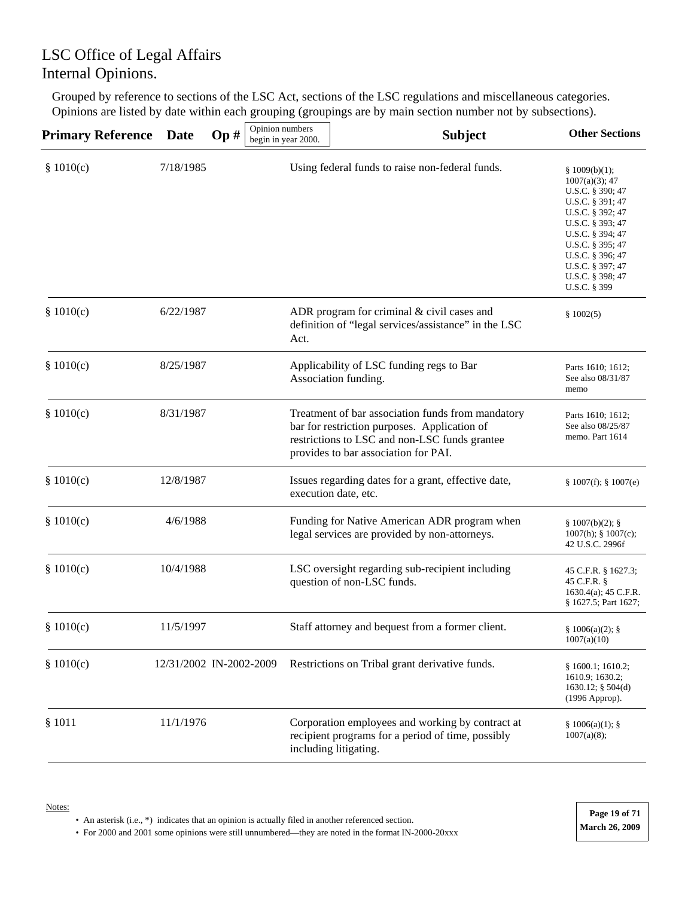Grouped by reference to sections of the LSC Act, sections of the LSC regulations and miscellaneous categories. Opinions are listed by date within each grouping (groupings are by main section number not by subsections).

| <b>Primary Reference</b> | <b>Date</b> | Op#                     | Opinion numbers<br>begin in year 2000. | <b>Subject</b>                                                                                                                                                                             | <b>Other Sections</b>                                                                                                                                                                                                                  |
|--------------------------|-------------|-------------------------|----------------------------------------|--------------------------------------------------------------------------------------------------------------------------------------------------------------------------------------------|----------------------------------------------------------------------------------------------------------------------------------------------------------------------------------------------------------------------------------------|
| \$1010(c)                | 7/18/1985   |                         |                                        | Using federal funds to raise non-federal funds.                                                                                                                                            | \$1009(b)(1);<br>$1007(a)(3)$ ; 47<br>U.S.C. § 390; 47<br>U.S.C. § 391; 47<br>U.S.C. § 392; 47<br>U.S.C. § 393; 47<br>U.S.C. § 394; 47<br>U.S.C. § 395; 47<br>U.S.C. § 396; 47<br>U.S.C. § 397; 47<br>U.S.C. § 398; 47<br>U.S.C. § 399 |
| \$1010(c)                | 6/22/1987   |                         | Act.                                   | ADR program for criminal & civil cases and<br>definition of "legal services/assistance" in the LSC                                                                                         | \$1002(5)                                                                                                                                                                                                                              |
| \$1010(c)                | 8/25/1987   |                         |                                        | Applicability of LSC funding regs to Bar<br>Association funding.                                                                                                                           | Parts 1610; 1612;<br>See also 08/31/87<br>memo                                                                                                                                                                                         |
| \$1010(c)                | 8/31/1987   |                         |                                        | Treatment of bar association funds from mandatory<br>bar for restriction purposes. Application of<br>restrictions to LSC and non-LSC funds grantee<br>provides to bar association for PAI. | Parts 1610; 1612;<br>See also 08/25/87<br>memo. Part 1614                                                                                                                                                                              |
| \$1010(c)                | 12/8/1987   |                         |                                        | Issues regarding dates for a grant, effective date,<br>execution date, etc.                                                                                                                | \$1007(f); \$1007(e)                                                                                                                                                                                                                   |
| \$1010(c)                | 4/6/1988    |                         |                                        | Funding for Native American ADR program when<br>legal services are provided by non-attorneys.                                                                                              | § 1007(b)(2);<br>$1007(h)$ ; § $1007(c)$ ;<br>42 U.S.C. 2996f                                                                                                                                                                          |
| \$1010(c)                | 10/4/1988   |                         |                                        | LSC oversight regarding sub-recipient including<br>question of non-LSC funds.                                                                                                              | 45 C.F.R. § 1627.3;<br>45 C.F.R. §<br>1630.4(a); 45 C.F.R.<br>§ 1627.5; Part 1627;                                                                                                                                                     |
| \$1010(c)                | 11/5/1997   |                         |                                        | Staff attorney and bequest from a former client.                                                                                                                                           | § 1006(a)(2);<br>1007(a)(10)                                                                                                                                                                                                           |
| \$1010(c)                |             | 12/31/2002 IN-2002-2009 |                                        | Restrictions on Tribal grant derivative funds.                                                                                                                                             | § 1600.1; 1610.2;<br>1610.9; 1630.2;<br>1630.12; § 504(d)<br>(1996 Approp).                                                                                                                                                            |
| \$1011                   | 11/1/1976   |                         |                                        | Corporation employees and working by contract at<br>recipient programs for a period of time, possibly<br>including litigating.                                                             | § 1006(a)(1);<br>1007(a)(8);                                                                                                                                                                                                           |

• An asterisk (i.e., \*) indicates that an opinion is actually filed in another referenced section.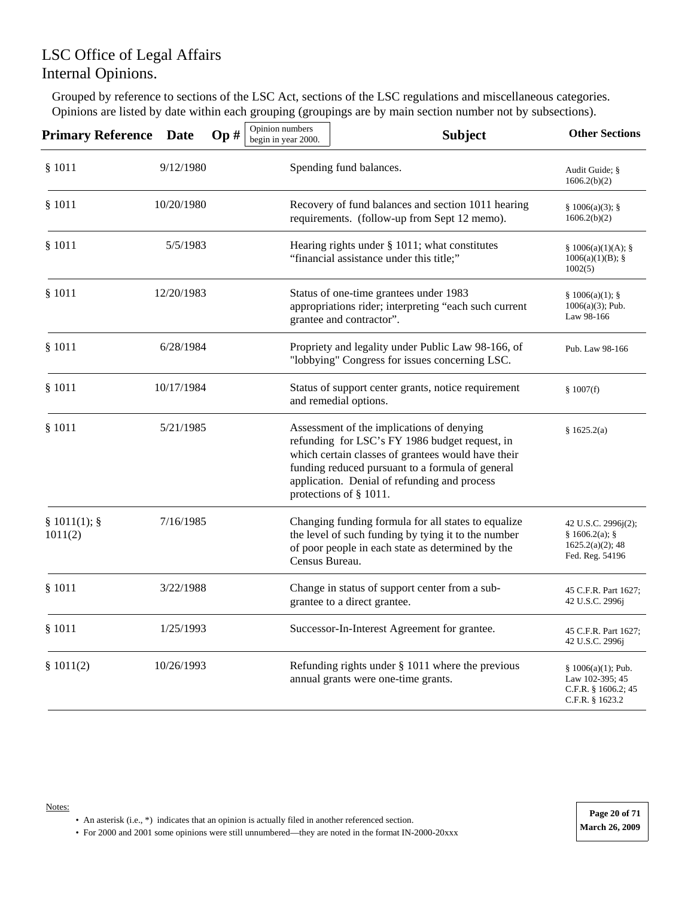Grouped by reference to sections of the LSC Act, sections of the LSC regulations and miscellaneous categories. Opinions are listed by date within each grouping (groupings are by main section number not by subsections).

| <b>Primary Reference Date</b> |            | Op# | Opinion numbers<br>begin in year 2000. | <b>Subject</b>                                                                                                                                                                                                                                                                  | <b>Other Sections</b>                                                               |
|-------------------------------|------------|-----|----------------------------------------|---------------------------------------------------------------------------------------------------------------------------------------------------------------------------------------------------------------------------------------------------------------------------------|-------------------------------------------------------------------------------------|
| \$1011                        | 9/12/1980  |     |                                        | Spending fund balances.                                                                                                                                                                                                                                                         | Audit Guide; §<br>1606.2(b)(2)                                                      |
| \$1011                        | 10/20/1980 |     |                                        | Recovery of fund balances and section 1011 hearing<br>requirements. (follow-up from Sept 12 memo).                                                                                                                                                                              | § 1006(a)(3);<br>1606.2(b)(2)                                                       |
| \$1011                        | 5/5/1983   |     |                                        | Hearing rights under § 1011; what constitutes<br>"financial assistance under this title;"                                                                                                                                                                                       | § 1006(a)(1)(A);<br>$1006(a)(1)(B)$ ; §<br>1002(5)                                  |
| \$1011                        | 12/20/1983 |     |                                        | Status of one-time grantees under 1983<br>appropriations rider; interpreting "each such current<br>grantee and contractor".                                                                                                                                                     | § 1006(a)(1);<br>$1006(a)(3)$ ; Pub.<br>Law 98-166                                  |
| \$1011                        | 6/28/1984  |     |                                        | Propriety and legality under Public Law 98-166, of<br>"lobbying" Congress for issues concerning LSC.                                                                                                                                                                            | Pub. Law 98-166                                                                     |
| \$1011                        | 10/17/1984 |     |                                        | Status of support center grants, notice requirement<br>and remedial options.                                                                                                                                                                                                    | \$1007(f)                                                                           |
| \$1011                        | 5/21/1985  |     |                                        | Assessment of the implications of denying<br>refunding for LSC's FY 1986 budget request, in<br>which certain classes of grantees would have their<br>funding reduced pursuant to a formula of general<br>application. Denial of refunding and process<br>protections of § 1011. | \$1625.2(a)                                                                         |
| § 1011(1);<br>1011(2)         | 7/16/1985  |     | Census Bureau.                         | Changing funding formula for all states to equalize<br>the level of such funding by tying it to the number<br>of poor people in each state as determined by the                                                                                                                 | 42 U.S.C. 2996j(2);<br>§ 1606.2(a); §<br>$1625.2(a)(2)$ ; 48<br>Fed. Reg. 54196     |
| \$1011                        | 3/22/1988  |     |                                        | Change in status of support center from a sub-<br>grantee to a direct grantee.                                                                                                                                                                                                  | 45 C.F.R. Part 1627;<br>42 U.S.C. 2996j                                             |
| \$1011                        | 1/25/1993  |     |                                        | Successor-In-Interest Agreement for grantee.                                                                                                                                                                                                                                    | 45 C.F.R. Part 1627;<br>42 U.S.C. 2996j                                             |
| \$1011(2)                     | 10/26/1993 |     |                                        | Refunding rights under $\S$ 1011 where the previous<br>annual grants were one-time grants.                                                                                                                                                                                      | $§ 1006(a)(1);$ Pub.<br>Law 102-395; 45<br>C.F.R. $§$ 1606.2; 45<br>C.F.R. § 1623.2 |

• An asterisk (i.e., \*) indicates that an opinion is actually filed in another referenced section.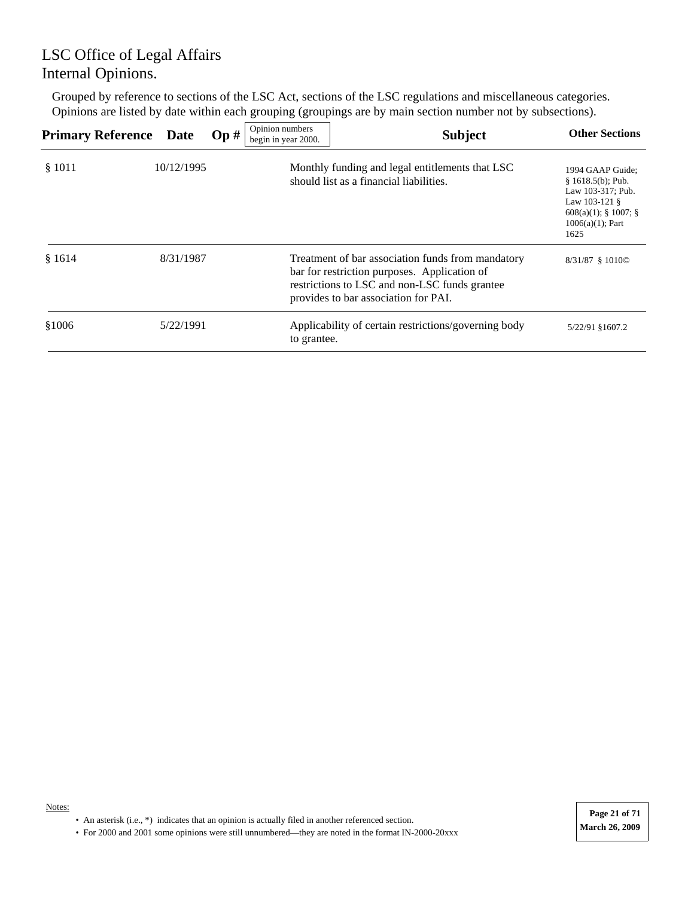Grouped by reference to sections of the LSC Act, sections of the LSC regulations and miscellaneous categories. Opinions are listed by date within each grouping (groupings are by main section number not by subsections).

| <b>Primary Reference Date</b> |            | Op# | Opinion numbers<br>begin in year 2000. | <b>Subject</b>                                                                                                                                                                             | <b>Other Sections</b>                                                                                                                     |
|-------------------------------|------------|-----|----------------------------------------|--------------------------------------------------------------------------------------------------------------------------------------------------------------------------------------------|-------------------------------------------------------------------------------------------------------------------------------------------|
| \$1011                        | 10/12/1995 |     |                                        | Monthly funding and legal entitlements that LSC<br>should list as a financial liabilities.                                                                                                 | 1994 GAAP Guide:<br>$§ 1618.5(b);$ Pub.<br>Law 103-317; Pub.<br>Law $103-121$ §<br>$608(a)(1)$ ; § 1007; §<br>$1006(a)(1)$ ; Part<br>1625 |
| \$1614                        | 8/31/1987  |     |                                        | Treatment of bar association funds from mandatory<br>bar for restriction purposes. Application of<br>restrictions to LSC and non-LSC funds grantee<br>provides to bar association for PAI. | 8/31/87 § 1010©                                                                                                                           |
| \$1006                        | 5/22/1991  |     | to grantee.                            | Applicability of certain restrictions/governing body                                                                                                                                       | 5/22/91 §1607.2                                                                                                                           |

• An asterisk (i.e., \*) indicates that an opinion is actually filed in another referenced section.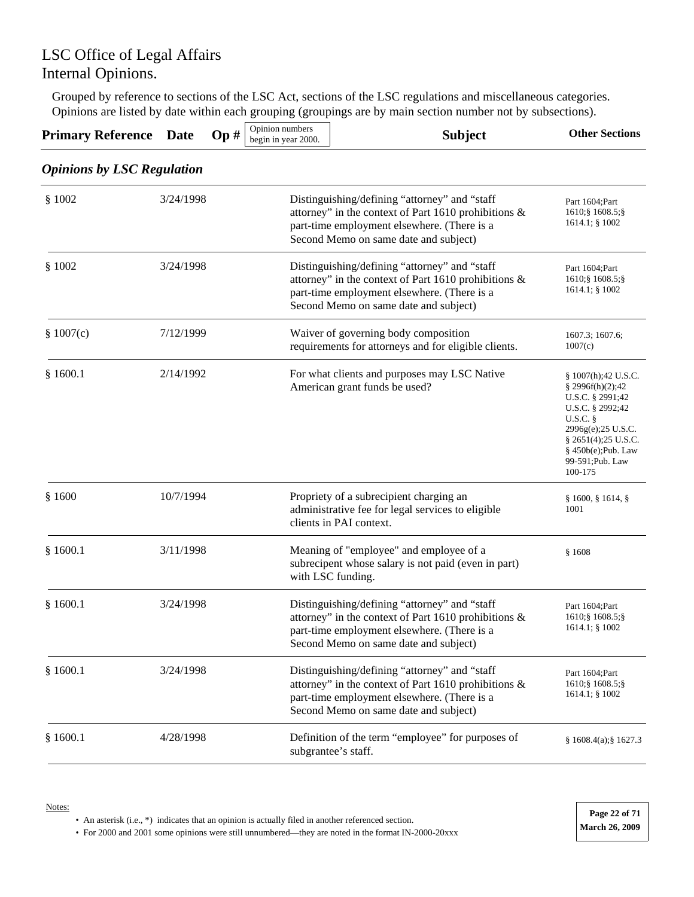Grouped by reference to sections of the LSC Act, sections of the LSC regulations and miscellaneous categories. Opinions are listed by date within each grouping (groupings are by main section number not by subsections).

| <b>Primary Reference Date</b>     |           | Op# | Opinion numbers<br>begin in year 2000. | <b>Subject</b>                                                                                                                                                                                   | <b>Other Sections</b>                                                                                                                                                                                |
|-----------------------------------|-----------|-----|----------------------------------------|--------------------------------------------------------------------------------------------------------------------------------------------------------------------------------------------------|------------------------------------------------------------------------------------------------------------------------------------------------------------------------------------------------------|
| <b>Opinions by LSC Regulation</b> |           |     |                                        |                                                                                                                                                                                                  |                                                                                                                                                                                                      |
| \$1002                            | 3/24/1998 |     |                                        | Distinguishing/defining "attorney" and "staff<br>attorney" in the context of Part 1610 prohibitions &<br>part-time employment elsewhere. (There is a<br>Second Memo on same date and subject)    | Part 1604; Part<br>1610; § 1608.5; §<br>1614.1; § 1002                                                                                                                                               |
| \$1002                            | 3/24/1998 |     |                                        | Distinguishing/defining "attorney" and "staff<br>attorney" in the context of Part 1610 prohibitions &<br>part-time employment elsewhere. (There is a<br>Second Memo on same date and subject)    | Part 1604; Part<br>1610; § 1608.5; §<br>$1614.1$ ; § $1002$                                                                                                                                          |
| \$1007(c)                         | 7/12/1999 |     |                                        | Waiver of governing body composition<br>requirements for attorneys and for eligible clients.                                                                                                     | 1607.3; 1607.6;<br>1007(c)                                                                                                                                                                           |
| \$1600.1                          | 2/14/1992 |     |                                        | For what clients and purposes may LSC Native<br>American grant funds be used?                                                                                                                    | § 1007(h);42 U.S.C.<br>§ 2996f(h)(2);42<br>U.S.C. § 2991;42<br>U.S.C. § 2992;42<br>$U.S.C.$ §<br>2996g(e);25 U.S.C.<br>$§$ 2651(4);25 U.S.C.<br>$§ 450b(e);$ Pub. Law<br>99-591; Pub. Law<br>100-175 |
| \$1600                            | 10/7/1994 |     |                                        | Propriety of a subrecipient charging an<br>administrative fee for legal services to eligible<br>clients in PAI context.                                                                          | $\S$ 1600, $\S$ 1614, $\S$<br>1001                                                                                                                                                                   |
| \$1600.1                          | 3/11/1998 |     |                                        | Meaning of "employee" and employee of a<br>subrecipent whose salary is not paid (even in part)<br>with LSC funding.                                                                              | \$1608                                                                                                                                                                                               |
| \$1600.1                          | 3/24/1998 |     |                                        | Distinguishing/defining "attorney" and "staff<br>attorney" in the context of Part 1610 prohibitions &<br>part-time employment elsewhere. (There is a<br>Second Memo on same date and subject)    | Part 1604; Part<br>1610; § 1608.5; §<br>$1614.1$ ; § $1002$                                                                                                                                          |
| \$1600.1                          | 3/24/1998 |     |                                        | Distinguishing/defining "attorney" and "staff<br>attorney" in the context of Part 1610 prohibitions $\&$<br>part-time employment elsewhere. (There is a<br>Second Memo on same date and subject) | Part 1604; Part<br>1610; § 1608.5; §<br>1614.1; § 1002                                                                                                                                               |
| \$1600.1                          | 4/28/1998 |     |                                        | Definition of the term "employee" for purposes of<br>subgrantee's staff.                                                                                                                         | § 1608.4(a); § 1627.3                                                                                                                                                                                |

Notes:

• An asterisk (i.e., \*) indicates that an opinion is actually filed in another referenced section.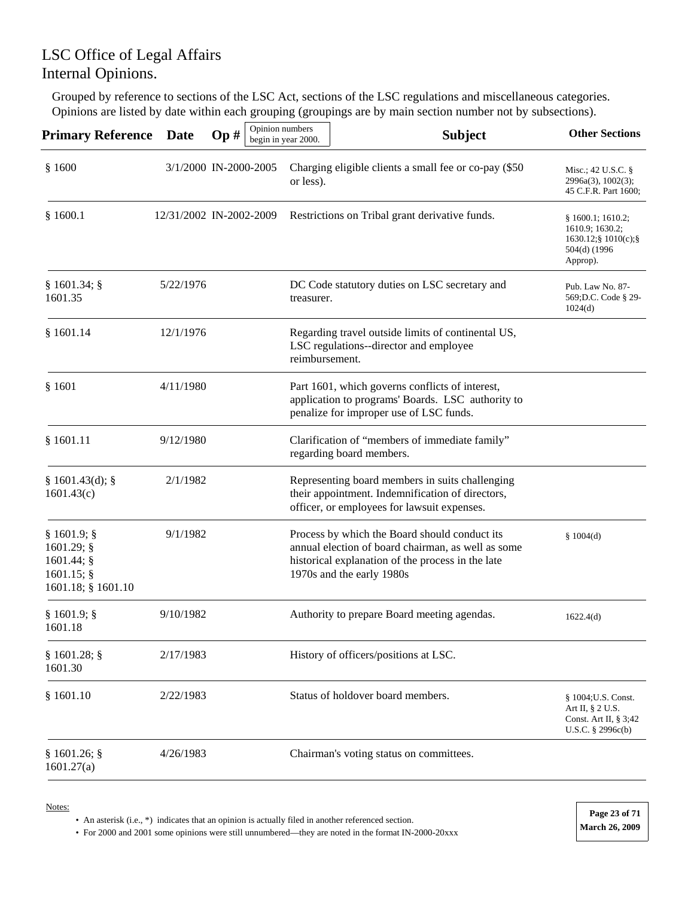Grouped by reference to sections of the LSC Act, sections of the LSC regulations and miscellaneous categories. Opinions are listed by date within each grouping (groupings are by main section number not by subsections).

| <b>Primary Reference</b>                                                     | <b>Date</b>             | Op# | Opinion numbers | begin in year 2000. | <b>Subject</b>                                                                                                                                                                        | <b>Other Sections</b>                                                                                                 |
|------------------------------------------------------------------------------|-------------------------|-----|-----------------|---------------------|---------------------------------------------------------------------------------------------------------------------------------------------------------------------------------------|-----------------------------------------------------------------------------------------------------------------------|
| \$1600                                                                       | 3/1/2000 IN-2000-2005   |     |                 | or less).           | Charging eligible clients a small fee or co-pay (\$50)                                                                                                                                | Misc.; 42 U.S.C. $\S$<br>2996a(3), 1002(3);<br>45 C.F.R. Part 1600;                                                   |
| \$1600.1                                                                     | 12/31/2002 IN-2002-2009 |     |                 |                     | Restrictions on Tribal grant derivative funds.                                                                                                                                        | § 1600.1; 1610.2;<br>1610.9; 1630.2;<br>$1630.12$ ; $\frac{1}{2}1010(c)$ ; $\frac{5}{2}$<br>504(d) (1996)<br>Approp). |
| § 1601.34;<br>1601.35                                                        | 5/22/1976               |     |                 | treasurer.          | DC Code statutory duties on LSC secretary and                                                                                                                                         | Pub. Law No. 87-<br>569; D.C. Code § 29-<br>1024(d)                                                                   |
| \$1601.14                                                                    | 12/1/1976               |     |                 | reimbursement.      | Regarding travel outside limits of continental US,<br>LSC regulations--director and employee                                                                                          |                                                                                                                       |
| \$1601                                                                       | 4/11/1980               |     |                 |                     | Part 1601, which governs conflicts of interest,<br>application to programs' Boards. LSC authority to<br>penalize for improper use of LSC funds.                                       |                                                                                                                       |
| \$1601.11                                                                    | 9/12/1980               |     |                 |                     | Clarification of "members of immediate family"<br>regarding board members.                                                                                                            |                                                                                                                       |
| § 1601.43(d);<br>1601.43(c)                                                  | 2/1/1982                |     |                 |                     | Representing board members in suits challenging<br>their appointment. Indemnification of directors,<br>officer, or employees for lawsuit expenses.                                    |                                                                                                                       |
| § 1601.9;<br>1601.29; §<br>1601.44; §<br>$1601.15$ ; §<br>1601.18; § 1601.10 | 9/1/1982                |     |                 |                     | Process by which the Board should conduct its<br>annual election of board chairman, as well as some<br>historical explanation of the process in the late<br>1970s and the early 1980s | \$1004(d)                                                                                                             |
| $§ 1601.9;$ §<br>1601.18                                                     | 9/10/1982               |     |                 |                     | Authority to prepare Board meeting agendas.                                                                                                                                           | 1622.4(d)                                                                                                             |
| § 1601.28;<br>1601.30                                                        | 2/17/1983               |     |                 |                     | History of officers/positions at LSC.                                                                                                                                                 |                                                                                                                       |
| \$1601.10                                                                    | 2/22/1983               |     |                 |                     | Status of holdover board members.                                                                                                                                                     | § 1004; U.S. Const.<br>Art II, § 2 U.S.<br>Const. Art II, $\S 3;42$<br>U.S.C. $\S 2996c(b)$                           |
| § 1601.26;<br>1601.27(a)                                                     | 4/26/1983               |     |                 |                     | Chairman's voting status on committees.                                                                                                                                               |                                                                                                                       |

Notes:

• An asterisk (i.e., \*) indicates that an opinion is actually filed in another referenced section.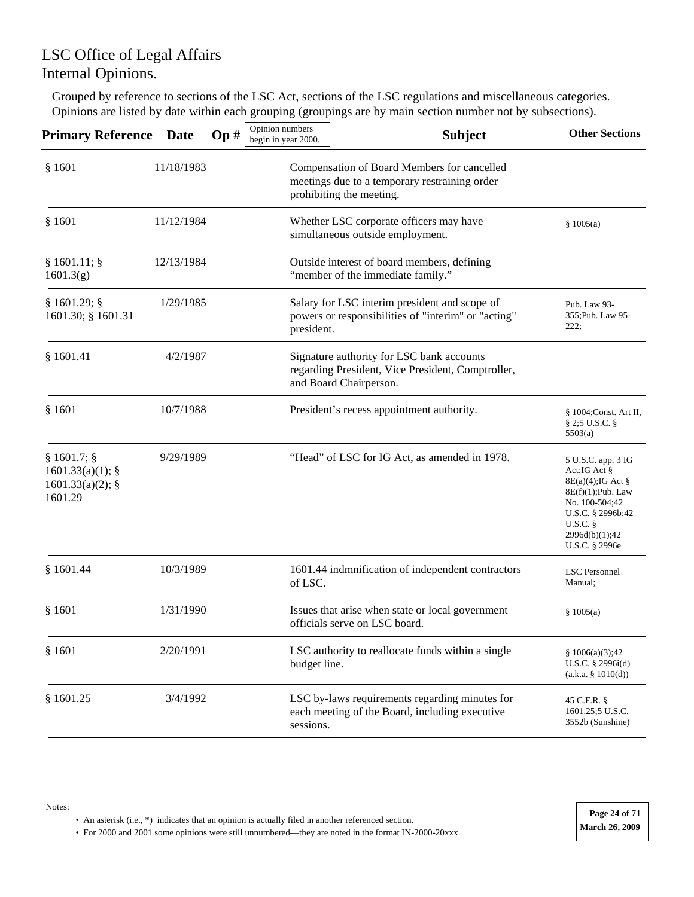Grouped by reference to sections of the LSC Act, sections of the LSC regulations and miscellaneous categories. Opinions are listed by date within each grouping (groupings are by main section number not by subsections).

| <b>Primary Reference</b>                                         | <b>Date</b> | Op# | Opinion numbers<br>begin in year 2000. | <b>Subject</b>                                                                                                           | <b>Other Sections</b>                                                                                                                                                    |
|------------------------------------------------------------------|-------------|-----|----------------------------------------|--------------------------------------------------------------------------------------------------------------------------|--------------------------------------------------------------------------------------------------------------------------------------------------------------------------|
| \$1601                                                           | 11/18/1983  |     |                                        | Compensation of Board Members for cancelled<br>meetings due to a temporary restraining order<br>prohibiting the meeting. |                                                                                                                                                                          |
| \$1601                                                           | 11/12/1984  |     |                                        | Whether LSC corporate officers may have<br>simultaneous outside employment.                                              | \$1005(a)                                                                                                                                                                |
| $§ 1601.11;$ §<br>1601.3(g)                                      | 12/13/1984  |     |                                        | Outside interest of board members, defining<br>"member of the immediate family."                                         |                                                                                                                                                                          |
| § 1601.29;<br>1601.30; § 1601.31                                 | 1/29/1985   |     | president.                             | Salary for LSC interim president and scope of<br>powers or responsibilities of "interim" or "acting"                     | Pub. Law 93-<br>355; Pub. Law 95-<br>222;                                                                                                                                |
| \$1601.41                                                        | 4/2/1987    |     |                                        | Signature authority for LSC bank accounts<br>regarding President, Vice President, Comptroller,<br>and Board Chairperson. |                                                                                                                                                                          |
| \$1601                                                           | 10/7/1988   |     |                                        | President's recess appointment authority.                                                                                | § 1004; Const. Art II,<br>$\S 2;5 \text{ U.S.C.}$<br>5503(a)                                                                                                             |
| $§ 1601.7;$ §<br>1601.33(a)(1);<br>$1601.33(a)(2);$ §<br>1601.29 | 9/29/1989   |     |                                        | "Head" of LSC for IG Act, as amended in 1978.                                                                            | 5 U.S.C. app. 3 IG<br>Act;IG Act §<br>$8E(a)(4)$ ; IG Act §<br>$8E(f)(1);$ Pub. Law<br>No. 100-504;42<br>U.S.C. § 2996b;42<br>U.S.C.<br>2996d(b)(1);42<br>U.S.C. § 2996e |
| \$1601.44                                                        | 10/3/1989   |     | of LSC.                                | 1601.44 indmnification of independent contractors                                                                        | <b>LSC</b> Personnel<br>Manual;                                                                                                                                          |
| \$1601                                                           | 1/31/1990   |     |                                        | Issues that arise when state or local government<br>officials serve on LSC board.                                        | \$1005(a)                                                                                                                                                                |
| \$1601                                                           | 2/20/1991   |     | budget line.                           | LSC authority to reallocate funds within a single                                                                        | \$1006(a)(3);42<br>U.S.C. § 2996i(d)<br>(a.k.a. § 1010(d))                                                                                                               |
| \$1601.25                                                        | 3/4/1992    |     | sessions.                              | LSC by-laws requirements regarding minutes for<br>each meeting of the Board, including executive                         | 45 C.F.R. §<br>1601.25;5 U.S.C.<br>3552b (Sunshine)                                                                                                                      |

• An asterisk (i.e., \*) indicates that an opinion is actually filed in another referenced section.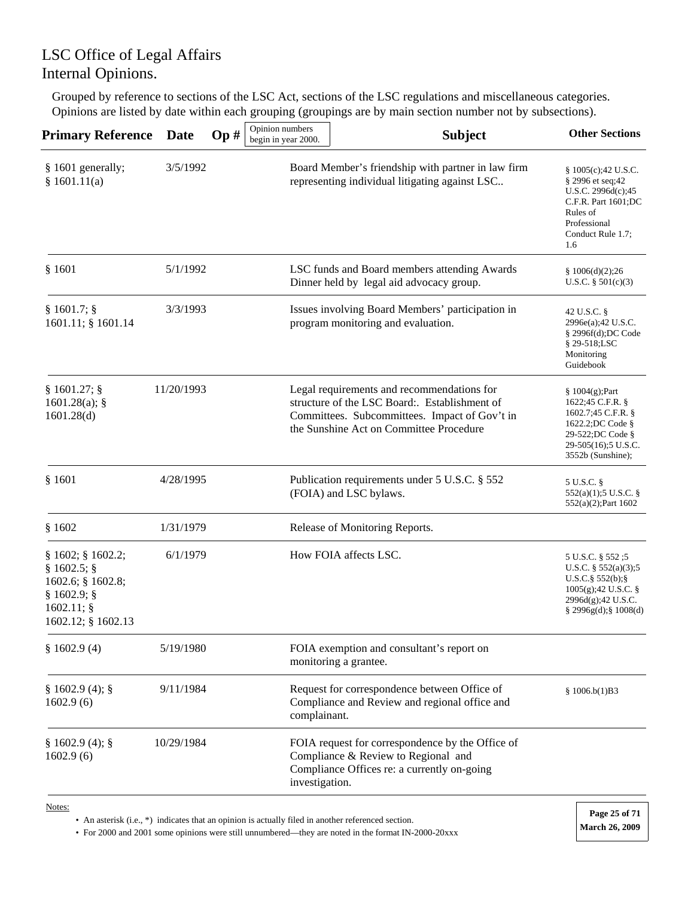Grouped by reference to sections of the LSC Act, sections of the LSC regulations and miscellaneous categories. Opinions are listed by date within each grouping (groupings are by main section number not by subsections).

| <b>Primary Reference</b>                                                                               | <b>Date</b> | Op# | Opinion numbers<br>begin in year 2000. | <b>Subject</b>                                                                                                                                                                          | <b>Other Sections</b>                                                                                                                          |
|--------------------------------------------------------------------------------------------------------|-------------|-----|----------------------------------------|-----------------------------------------------------------------------------------------------------------------------------------------------------------------------------------------|------------------------------------------------------------------------------------------------------------------------------------------------|
| § 1601 generally;<br>\$1601.11(a)                                                                      | 3/5/1992    |     |                                        | Board Member's friendship with partner in law firm<br>representing individual litigating against LSC                                                                                    | § 1005(c);42 U.S.C.<br>§ 2996 et seq;42<br>U.S.C. 2996d(c);45<br>C.F.R. Part 1601;DC<br>Rules of<br>Professional<br>Conduct Rule 1.7;<br>1.6   |
| \$1601                                                                                                 | 5/1/1992    |     |                                        | LSC funds and Board members attending Awards<br>Dinner held by legal aid advocacy group.                                                                                                | \$1006(d)(2);26<br>U.S.C. $§ 501(c)(3)$                                                                                                        |
| $§ 1601.7;$ §<br>1601.11; § 1601.14                                                                    | 3/3/1993    |     |                                        | Issues involving Board Members' participation in<br>program monitoring and evaluation.                                                                                                  | 42 U.S.C. §<br>2996e(a);42 U.S.C.<br>$§$ 2996f(d);DC Code<br>§ 29-518;LSC<br>Monitoring<br>Guidebook                                           |
| § 1601.27;<br>$1601.28(a)$ ; §<br>1601.28(d)                                                           | 11/20/1993  |     |                                        | Legal requirements and recommendations for<br>structure of the LSC Board:. Establishment of<br>Committees. Subcommittees. Impact of Gov't in<br>the Sunshine Act on Committee Procedure | $$1004(g);$ Part<br>1622;45 C.F.R. §<br>1602.7;45 C.F.R. §<br>1622.2;DC Code §<br>29-522;DC Code §<br>29-505(16);5 U.S.C.<br>3552b (Sunshine); |
| \$1601                                                                                                 | 4/28/1995   |     |                                        | Publication requirements under 5 U.S.C. § 552<br>(FOIA) and LSC bylaws.                                                                                                                 | 5 U.S.C. §<br>552(a)(1);5 U.S.C. §<br>552(a)(2);Part 1602                                                                                      |
| \$1602                                                                                                 | 1/31/1979   |     |                                        | Release of Monitoring Reports.                                                                                                                                                          |                                                                                                                                                |
| $§ 1602;$ $§ 1602.2;$<br>§ 1602.5;<br>1602.6; § 1602.8;<br>§ 1602.9;<br>1602.11;<br>1602.12; § 1602.13 | 6/1/1979    |     |                                        | How FOIA affects LSC.                                                                                                                                                                   | 5 U.S.C. § 552 ;5<br>U.S.C. $\S$ 552(a)(3);5<br>$U.S.C.\$ § 552(b); §<br>$1005(g);42$ U.S.C. §<br>2996d(g);42 U.S.C.<br>$§$ 2996g(d);§ 1008(d) |
| \$1602.9(4)                                                                                            | 5/19/1980   |     |                                        | FOIA exemption and consultant's report on<br>monitoring a grantee.                                                                                                                      |                                                                                                                                                |
| § 1602.9(4);<br>1602.9(6)                                                                              | 9/11/1984   |     | complainant.                           | Request for correspondence between Office of<br>Compliance and Review and regional office and                                                                                           | \$1006.b(1)B3                                                                                                                                  |
| § 1602.9(4);<br>1602.9(6)                                                                              | 10/29/1984  |     | investigation.                         | FOIA request for correspondence by the Office of<br>Compliance & Review to Regional and<br>Compliance Offices re: a currently on-going                                                  |                                                                                                                                                |

Notes:

• An asterisk (i.e., \*) indicates that an opinion is actually filed in another referenced section.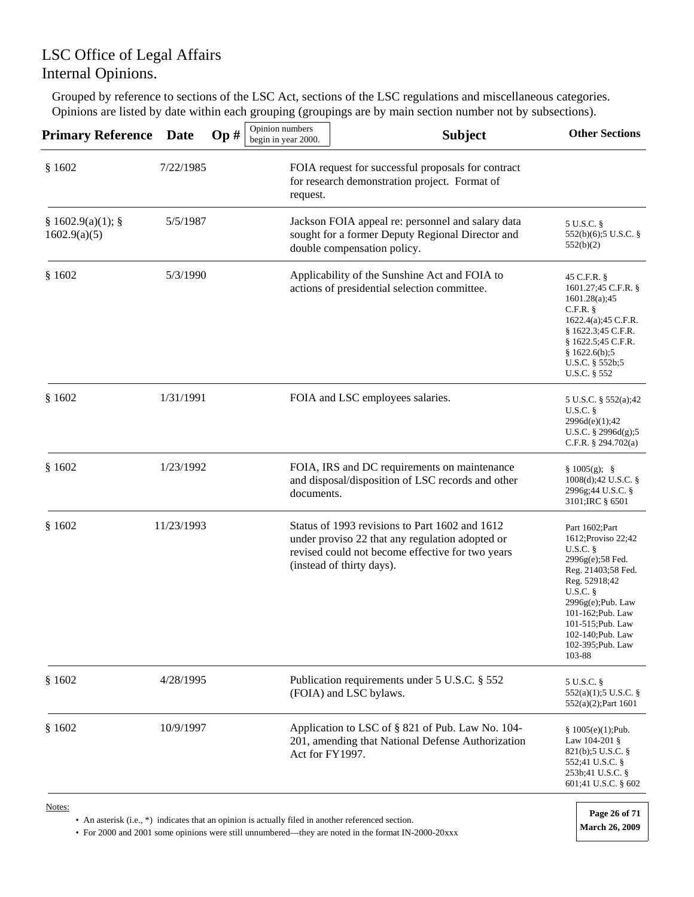Grouped by reference to sections of the LSC Act, sections of the LSC regulations and miscellaneous categories. Opinions are listed by date within each grouping (groupings are by main section number not by subsections).

| <b>Primary Reference</b>        | Date       | Op# | Opinion numbers<br>begin in year 2000. | <b>Subject</b>                                                                                                                                                                     | <b>Other Sections</b>                                                                                                                                                                                                                              |
|---------------------------------|------------|-----|----------------------------------------|------------------------------------------------------------------------------------------------------------------------------------------------------------------------------------|----------------------------------------------------------------------------------------------------------------------------------------------------------------------------------------------------------------------------------------------------|
| \$1602                          | 7/22/1985  |     | request.                               | FOIA request for successful proposals for contract<br>for research demonstration project. Format of                                                                                |                                                                                                                                                                                                                                                    |
| § 1602.9(a)(1);<br>1602.9(a)(5) | 5/5/1987   |     |                                        | Jackson FOIA appeal re: personnel and salary data<br>sought for a former Deputy Regional Director and<br>double compensation policy.                                               | 5 U.S.C. §<br>552(b)(6);5 U.S.C. §<br>552(b)(2)                                                                                                                                                                                                    |
| \$1602                          | 5/3/1990   |     |                                        | Applicability of the Sunshine Act and FOIA to<br>actions of presidential selection committee.                                                                                      | 45 C.F.R. §<br>1601.27;45 C.F.R. §<br>1601.28(a);45<br>$C.F.R.$ §<br>1622.4(a);45 C.F.R.<br>$§$ 1622.3;45 C.F.R.<br>§ 1622.5;45 C.F.R.<br>\$1622.6(b);5<br>U.S.C. $\S 552b;5$<br>U.S.C. § 552                                                      |
| \$1602                          | 1/31/1991  |     |                                        | FOIA and LSC employees salaries.                                                                                                                                                   | 5 U.S.C. § 552(a);42<br><b>U.S.C.</b> §<br>2996d(e)(1);42<br>U.S.C. § 2996d(g);5<br>C.F.R. $\S$ 294.702(a)                                                                                                                                         |
| \$1602                          | 1/23/1992  |     | documents.                             | FOIA, IRS and DC requirements on maintenance<br>and disposal/disposition of LSC records and other                                                                                  | $§ 1005(g);$ §<br>$1008(d);42$ U.S.C. §<br>2996g;44 U.S.C. §<br>3101; IRC § 6501                                                                                                                                                                   |
| \$1602                          | 11/23/1993 |     |                                        | Status of 1993 revisions to Part 1602 and 1612<br>under proviso 22 that any regulation adopted or<br>revised could not become effective for two years<br>(instead of thirty days). | Part 1602;Part<br>1612; Proviso 22; 42<br>U.S.C.<br>$2996g(e); 58$ Fed.<br>Reg. 21403;58 Fed.<br>Reg. 52918;42<br>$U.S.C.$ §<br>$2996g(e);$ Pub. Law<br>101-162; Pub. Law<br>101-515; Pub. Law<br>102-140; Pub. Law<br>102-395; Pub. Law<br>103-88 |
| \$1602                          | 4/28/1995  |     |                                        | Publication requirements under 5 U.S.C. § 552<br>(FOIA) and LSC bylaws.                                                                                                            | 5 U.S.C. §<br>552(a)(1);5 U.S.C. §<br>552(a)(2); Part 1601                                                                                                                                                                                         |
| \$1602                          | 10/9/1997  |     | Act for FY1997.                        | Application to LSC of § 821 of Pub. Law No. 104-<br>201, amending that National Defense Authorization                                                                              | $$1005(e)(1);$ Pub.<br>Law 104-201 §<br>821(b); 5 U.S.C.<br>552;41 U.S.C. §<br>253b;41 U.S.C. §<br>601;41 U.S.C. § 602                                                                                                                             |
| Notes:                          |            |     |                                        |                                                                                                                                                                                    |                                                                                                                                                                                                                                                    |

• An asterisk (i.e., \*) indicates that an opinion is actually filed in another referenced section.

• For 2000 and 2001 some opinions were still unnumbered—they are noted in the format IN-2000-20xxx **March 26, 2009** 

**Page 26 of 71**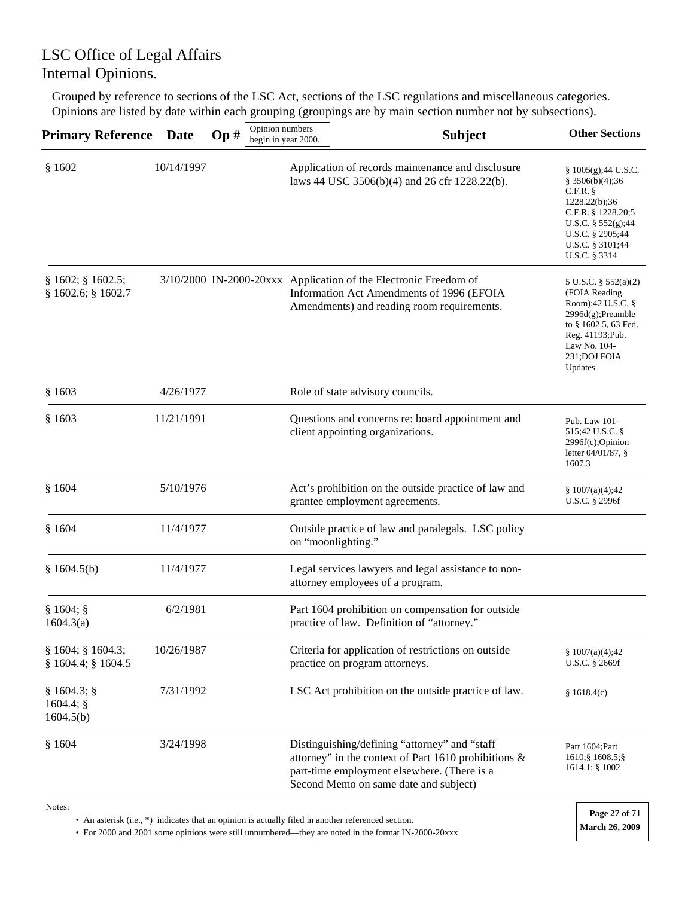Grouped by reference to sections of the LSC Act, sections of the LSC regulations and miscellaneous categories. Opinions are listed by date within each grouping (groupings are by main section number not by subsections).

| <b>Primary Reference</b>                  | Date       | Op# | Opinion numbers<br>begin in year 2000. | <b>Subject</b>                                                                                                                                                                                | <b>Other Sections</b>                                                                                                                                                               |
|-------------------------------------------|------------|-----|----------------------------------------|-----------------------------------------------------------------------------------------------------------------------------------------------------------------------------------------------|-------------------------------------------------------------------------------------------------------------------------------------------------------------------------------------|
| \$1602                                    | 10/14/1997 |     |                                        | Application of records maintenance and disclosure<br>laws 44 USC 3506(b)(4) and 26 cfr 1228.22(b).                                                                                            | $\S 1005(g);44 U.S.C.$<br>§ 3506(b)(4);36<br>$C.F.R.$ §<br>1228.22(b);36<br>C.F.R. $§$ 1228.20;5<br>U.S.C. $\S 552(g)$ ;44<br>U.S.C. § 2905;44<br>U.S.C. § 3101;44<br>U.S.C. § 3314 |
| $§ 1602;$ § 1602.5;<br>§ 1602.6; § 1602.7 |            |     |                                        | 3/10/2000 IN-2000-20xxx Application of the Electronic Freedom of<br>Information Act Amendments of 1996 (EFOIA<br>Amendments) and reading room requirements.                                   | 5 U.S.C. § 552(a)(2)<br>(FOIA Reading<br>Room);42 U.S.C. $\S$<br>$2996d(g);$ Preamble<br>to § 1602.5, 63 Fed.<br>Reg. 41193; Pub.<br>Law No. 104-<br>231; DOJ FOIA<br>Updates       |
| \$1603                                    | 4/26/1977  |     |                                        | Role of state advisory councils.                                                                                                                                                              |                                                                                                                                                                                     |
| \$1603                                    | 11/21/1991 |     |                                        | Questions and concerns re: board appointment and<br>client appointing organizations.                                                                                                          | Pub. Law 101-<br>515;42 U.S.C. §<br>$2996f(c)$ ; Opinion<br>letter $04/01/87$ , §<br>1607.3                                                                                         |
| \$1604                                    | 5/10/1976  |     |                                        | Act's prohibition on the outside practice of law and<br>grantee employment agreements.                                                                                                        | \$1007(a)(4);42<br>U.S.C. § 2996f                                                                                                                                                   |
| \$1604                                    | 11/4/1977  |     |                                        | Outside practice of law and paralegals. LSC policy<br>on "moonlighting."                                                                                                                      |                                                                                                                                                                                     |
| § $1604.5(b)$                             | 11/4/1977  |     |                                        | Legal services lawyers and legal assistance to non-<br>attorney employees of a program.                                                                                                       |                                                                                                                                                                                     |
| § 1604;<br>1604.3(a)                      | 6/2/1981   |     |                                        | Part 1604 prohibition on compensation for outside<br>practice of law. Definition of "attorney."                                                                                               |                                                                                                                                                                                     |
| § 1604; § 1604.3;<br>§ 1604.4; § 1604.5   | 10/26/1987 |     |                                        | Criteria for application of restrictions on outside<br>practice on program attorneys.                                                                                                         | § $1007(a)(4);42$<br>U.S.C. § 2669f                                                                                                                                                 |
| § 1604.3;<br>$1604.4$ ; §<br>1604.5(b)    | 7/31/1992  |     |                                        | LSC Act prohibition on the outside practice of law.                                                                                                                                           | \$1618.4(c)                                                                                                                                                                         |
| \$1604                                    | 3/24/1998  |     |                                        | Distinguishing/defining "attorney" and "staff<br>attorney" in the context of Part 1610 prohibitions &<br>part-time employment elsewhere. (There is a<br>Second Memo on same date and subject) | Part 1604; Part<br>1610; § 1608.5; §<br>$1614.1$ ; § $1002$                                                                                                                         |
|                                           |            |     |                                        |                                                                                                                                                                                               |                                                                                                                                                                                     |

Notes:

• An asterisk (i.e., \*) indicates that an opinion is actually filed in another referenced section.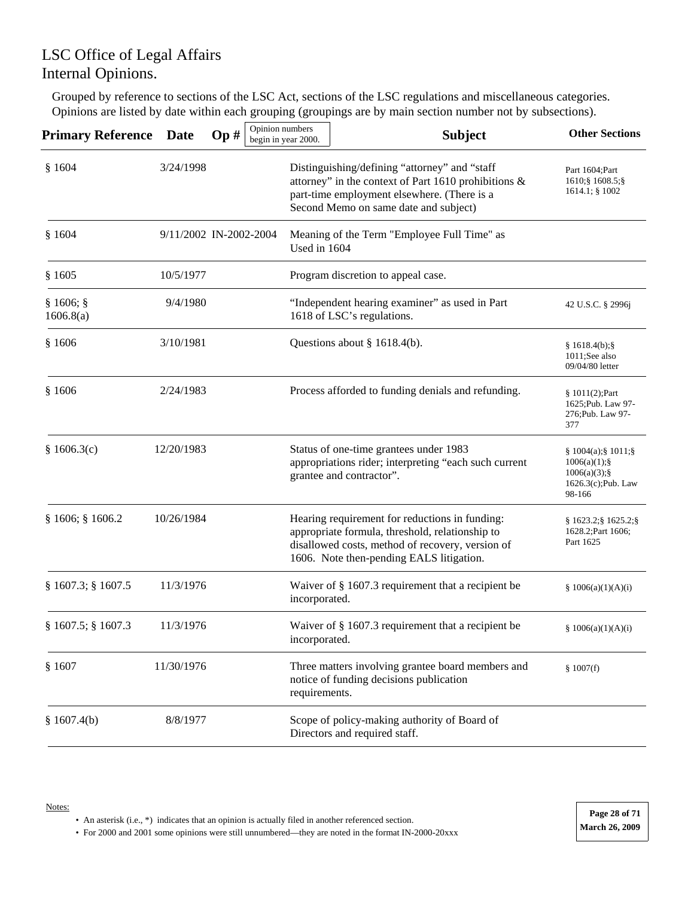Grouped by reference to sections of the LSC Act, sections of the LSC regulations and miscellaneous categories. Opinions are listed by date within each grouping (groupings are by main section number not by subsections).

| <b>Primary Reference Date</b> |                        | Op# | Opinion numbers<br>begin in year 2000. |               | <b>Subject</b>                                                                                                                                                                                    | <b>Other Sections</b>                                                                       |
|-------------------------------|------------------------|-----|----------------------------------------|---------------|---------------------------------------------------------------------------------------------------------------------------------------------------------------------------------------------------|---------------------------------------------------------------------------------------------|
| \$1604                        | 3/24/1998              |     |                                        |               | Distinguishing/defining "attorney" and "staff<br>attorney" in the context of Part 1610 prohibitions &<br>part-time employment elsewhere. (There is a<br>Second Memo on same date and subject)     |                                                                                             |
| \$1604                        | 9/11/2002 IN-2002-2004 |     |                                        | Used in 1604  | Meaning of the Term "Employee Full Time" as                                                                                                                                                       |                                                                                             |
| \$1605                        | 10/5/1977              |     |                                        |               | Program discretion to appeal case.                                                                                                                                                                |                                                                                             |
| § 1606;<br>1606.8(a)          | 9/4/1980               |     |                                        |               | "Independent hearing examiner" as used in Part<br>1618 of LSC's regulations.                                                                                                                      | 42 U.S.C. § 2996j                                                                           |
| \$1606                        | 3/10/1981              |     |                                        |               | Questions about $\S$ 1618.4(b).                                                                                                                                                                   | § 1618.4(b);<br>1011;See also<br>09/04/80 letter                                            |
| \$1606                        | 2/24/1983              |     |                                        |               | Process afforded to funding denials and refunding.                                                                                                                                                | § 1011(2);Part<br>1625; Pub. Law 97-<br>276; Pub. Law 97-<br>377                            |
| \$1606.3(c)                   | 12/20/1983             |     |                                        |               | Status of one-time grantees under 1983<br>appropriations rider; interpreting "each such current<br>grantee and contractor".                                                                       | $§ 1004(a);$ § 1011;§<br>$1006(a)(1);$ §<br>$1006(a)(3);$ §<br>1626.3(c);Pub. Law<br>98-166 |
| § 1606; § 1606.2              | 10/26/1984             |     |                                        |               | Hearing requirement for reductions in funding:<br>appropriate formula, threshold, relationship to<br>disallowed costs, method of recovery, version of<br>1606. Note then-pending EALS litigation. | $§ 1623.2$ ; $§ 1625.2$ ; $§$<br>1628.2; Part 1606;<br>Part 1625                            |
| § 1607.3; § 1607.5            | 11/3/1976              |     |                                        | incorporated. | Waiver of $§$ 1607.3 requirement that a recipient be                                                                                                                                              | § $1006(a)(1)(A)(i)$                                                                        |
| § 1607.5; § 1607.3            | 11/3/1976              |     |                                        | incorporated. | Waiver of $\S$ 1607.3 requirement that a recipient be                                                                                                                                             | \$1006(a)(1)(A)(i)                                                                          |
| \$1607                        | 11/30/1976             |     |                                        | requirements. | Three matters involving grantee board members and<br>notice of funding decisions publication                                                                                                      | \$1007(f)                                                                                   |
| \$1607.4(b)                   | 8/8/1977               |     |                                        |               | Scope of policy-making authority of Board of<br>Directors and required staff.                                                                                                                     |                                                                                             |

• An asterisk (i.e., \*) indicates that an opinion is actually filed in another referenced section.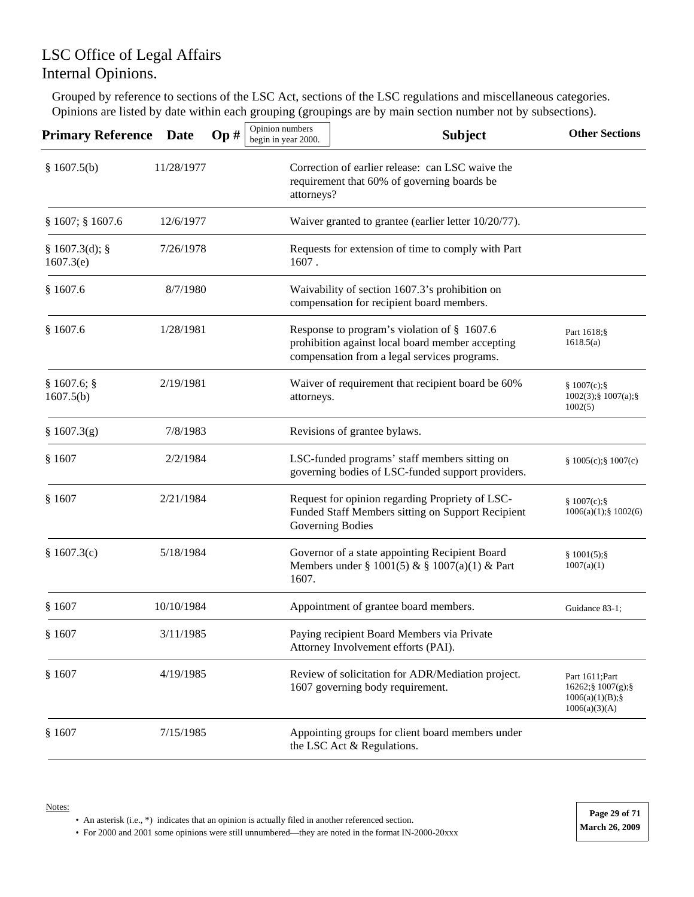Grouped by reference to sections of the LSC Act, sections of the LSC regulations and miscellaneous categories. Opinions are listed by date within each grouping (groupings are by main section number not by subsections).

| <b>Primary Reference</b>  | <b>Date</b> | Op# | Opinion numbers<br>begin in year 2000. | <b>Subject</b>                                                                                                                                  | <b>Other Sections</b>                                                   |
|---------------------------|-------------|-----|----------------------------------------|-------------------------------------------------------------------------------------------------------------------------------------------------|-------------------------------------------------------------------------|
| \$1607.5(b)               | 11/28/1977  |     | attorneys?                             | Correction of earlier release: can LSC waive the<br>requirement that 60% of governing boards be                                                 |                                                                         |
| § 1607; § 1607.6          | 12/6/1977   |     |                                        | Waiver granted to grantee (earlier letter 10/20/77).                                                                                            |                                                                         |
| § 1607.3(d);<br>1607.3(e) | 7/26/1978   |     | 1607.                                  | Requests for extension of time to comply with Part                                                                                              |                                                                         |
| \$1607.6                  | 8/7/1980    |     |                                        | Waivability of section 1607.3's prohibition on<br>compensation for recipient board members.                                                     |                                                                         |
| \$1607.6                  | 1/28/1981   |     |                                        | Response to program's violation of § 1607.6<br>prohibition against local board member accepting<br>compensation from a legal services programs. | Part 1618;§<br>1618.5(a)                                                |
| § 1607.6;<br>1607.5(b)    | 2/19/1981   |     | attorneys.                             | Waiver of requirement that recipient board be 60%                                                                                               | § $1007(c);$ §<br>$1002(3)$ ; § $1007(a)$ ; §<br>1002(5)                |
| § 1607.3(g)               | 7/8/1983    |     |                                        | Revisions of grantee bylaws.                                                                                                                    |                                                                         |
| § 1607                    | 2/2/1984    |     |                                        | LSC-funded programs' staff members sitting on<br>governing bodies of LSC-funded support providers.                                              | § 1005(c);§ 1007(c)                                                     |
| § 1607                    | 2/21/1984   |     |                                        | Request for opinion regarding Propriety of LSC-<br>Funded Staff Members sitting on Support Recipient<br>Governing Bodies                        | § $1007(c);$ §<br>$1006(a)(1);$ \$ $1002(6)$                            |
| § 1607.3(c)               | 5/18/1984   |     | 1607.                                  | Governor of a state appointing Recipient Board<br>Members under § 1001(5) & § 1007(a)(1) & Part                                                 | \$1001(5);<br>1007(a)(1)                                                |
| § 1607                    | 10/10/1984  |     |                                        | Appointment of grantee board members.                                                                                                           | Guidance 83-1;                                                          |
| \$1607                    | 3/11/1985   |     |                                        | Paying recipient Board Members via Private<br>Attorney Involvement efforts (PAI).                                                               |                                                                         |
| § 1607                    | 4/19/1985   |     |                                        | Review of solicitation for ADR/Mediation project.<br>1607 governing body requirement.                                                           | Part 1611; Part<br>16262;§ 1007(g);§<br>1006(a)(1)(B);<br>1006(a)(3)(A) |
| \$1607                    | 7/15/1985   |     |                                        | Appointing groups for client board members under<br>the LSC Act & Regulations.                                                                  |                                                                         |

• An asterisk (i.e., \*) indicates that an opinion is actually filed in another referenced section.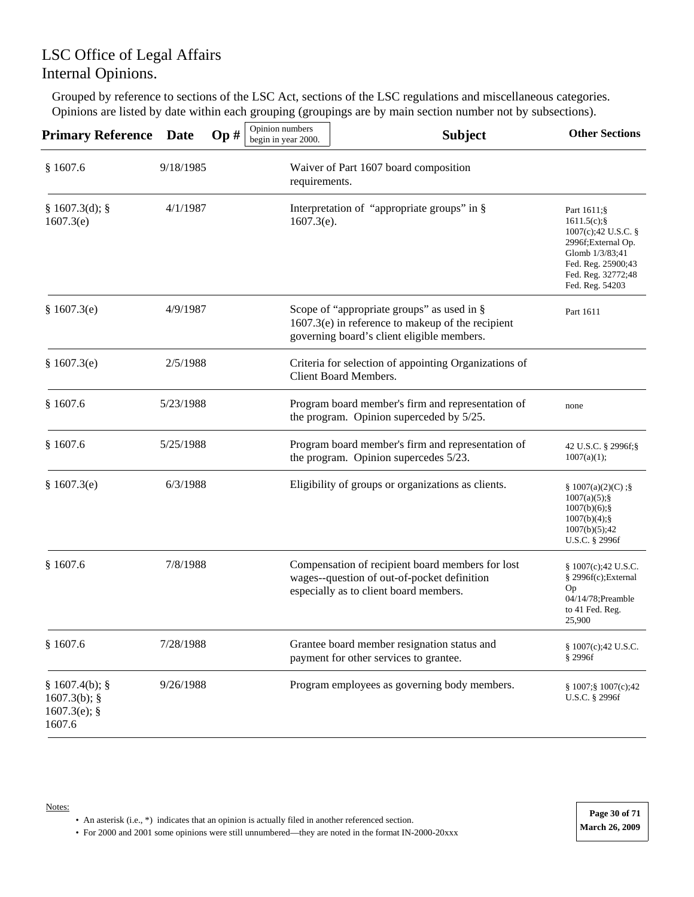Grouped by reference to sections of the LSC Act, sections of the LSC regulations and miscellaneous categories. Opinions are listed by date within each grouping (groupings are by main section number not by subsections).

| <b>Primary Reference</b>                                     | <b>Date</b> | Op# | Opinion numbers<br>begin in year 2000.                 | <b>Subject</b>                                                                                                                                  | <b>Other Sections</b>                                                                                                                                         |
|--------------------------------------------------------------|-------------|-----|--------------------------------------------------------|-------------------------------------------------------------------------------------------------------------------------------------------------|---------------------------------------------------------------------------------------------------------------------------------------------------------------|
| \$1607.6                                                     | 9/18/1985   |     | Waiver of Part 1607 board composition<br>requirements. |                                                                                                                                                 |                                                                                                                                                               |
| § 1607.3(d);<br>1607.3(e)                                    | 4/1/1987    |     | $1607.3(e)$ .                                          | Interpretation of "appropriate groups" in §                                                                                                     | Part 1611;§<br>$1611.5(c)$ ; §<br>1007(c);42 U.S.C. §<br>2996f;External Op.<br>Glomb 1/3/83;41<br>Fed. Reg. 25900;43<br>Fed. Reg. 32772;48<br>Fed. Reg. 54203 |
| \$1607.3(e)                                                  | 4/9/1987    |     |                                                        | Scope of "appropriate groups" as used in §<br>$1607.3(e)$ in reference to makeup of the recipient<br>governing board's client eligible members. | Part 1611                                                                                                                                                     |
| § 1607.3(e)                                                  | 2/5/1988    |     |                                                        | Criteria for selection of appointing Organizations of<br>Client Board Members.                                                                  |                                                                                                                                                               |
| \$1607.6                                                     | 5/23/1988   |     |                                                        | Program board member's firm and representation of<br>the program. Opinion superceded by 5/25.                                                   | none                                                                                                                                                          |
| \$1607.6                                                     | 5/25/1988   |     |                                                        | Program board member's firm and representation of<br>the program. Opinion supercedes 5/23.                                                      | 42 U.S.C. § 2996f;§<br>1007(a)(1);                                                                                                                            |
| § 1607.3(e)                                                  | 6/3/1988    |     |                                                        | Eligibility of groups or organizations as clients.                                                                                              | § 1007(a)(2)(C);§<br>$1007(a)(5);$ §<br>$1007(b)(6)$ ;§<br>$1007(b)(4)$ ; §<br>1007(b)(5);42<br>U.S.C. § 2996f                                                |
| \$1607.6                                                     | 7/8/1988    |     |                                                        | Compensation of recipient board members for lost<br>wages--question of out-of-pocket definition<br>especially as to client board members.       | § 1007(c);42 U.S.C.<br>§ 2996f(c); External<br>Op<br>04/14/78; Preamble<br>to 41 Fed. Reg.<br>25,900                                                          |
| \$1607.6                                                     | 7/28/1988   |     |                                                        | Grantee board member resignation status and<br>payment for other services to grantee.                                                           | § 1007(c);42 U.S.C.<br>§ 2996f                                                                                                                                |
| § 1607.4(b);<br>$1607.3(b)$ ; §<br>$1607.3(e)$ ; §<br>1607.6 | 9/26/1988   |     |                                                        | Program employees as governing body members.                                                                                                    | § 1007;§ 1007(c);42<br>U.S.C. § 2996f                                                                                                                         |

**Page 30 of 71**

#### Notes:

• An asterisk (i.e., \*) indicates that an opinion is actually filed in another referenced section.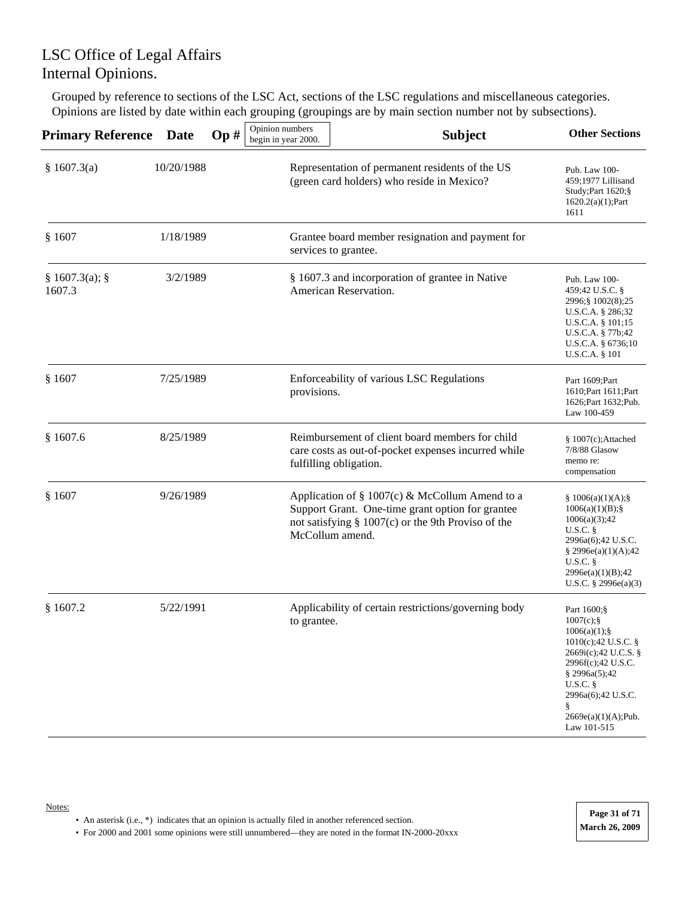Grouped by reference to sections of the LSC Act, sections of the LSC regulations and miscellaneous categories. Opinions are listed by date within each grouping (groupings are by main section number not by subsections).

| <b>Primary Reference</b> | <b>Date</b> | Op# | Opinion numbers<br>begin in year 2000. | <b>Subject</b>                                                                                                                                                                 | <b>Other Sections</b>                                                                                                                                                                                            |
|--------------------------|-------------|-----|----------------------------------------|--------------------------------------------------------------------------------------------------------------------------------------------------------------------------------|------------------------------------------------------------------------------------------------------------------------------------------------------------------------------------------------------------------|
| § 1607.3(a)              | 10/20/1988  |     |                                        | Representation of permanent residents of the US<br>(green card holders) who reside in Mexico?                                                                                  | Pub. Law 100-<br>459;1977 Lillisand<br>Study; Part 1620; §<br>$1620.2(a)(1);$ Part<br>1611                                                                                                                       |
| § 1607                   | 1/18/1989   |     |                                        | Grantee board member resignation and payment for<br>services to grantee.                                                                                                       |                                                                                                                                                                                                                  |
| § 1607.3(a);<br>1607.3   | 3/2/1989    |     |                                        | § 1607.3 and incorporation of grantee in Native<br>American Reservation.                                                                                                       | Pub. Law 100-<br>459;42 U.S.C. §<br>2996; § 1002(8); 25<br>U.S.C.A. § 286;32<br>U.S.C.A. § 101;15<br>U.S.C.A. § 77b;42<br>U.S.C.A. § 6736;10<br><b>U.S.C.A.</b> § 101                                            |
| \$1607                   | 7/25/1989   |     | provisions.                            | Enforceability of various LSC Regulations                                                                                                                                      | Part 1609; Part<br>1610; Part 1611; Part<br>1626; Part 1632; Pub.<br>Law 100-459                                                                                                                                 |
| \$1607.6                 | 8/25/1989   |     |                                        | Reimbursement of client board members for child<br>care costs as out-of-pocket expenses incurred while<br>fulfilling obligation.                                               | $§ 1007(c);$ Attached<br>7/8/88 Glasow<br>memo re:<br>compensation                                                                                                                                               |
| § 1607                   | 9/26/1989   |     |                                        | Application of § 1007(c) & McCollum Amend to a<br>Support Grant. One-time grant option for grantee<br>not satisfying $\S$ 1007(c) or the 9th Proviso of the<br>McCollum amend. | \$1006(a)(1)(A);<br>1006(a)(1)(B);<br>1006(a)(3);42<br>$U.S.C.$ §<br>2996a(6);42 U.S.C.<br>§ 2996e(a)(1)(A);42<br>U.S.C.<br>2996e(a)(1)(B);42<br>U.S.C. $\S$ 2996 $e$ (a)(3)                                     |
| \$1607.2                 | 5/22/1991   |     | to grantee.                            | Applicability of certain restrictions/governing body                                                                                                                           | Part 1600;§<br>$1007(c);$ §<br>$1006(a)(1);$ §<br>1010(c);42 U.S.C. §<br>2669i(c);42 U.C.S. §<br>2996f(c);42 U.S.C.<br>§ 2996a(5);42<br>U.S.C.<br>2996a(6);42 U.S.C.<br>§.<br>2669e(a)(1)(A);Pub.<br>Law 101-515 |

• An asterisk (i.e., \*) indicates that an opinion is actually filed in another referenced section.

Notes: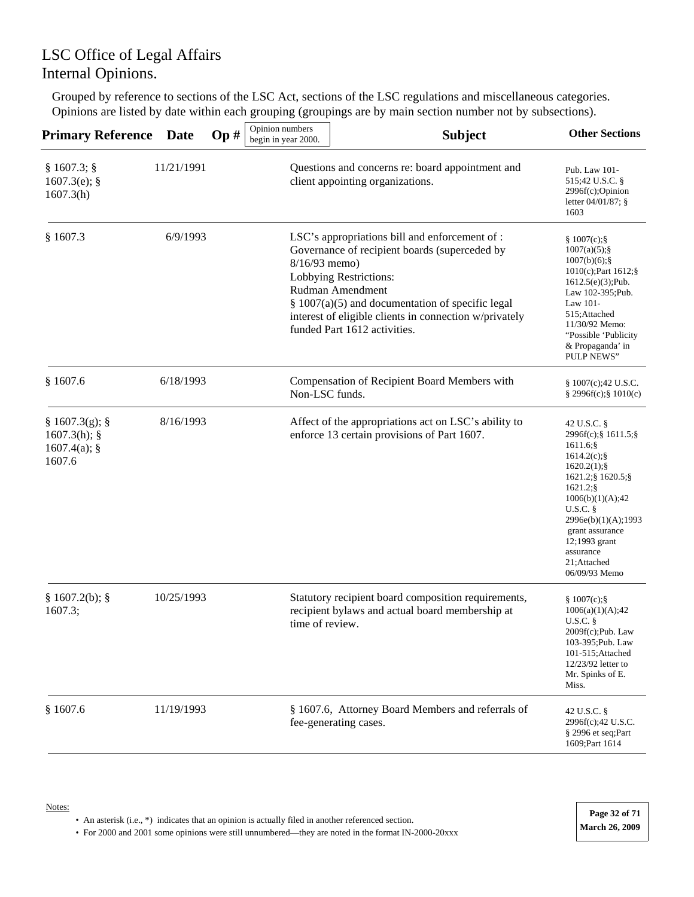Grouped by reference to sections of the LSC Act, sections of the LSC regulations and miscellaneous categories. Opinions are listed by date within each grouping (groupings are by main section number not by subsections).

| <b>Primary Reference</b>                                | Date       | Op# | Opinion numbers<br>begin in year 2000. | <b>Subject</b>                                                                                                                                                                                                                                                                                | <b>Other Sections</b>                                                                                                                                                                                                                                                     |
|---------------------------------------------------------|------------|-----|----------------------------------------|-----------------------------------------------------------------------------------------------------------------------------------------------------------------------------------------------------------------------------------------------------------------------------------------------|---------------------------------------------------------------------------------------------------------------------------------------------------------------------------------------------------------------------------------------------------------------------------|
| § 1607.3;<br>$1607.3(e)$ ; §<br>1607.3(h)               | 11/21/1991 |     |                                        | Questions and concerns re: board appointment and<br>client appointing organizations.                                                                                                                                                                                                          | Pub. Law 101-<br>515;42 U.S.C. §<br>2996f(c);Opinion<br>letter 04/01/87; §<br>1603                                                                                                                                                                                        |
| \$1607.3                                                | 6/9/1993   |     | 8/16/93 memo)                          | LSC's appropriations bill and enforcement of :<br>Governance of recipient boards (superceded by<br>Lobbying Restrictions:<br>Rudman Amendment<br>$§$ 1007(a)(5) and documentation of specific legal<br>interest of eligible clients in connection w/privately<br>funded Part 1612 activities. | \$1007(c);<br>$1007(a)(5)$ ; §<br>$1007(b)(6)$ ; §<br>1010(c); Part 1612; §<br>$1612.5(e)(3)$ ;Pub.<br>Law 102-395; Pub.<br>Law 101-<br>515;Attached<br>11/30/92 Memo:<br>"Possible 'Publicity<br>& Propaganda' in<br><b>PULP NEWS"</b>                                   |
| \$1607.6                                                | 6/18/1993  |     | Non-LSC funds.                         | Compensation of Recipient Board Members with                                                                                                                                                                                                                                                  | \$1007(c);42 U.S.C.<br>$§$ 2996f(c);§ 1010(c)                                                                                                                                                                                                                             |
| § 1607.3(g);<br>1607.3(h);<br>$1607.4(a)$ ; §<br>1607.6 | 8/16/1993  |     |                                        | Affect of the appropriations act on LSC's ability to<br>enforce 13 certain provisions of Part 1607.                                                                                                                                                                                           | 42 U.S.C. §<br>2996f(c);§ 1611.5;§<br>1611.6;§<br>$1614.2(c)$ ; §<br>$1620.2(1);$ §<br>1621.2; § 1620.5; §<br>$1621.2$ ; §<br>1006(b)(1)(A);42<br><b>U.S.C.</b> §<br>2996e(b)(1)(A);1993<br>grant assurance<br>12;1993 grant<br>assurance<br>21;Attached<br>06/09/93 Memo |
| § 1607.2(b);<br>1607.3;                                 | 10/25/1993 |     | time of review.                        | Statutory recipient board composition requirements,<br>recipient bylaws and actual board membership at                                                                                                                                                                                        | \$1007(c);<br>1006(a)(1)(A);42<br>U.S.C.<br>2009f(c);Pub. Law<br>103-395; Pub. Law<br>101-515; Attached<br>12/23/92 letter to<br>Mr. Spinks of E.<br>Miss.                                                                                                                |
| \$1607.6                                                | 11/19/1993 |     |                                        | § 1607.6, Attorney Board Members and referrals of<br>fee-generating cases.                                                                                                                                                                                                                    | 42 U.S.C. §<br>2996f(c);42 U.S.C.<br>§ 2996 et seq;Part<br>1609; Part 1614                                                                                                                                                                                                |

• An asterisk (i.e., \*) indicates that an opinion is actually filed in another referenced section.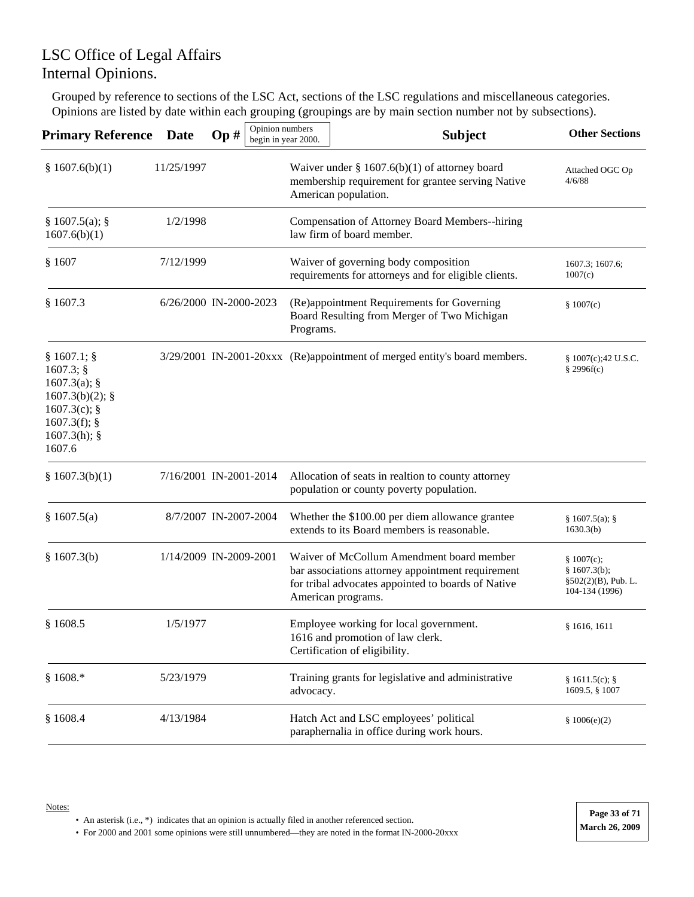Grouped by reference to sections of the LSC Act, sections of the LSC regulations and miscellaneous categories. Opinions are listed by date within each grouping (groupings are by main section number not by subsections).

| <b>Primary Reference</b>                                                                                                       | <b>Date</b> | Opinion numbers<br>Op# | begin in year 2000. | <b>Subject</b>                                                                                                                                                             | <b>Other Sections</b>                                                  |
|--------------------------------------------------------------------------------------------------------------------------------|-------------|------------------------|---------------------|----------------------------------------------------------------------------------------------------------------------------------------------------------------------------|------------------------------------------------------------------------|
| \$1607.6(b)(1)                                                                                                                 | 11/25/1997  |                        |                     | Waiver under § $1607.6(b)(1)$ of attorney board<br>membership requirement for grantee serving Native<br>American population.                                               | Attached OGC Op<br>4/6/88                                              |
| § 1607.5(a);<br>1607.6(b)(1)                                                                                                   | 1/2/1998    |                        |                     | Compensation of Attorney Board Members--hiring<br>law firm of board member.                                                                                                |                                                                        |
| \$1607                                                                                                                         | 7/12/1999   |                        |                     | Waiver of governing body composition<br>requirements for attorneys and for eligible clients.                                                                               | 1607.3; 1607.6;<br>1007(c)                                             |
| \$1607.3                                                                                                                       |             | 6/26/2000 IN-2000-2023 | Programs.           | (Re)appointment Requirements for Governing<br>Board Resulting from Merger of Two Michigan                                                                                  | \$1007(c)                                                              |
| $§ 1607.1;$ §<br>$1607.3$ ; §<br>$1607.3(a)$ ; §<br>$1607.3(b)(2);$ §<br>$1607.3(c)$ ; §<br>1607.3(f);<br>1607.3(h);<br>1607.6 |             |                        |                     | 3/29/2001 IN-2001-20xxx (Re)appointment of merged entity's board members.                                                                                                  | § 1007(c);42 U.S.C.<br>§ 2996f(c)                                      |
| § 1607.3(b)(1)                                                                                                                 |             | 7/16/2001 IN-2001-2014 |                     | Allocation of seats in realtion to county attorney<br>population or county poverty population.                                                                             |                                                                        |
| § 1607.5(a)                                                                                                                    |             | 8/7/2007 IN-2007-2004  |                     | Whether the \$100.00 per diem allowance grantee<br>extends to its Board members is reasonable.                                                                             | § 1607.5(a);<br>1630.3(b)                                              |
| \$1607.3(b)                                                                                                                    |             | 1/14/2009 IN-2009-2001 |                     | Waiver of McCollum Amendment board member<br>bar associations attorney appointment requirement<br>for tribal advocates appointed to boards of Native<br>American programs. | \$1007(c);<br>§ 1607.3(b);<br>$§502(2)(B)$ , Pub. L.<br>104-134 (1996) |
| \$1608.5                                                                                                                       | 1/5/1977    |                        |                     | Employee working for local government.<br>1616 and promotion of law clerk.<br>Certification of eligibility.                                                                | § 1616, 1611                                                           |
| $$1608.*$                                                                                                                      | 5/23/1979   |                        | advocacy.           | Training grants for legislative and administrative                                                                                                                         | § 1611.5(c);<br>1609.5, § 1007                                         |
| \$1608.4                                                                                                                       | 4/13/1984   |                        |                     | Hatch Act and LSC employees' political<br>paraphernalia in office during work hours.                                                                                       | \$1006(e)(2)                                                           |

• An asterisk (i.e., \*) indicates that an opinion is actually filed in another referenced section.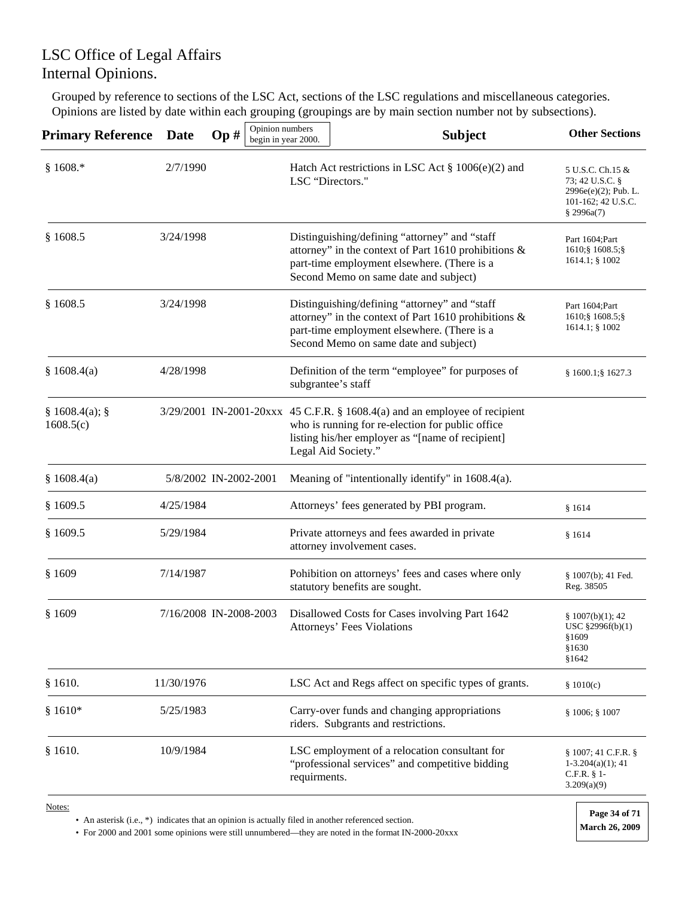Grouped by reference to sections of the LSC Act, sections of the LSC regulations and miscellaneous categories. Opinions are listed by date within each grouping (groupings are by main section number not by subsections).

| <b>Primary Reference</b>  | Date       | Op#                    | Opinion numbers<br>begin in year 2000. | <b>Subject</b>                                                                                                                                                                                            | <b>Other Sections</b>                                                                              |
|---------------------------|------------|------------------------|----------------------------------------|-----------------------------------------------------------------------------------------------------------------------------------------------------------------------------------------------------------|----------------------------------------------------------------------------------------------------|
| $$1608.*$                 | 2/7/1990   |                        | LSC "Directors."                       | Hatch Act restrictions in LSC Act § 1006(e)(2) and                                                                                                                                                        | 5 U.S.C. Ch.15 &<br>73; 42 U.S.C. §<br>$2996e(e)(2)$ ; Pub. L.<br>101-162; 42 U.S.C.<br>\$2996a(7) |
| \$1608.5                  | 3/24/1998  |                        |                                        | Distinguishing/defining "attorney" and "staff<br>attorney" in the context of Part 1610 prohibitions &<br>part-time employment elsewhere. (There is a<br>Second Memo on same date and subject)             | Part 1604; Part<br>1610; § 1608.5; §<br>$1614.1$ ; § 1002                                          |
| \$1608.5                  | 3/24/1998  |                        |                                        | Distinguishing/defining "attorney" and "staff<br>attorney" in the context of Part 1610 prohibitions &<br>part-time employment elsewhere. (There is a<br>Second Memo on same date and subject)             | Part 1604; Part<br>1610; § 1608.5; §<br>1614.1; § 1002                                             |
| \$1608.4(a)               | 4/28/1998  |                        |                                        | Definition of the term "employee" for purposes of<br>subgrantee's staff                                                                                                                                   | § 1600.1;§ 1627.3                                                                                  |
| § 1608.4(a);<br>1608.5(c) |            |                        |                                        | 3/29/2001 IN-2001-20xxx 45 C.F.R. § 1608.4(a) and an employee of recipient<br>who is running for re-election for public office<br>listing his/her employer as "[name of recipient]<br>Legal Aid Society." |                                                                                                    |
| \$1608.4(a)               |            | 5/8/2002 IN-2002-2001  |                                        | Meaning of "intentionally identify" in 1608.4(a).                                                                                                                                                         |                                                                                                    |
| \$1609.5                  | 4/25/1984  |                        |                                        | Attorneys' fees generated by PBI program.                                                                                                                                                                 | \$1614                                                                                             |
| §1609.5                   | 5/29/1984  |                        |                                        | Private attorneys and fees awarded in private<br>attorney involvement cases.                                                                                                                              | \$1614                                                                                             |
| \$1609                    | 7/14/1987  |                        |                                        | Pohibition on attorneys' fees and cases where only<br>statutory benefits are sought.                                                                                                                      | § 1007(b); 41 Fed.<br>Reg. 38505                                                                   |
| \$1609                    |            | 7/16/2008 IN-2008-2003 |                                        | Disallowed Costs for Cases involving Part 1642<br>Attorneys' Fees Violations                                                                                                                              | \$1007(b)(1); 42<br>USC §2996f(b)(1)<br>§1609<br>§1630<br>§1642                                    |
| \$1610.                   | 11/30/1976 |                        |                                        | LSC Act and Regs affect on specific types of grants.                                                                                                                                                      | \$1010(c)                                                                                          |
| $$1610*$                  | 5/25/1983  |                        |                                        | Carry-over funds and changing appropriations<br>riders. Subgrants and restrictions.                                                                                                                       | $§ 1006;$ $§ 1007$                                                                                 |
| \$1610.                   | 10/9/1984  |                        | requirments.                           | LSC employment of a relocation consultant for<br>"professional services" and competitive bidding                                                                                                          | § 1007; 41 C.F.R. §<br>$1-3.204(a)(1); 41$<br>$C.F.R. § 1-$<br>3.209(a)(9)                         |
| Notes:                    |            |                        |                                        |                                                                                                                                                                                                           | Page 34 of 71                                                                                      |

• An asterisk (i.e., \*) indicates that an opinion is actually filed in another referenced section.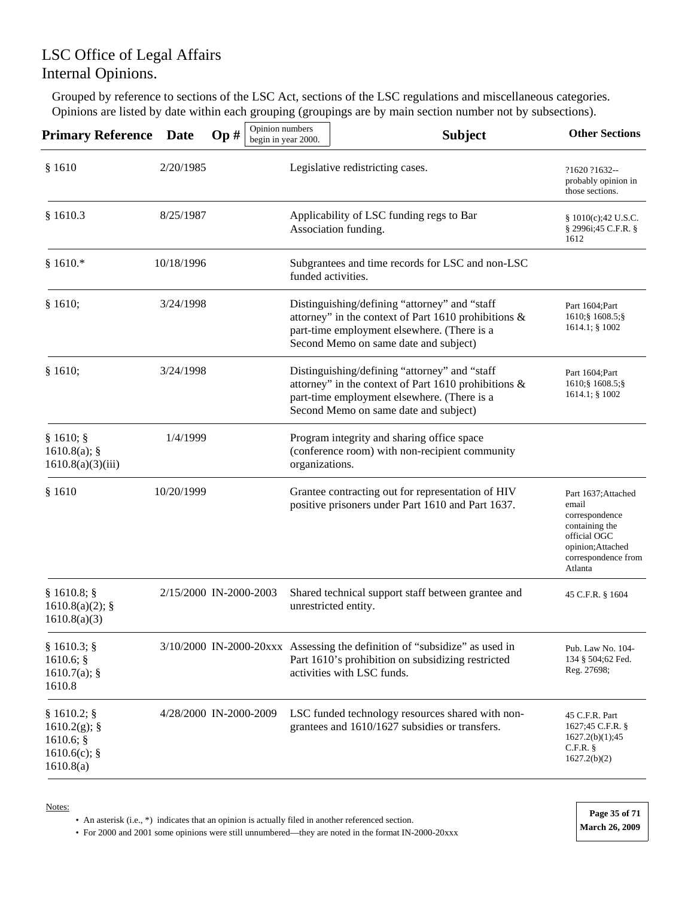Grouped by reference to sections of the LSC Act, sections of the LSC regulations and miscellaneous categories. Opinions are listed by date within each grouping (groupings are by main section number not by subsections).

| <b>Primary Reference</b>                                                    | <b>Date</b> | Op#                    | Opinion numbers<br>begin in year 2000. | <b>Subject</b>                                                                                                                                                                                | <b>Other Sections</b>                                                                                                                   |
|-----------------------------------------------------------------------------|-------------|------------------------|----------------------------------------|-----------------------------------------------------------------------------------------------------------------------------------------------------------------------------------------------|-----------------------------------------------------------------------------------------------------------------------------------------|
| \$1610                                                                      | 2/20/1985   |                        |                                        | Legislative redistricting cases.                                                                                                                                                              | ?1620 ?1632--<br>probably opinion in<br>those sections.                                                                                 |
| \$1610.3                                                                    | 8/25/1987   |                        |                                        | Applicability of LSC funding regs to Bar<br>Association funding.                                                                                                                              | § 1010(c);42 U.S.C.<br>§ 2996i;45 C.F.R. §<br>1612                                                                                      |
| § 1610. $*$                                                                 | 10/18/1996  |                        | funded activities.                     | Subgrantees and time records for LSC and non-LSC                                                                                                                                              |                                                                                                                                         |
| § 1610;                                                                     | 3/24/1998   |                        |                                        | Distinguishing/defining "attorney" and "staff<br>attorney" in the context of Part 1610 prohibitions &<br>part-time employment elsewhere. (There is a<br>Second Memo on same date and subject) | Part 1604; Part<br>1610; § 1608.5; §<br>$1614.1$ ; § $1002$                                                                             |
| § 1610;                                                                     | 3/24/1998   |                        |                                        | Distinguishing/defining "attorney" and "staff<br>attorney" in the context of Part 1610 prohibitions &<br>part-time employment elsewhere. (There is a<br>Second Memo on same date and subject) | Part 1604; Part<br>1610; § 1608.5; §<br>$1614.1$ ; § $1002$                                                                             |
| § 1610;<br>1610.8(a);<br>1610.8(a)(3)(iii)                                  | 1/4/1999    |                        | organizations.                         | Program integrity and sharing office space<br>(conference room) with non-recipient community                                                                                                  |                                                                                                                                         |
| \$1610                                                                      | 10/20/1999  |                        |                                        | Grantee contracting out for representation of HIV<br>positive prisoners under Part 1610 and Part 1637.                                                                                        | Part 1637; Attached<br>email<br>correspondence<br>containing the<br>official OGC<br>opinion; Attached<br>correspondence from<br>Atlanta |
| $§ 1610.8;$ §<br>$1610.8(a)(2)$ ; §<br>1610.8(a)(3)                         |             | 2/15/2000 IN-2000-2003 |                                        | Shared technical support staff between grantee and<br>unrestricted entity.                                                                                                                    | 45 C.F.R. § 1604                                                                                                                        |
| $§ 1610.3;$ §<br>1610.6;<br>1610.7(a);<br>1610.8                            |             |                        |                                        | 3/10/2000 IN-2000-20xxx Assessing the definition of "subsidize" as used in<br>Part 1610's prohibition on subsidizing restricted<br>activities with LSC funds.                                 | Pub. Law No. 104-<br>134 § 504;62 Fed.<br>Reg. 27698;                                                                                   |
| $§ 1610.2;$ §<br>$1610.2(g)$ ; §<br>1610.6;<br>$1610.6(c)$ ; §<br>1610.8(a) |             | 4/28/2000 IN-2000-2009 |                                        | LSC funded technology resources shared with non-<br>grantees and 1610/1627 subsidies or transfers.                                                                                            | 45 C.F.R. Part<br>1627;45 C.F.R. §<br>1627.2(b)(1);45<br>$C.F.R.$ §<br>1627.2(b)(2)                                                     |

Notes:

• An asterisk (i.e., \*) indicates that an opinion is actually filed in another referenced section.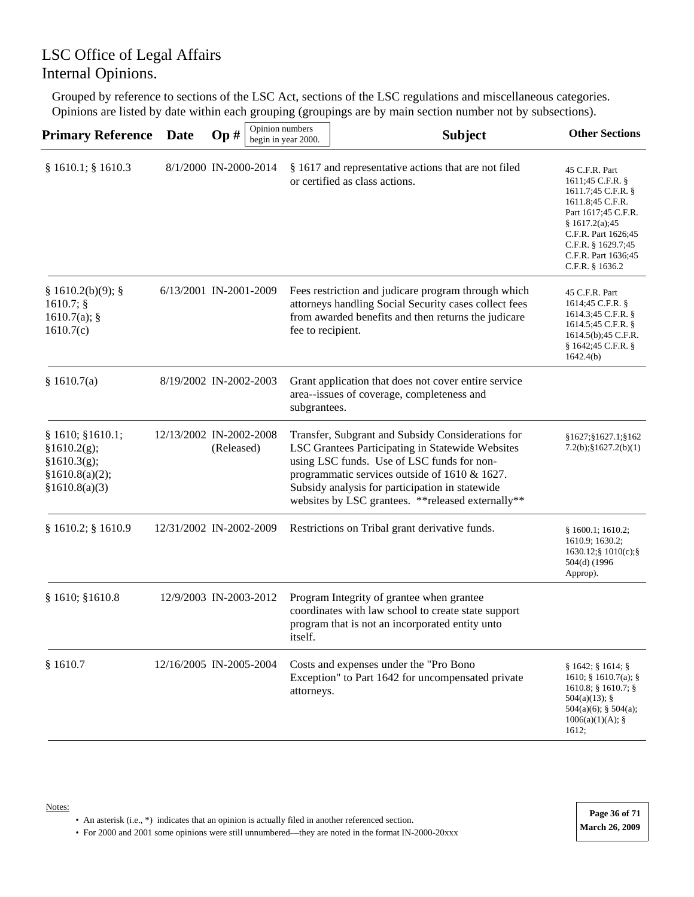Grouped by reference to sections of the LSC Act, sections of the LSC regulations and miscellaneous categories. Opinions are listed by date within each grouping (groupings are by main section number not by subsections).

| <b>Primary Reference</b>                                                           | <b>Date</b> | Op#                                   | Opinion numbers<br>begin in year 2000. | <b>Subject</b>                                                                                                                                                                                                                                                                                                | <b>Other Sections</b>                                                                                                                                                                                          |
|------------------------------------------------------------------------------------|-------------|---------------------------------------|----------------------------------------|---------------------------------------------------------------------------------------------------------------------------------------------------------------------------------------------------------------------------------------------------------------------------------------------------------------|----------------------------------------------------------------------------------------------------------------------------------------------------------------------------------------------------------------|
| § 1610.1; § 1610.3                                                                 |             | 8/1/2000 IN-2000-2014                 |                                        | § 1617 and representative actions that are not filed<br>or certified as class actions.                                                                                                                                                                                                                        | 45 C.F.R. Part<br>1611;45 C.F.R. §<br>1611.7;45 C.F.R. §<br>1611.8;45 C.F.R.<br>Part 1617;45 C.F.R.<br>§ 1617.2(a);45<br>C.F.R. Part 1626;45<br>C.F.R. $§$ 1629.7;45<br>C.F.R. Part 1636;45<br>C.F.R. § 1636.2 |
| § 1610.2(b)(9);<br>1610.7;<br>1610.7(a);<br>1610.7(c)                              |             | 6/13/2001 IN-2001-2009                | fee to recipient.                      | Fees restriction and judicare program through which<br>attorneys handling Social Security cases collect fees<br>from awarded benefits and then returns the judicare                                                                                                                                           | 45 C.F.R. Part<br>1614;45 C.F.R. §<br>1614.3;45 C.F.R. §<br>1614.5;45 C.F.R. §<br>1614.5(b);45 C.F.R.<br>§ 1642;45 C.F.R. §<br>1642.4(b)                                                                       |
| \$1610.7(a)                                                                        |             | 8/19/2002 IN-2002-2003                | subgrantees.                           | Grant application that does not cover entire service<br>area--issues of coverage, completeness and                                                                                                                                                                                                            |                                                                                                                                                                                                                |
| § 1610; § 1610.1;<br>§1610.2(g);<br>§1610.3(g);<br>§1610.8(a)(2);<br>§1610.8(a)(3) |             | 12/13/2002 IN-2002-2008<br>(Released) |                                        | Transfer, Subgrant and Subsidy Considerations for<br>LSC Grantees Participating in Statewide Websites<br>using LSC funds. Use of LSC funds for non-<br>programmatic services outside of 1610 & 1627.<br>Subsidy analysis for participation in statewide<br>websites by LSC grantees. ** released externally** | §1627;§1627.1;§162<br>$7.2(b);$ \$1627.2(b)(1)                                                                                                                                                                 |
| § 1610.2; § 1610.9                                                                 |             | 12/31/2002 IN-2002-2009               |                                        | Restrictions on Tribal grant derivative funds.                                                                                                                                                                                                                                                                | § 1600.1; 1610.2;<br>1610.9; 1630.2;<br>$1630.12$ ; $\frac{1}{2}1010(c)$ ; $\frac{5}{2}$<br>504(d) (1996)<br>Approp).                                                                                          |
| § 1610; § 1610.8                                                                   |             | 12/9/2003 IN-2003-2012                | itself.                                | Program Integrity of grantee when grantee<br>coordinates with law school to create state support<br>program that is not an incorporated entity unto                                                                                                                                                           |                                                                                                                                                                                                                |
| \$1610.7                                                                           |             | 12/16/2005 IN-2005-2004               | attorneys.                             | Costs and expenses under the "Pro Bono<br>Exception" to Part 1642 for uncompensated private                                                                                                                                                                                                                   | $§ 1642;$ $§ 1614;$ $§$<br>1610; § 1610.7(a); §<br>$1610.8$ ; § 1610.7; §<br>$504(a)(13)$ ; §<br>$504(a)(6)$ ; § 504(a);<br>1006(a)(1)(A);<br>1612;                                                            |

• An asterisk (i.e., \*) indicates that an opinion is actually filed in another referenced section.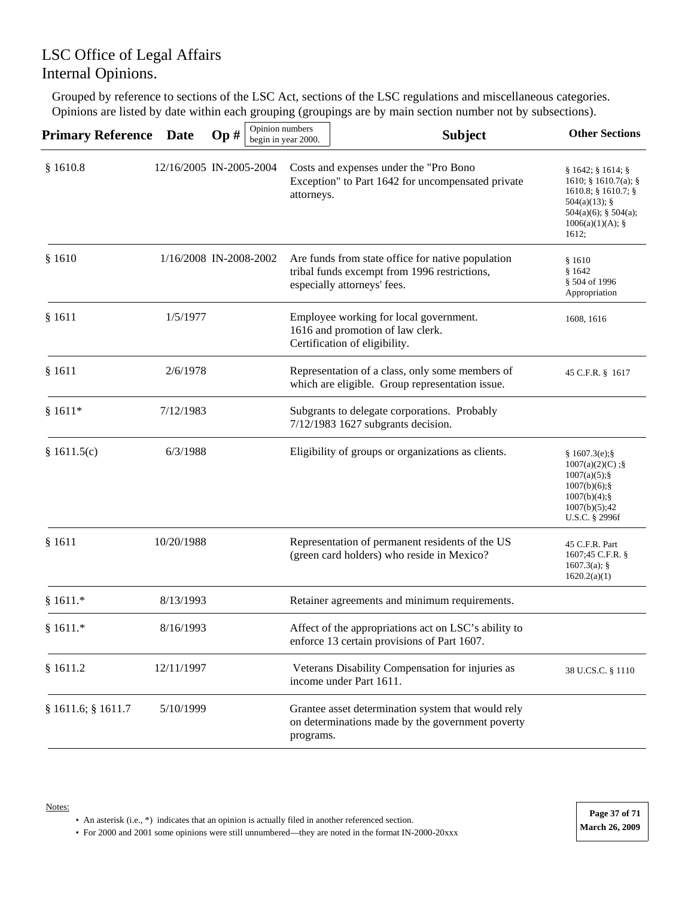Grouped by reference to sections of the LSC Act, sections of the LSC regulations and miscellaneous categories. Opinions are listed by date within each grouping (groupings are by main section number not by subsections).

| <b>Primary Reference Date</b> |                         | Op# | Opinion numbers<br>begin in year 2000. |            | <b>Subject</b>                                                                                                                   | <b>Other Sections</b>                                                                                                                              |
|-------------------------------|-------------------------|-----|----------------------------------------|------------|----------------------------------------------------------------------------------------------------------------------------------|----------------------------------------------------------------------------------------------------------------------------------------------------|
| \$1610.8                      | 12/16/2005 IN-2005-2004 |     |                                        | attorneys. | Costs and expenses under the "Pro Bono<br>Exception" to Part 1642 for uncompensated private                                      | $§ 1642;$ § 1614; §<br>1610; $§ 1610.7(a);$<br>$1610.8$ ; § 1610.7; §<br>$504(a)(13)$ ; §<br>$504(a)(6)$ ; § $504(a)$ ;<br>1006(a)(1)(A);<br>1612; |
| \$1610                        | 1/16/2008 IN-2008-2002  |     |                                        |            | Are funds from state office for native population<br>tribal funds excempt from 1996 restrictions,<br>especially attorneys' fees. | \$1610<br>\$1642<br>§ 504 of 1996<br>Appropriation                                                                                                 |
| § 1611                        | 1/5/1977                |     |                                        |            | Employee working for local government.<br>1616 and promotion of law clerk.<br>Certification of eligibility.                      | 1608, 1616                                                                                                                                         |
| § 1611                        | 2/6/1978                |     |                                        |            | Representation of a class, only some members of<br>which are eligible. Group representation issue.                               | 45 C.F.R. § 1617                                                                                                                                   |
| $§ 1611*$                     | 7/12/1983               |     |                                        |            | Subgrants to delegate corporations. Probably<br>7/12/1983 1627 subgrants decision.                                               |                                                                                                                                                    |
| § 1611.5(c)                   | 6/3/1988                |     |                                        |            | Eligibility of groups or organizations as clients.                                                                               | § 1607.3(e);<br>$1007(a)(2)(C)$ ;§<br>$1007(a)(5)$ ; §<br>$1007(b)(6);$ §<br>$1007(b)(4)$ ; §<br>1007(b)(5);42<br>U.S.C. § 2996f                   |
| § 1611                        | 10/20/1988              |     |                                        |            | Representation of permanent residents of the US<br>(green card holders) who reside in Mexico?                                    | 45 C.F.R. Part<br>1607;45 C.F.R. §<br>$1607.3(a)$ ; §<br>1620.2(a)(1)                                                                              |
| § $1611.*$                    | 8/13/1993               |     |                                        |            | Retainer agreements and minimum requirements.                                                                                    |                                                                                                                                                    |
| $§ 1611.*$                    | 8/16/1993               |     |                                        |            | Affect of the appropriations act on LSC's ability to<br>enforce 13 certain provisions of Part 1607.                              |                                                                                                                                                    |
| § 1611.2                      | 12/11/1997              |     |                                        |            | Veterans Disability Compensation for injuries as<br>income under Part 1611.                                                      | 38 U.CS.C. § 1110                                                                                                                                  |
| § 1611.6; § 1611.7            | 5/10/1999               |     |                                        | programs.  | Grantee asset determination system that would rely<br>on determinations made by the government poverty                           |                                                                                                                                                    |

• An asterisk (i.e., \*) indicates that an opinion is actually filed in another referenced section.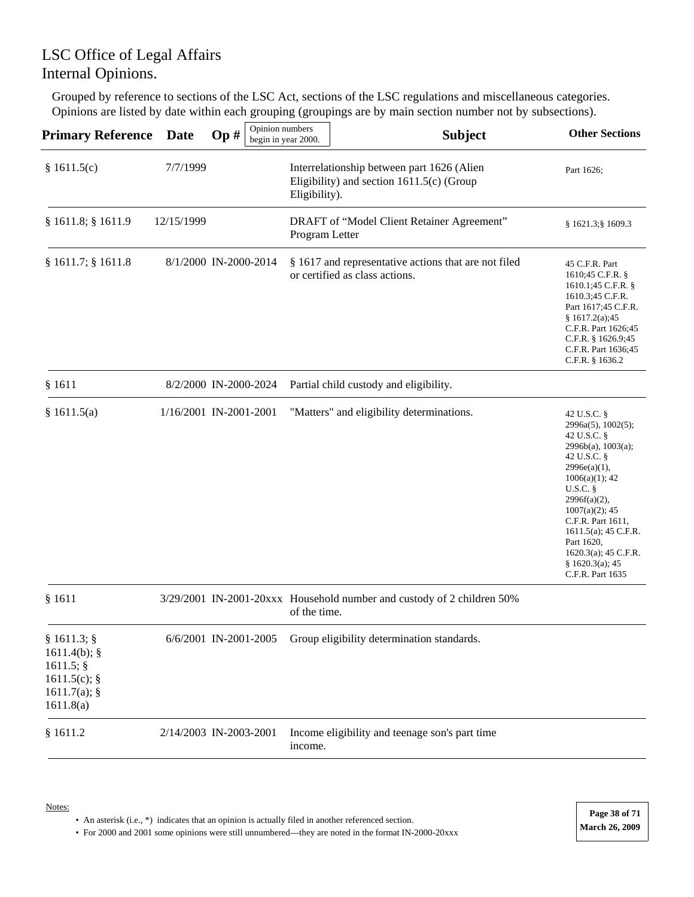Grouped by reference to sections of the LSC Act, sections of the LSC regulations and miscellaneous categories. Opinions are listed by date within each grouping (groupings are by main section number not by subsections).

| Primary Reference                                                                        | Date       | Opinion numbers<br>Op# | begin in year 2000. | <b>Subject</b>                                                                            | <b>Other Sections</b>                                                                                                                                                                                                                                                                                        |
|------------------------------------------------------------------------------------------|------------|------------------------|---------------------|-------------------------------------------------------------------------------------------|--------------------------------------------------------------------------------------------------------------------------------------------------------------------------------------------------------------------------------------------------------------------------------------------------------------|
| \$1611.5(c)                                                                              | 7/7/1999   |                        | Eligibility).       | Interrelationship between part 1626 (Alien<br>Eligibility) and section $1611.5(c)$ (Group | Part 1626;                                                                                                                                                                                                                                                                                                   |
| § 1611.8; § 1611.9                                                                       | 12/15/1999 |                        | Program Letter      | DRAFT of "Model Client Retainer Agreement"                                                | $§ 1621.3$ ; § 1609.3                                                                                                                                                                                                                                                                                        |
| § 1611.7; § 1611.8                                                                       |            | 8/1/2000 IN-2000-2014  |                     | § 1617 and representative actions that are not filed<br>or certified as class actions.    | 45 C.F.R. Part<br>1610;45 C.F.R. §<br>1610.1;45 C.F.R. §<br>1610.3;45 C.F.R.<br>Part 1617;45 C.F.R.<br>\$1617.2(a);45<br>C.F.R. Part 1626;45<br>C.F.R. $§$ 1626.9;45<br>C.F.R. Part 1636;45<br>C.F.R. § 1636.2                                                                                               |
| § 1611                                                                                   |            | 8/2/2000 IN-2000-2024  |                     | Partial child custody and eligibility.                                                    |                                                                                                                                                                                                                                                                                                              |
| \$1611.5(a)                                                                              |            | 1/16/2001 IN-2001-2001 |                     | "Matters" and eligibility determinations.                                                 | 42 U.S.C. §<br>2996a(5), 1002(5);<br>42 U.S.C. §<br>2996b(a), 1003(a);<br>42 U.S.C. §<br>2996e(a)(1),<br>$1006(a)(1)$ ; 42<br>U.S.C.<br>$2996f(a)(2)$ ,<br>$1007(a)(2)$ ; 45<br>C.F.R. Part 1611,<br>$1611.5(a)$ ; 45 C.F.R.<br>Part 1620,<br>$1620.3(a)$ ; 45 C.F.R.<br>§ 1620.3(a); 45<br>C.F.R. Part 1635 |
| § 1611                                                                                   |            |                        | of the time.        | 3/29/2001 IN-2001-20xxx Household number and custody of 2 children 50%                    |                                                                                                                                                                                                                                                                                                              |
| $§ 1611.3;$ §<br>$1611.4(b)$ ; §<br>1611.5;<br>1611.5(c); $§$<br>1611.7(a);<br>1611.8(a) |            | 6/6/2001 IN-2001-2005  |                     | Group eligibility determination standards.                                                |                                                                                                                                                                                                                                                                                                              |
| § 1611.2                                                                                 |            | 2/14/2003 IN-2003-2001 | income.             | Income eligibility and teenage son's part time                                            |                                                                                                                                                                                                                                                                                                              |

#### Notes:

• An asterisk (i.e., \*) indicates that an opinion is actually filed in another referenced section.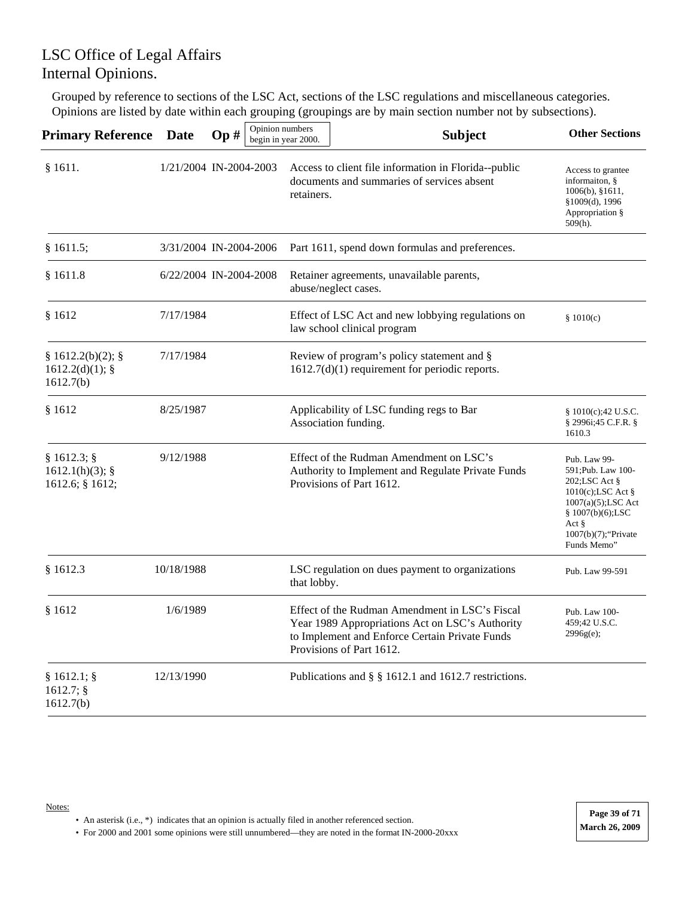Grouped by reference to sections of the LSC Act, sections of the LSC regulations and miscellaneous categories. Opinions are listed by date within each grouping (groupings are by main section number not by subsections).

| <b>Primary Reference</b>                          | <b>Date</b>            | Op# | Opinion numbers | begin in year 2000. | <b>Subject</b>                                                                                                                                                                  | <b>Other Sections</b>                                                                                                                                                                  |
|---------------------------------------------------|------------------------|-----|-----------------|---------------------|---------------------------------------------------------------------------------------------------------------------------------------------------------------------------------|----------------------------------------------------------------------------------------------------------------------------------------------------------------------------------------|
| §1611.                                            | 1/21/2004 IN-2004-2003 |     |                 | retainers.          | Access to client file information in Florida--public<br>documents and summaries of services absent                                                                              | Access to grantee<br>informaiton, §<br>$1006(b)$ , §1611,<br>§1009(d), 1996<br>Appropriation §<br>$509(h)$ .                                                                           |
| § 1611.5;                                         | 3/31/2004 IN-2004-2006 |     |                 |                     | Part 1611, spend down formulas and preferences.                                                                                                                                 |                                                                                                                                                                                        |
| \$1611.8                                          | 6/22/2004 IN-2004-2008 |     |                 |                     | Retainer agreements, unavailable parents,<br>abuse/neglect cases.                                                                                                               |                                                                                                                                                                                        |
| \$1612                                            | 7/17/1984              |     |                 |                     | Effect of LSC Act and new lobbying regulations on<br>law school clinical program                                                                                                | \$1010(c)                                                                                                                                                                              |
| § 1612.2(b)(2);<br>$1612.2(d)(1);$ §<br>1612.7(b) | 7/17/1984              |     |                 |                     | Review of program's policy statement and §<br>$1612.7(d)(1)$ requirement for periodic reports.                                                                                  |                                                                                                                                                                                        |
| \$1612                                            | 8/25/1987              |     |                 |                     | Applicability of LSC funding regs to Bar<br>Association funding.                                                                                                                | \$1010(c);42 U.S.C.<br>§ 2996i;45 C.F.R. §<br>1610.3                                                                                                                                   |
| $§ 1612.3;$ §<br>1612.1(h)(3);<br>1612.6; § 1612; | 9/12/1988              |     |                 |                     | Effect of the Rudman Amendment on LSC's<br>Authority to Implement and Regulate Private Funds<br>Provisions of Part 1612.                                                        | Pub. Law 99-<br>591; Pub. Law 100-<br>202;LSC Act §<br>1010(c);LSC Act §<br>$1007(a)(5)$ ; LSC Act<br>§ 1007(b)(6);LSC<br>Act $\frac{8}{3}$<br>$1007(b)(7)$ ; 'Private'<br>Funds Memo" |
| \$1612.3                                          | 10/18/1988             |     |                 | that lobby.         | LSC regulation on dues payment to organizations                                                                                                                                 | Pub. Law 99-591                                                                                                                                                                        |
| \$1612                                            | 1/6/1989               |     |                 |                     | Effect of the Rudman Amendment in LSC's Fiscal<br>Year 1989 Appropriations Act on LSC's Authority<br>to Implement and Enforce Certain Private Funds<br>Provisions of Part 1612. | Pub. Law 100-<br>459;42 U.S.C.<br>2996g(e);                                                                                                                                            |
| $§ 1612.1;$ §<br>1612.7;<br>1612.7(b)             | 12/13/1990             |     |                 |                     | Publications and § § 1612.1 and 1612.7 restrictions.                                                                                                                            |                                                                                                                                                                                        |

Notes: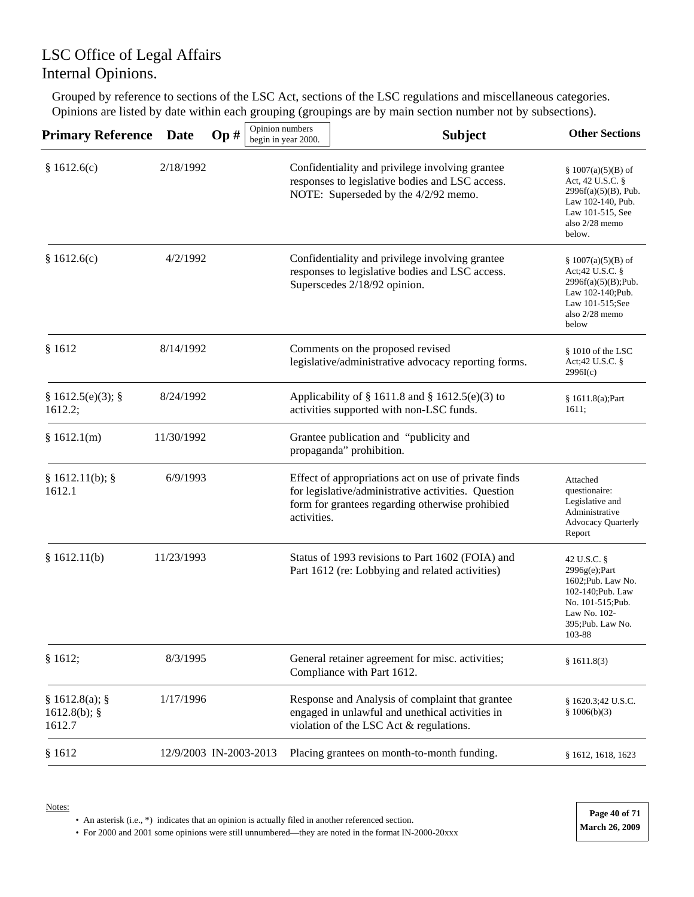Grouped by reference to sections of the LSC Act, sections of the LSC regulations and miscellaneous categories. Opinions are listed by date within each grouping (groupings are by main section number not by subsections).

| <b>Primary Reference</b>                  | <b>Date</b> | $\mathbf{Op} \#$       | Opinion numbers<br>begin in year 2000. | <b>Subject</b>                                                                                                                                                 | <b>Other Sections</b>                                                                                                                          |
|-------------------------------------------|-------------|------------------------|----------------------------------------|----------------------------------------------------------------------------------------------------------------------------------------------------------------|------------------------------------------------------------------------------------------------------------------------------------------------|
| \$1612.6(c)                               | 2/18/1992   |                        |                                        | Confidentiality and privilege involving grantee<br>responses to legislative bodies and LSC access.<br>NOTE: Superseded by the 4/2/92 memo.                     | § 1007(a)(5)(B) of<br>Act, 42 U.S.C. §<br>$2996f(a)(5)(B)$ , Pub.<br>Law 102-140, Pub.<br>Law 101-515, See<br>also 2/28 memo<br>below.         |
| § 1612.6(c)                               | 4/2/1992    |                        |                                        | Confidentiality and privilege involving grantee<br>responses to legislative bodies and LSC access.<br>Superscedes 2/18/92 opinion.                             | § 1007(a)(5)(B) of<br>Act;42 U.S.C. §<br>$2996f(a)(5)(B);$ Pub.<br>Law 102-140; Pub.<br>Law 101-515;See<br>also 2/28 memo<br>below             |
| \$1612                                    | 8/14/1992   |                        |                                        | Comments on the proposed revised<br>legislative/administrative advocacy reporting forms.                                                                       | $$1010$ of the LSC<br>Act;42 U.S.C. §<br>2996I(c)                                                                                              |
| § 1612.5(e)(3);<br>1612.2;                | 8/24/1992   |                        |                                        | Applicability of § 1611.8 and § 1612.5(e)(3) to<br>activities supported with non-LSC funds.                                                                    | § 1611.8(a); Part<br>1611;                                                                                                                     |
| \$1612.1(m)                               | 11/30/1992  |                        |                                        | Grantee publication and "publicity and<br>propaganda" prohibition.                                                                                             |                                                                                                                                                |
| § 1612.11(b);<br>1612.1                   | 6/9/1993    |                        | activities.                            | Effect of appropriations act on use of private finds<br>for legislative/administrative activities. Question<br>form for grantees regarding otherwise prohibied | Attached<br>questionaire:<br>Legislative and<br>Administrative<br><b>Advocacy Quarterly</b><br>Report                                          |
| \$1612.11(b)                              | 11/23/1993  |                        |                                        | Status of 1993 revisions to Part 1602 (FOIA) and<br>Part 1612 (re: Lobbying and related activities)                                                            | 42 U.S.C. §<br>$2996g(e);$ Part<br>1602; Pub. Law No.<br>102-140; Pub. Law<br>No. 101-515; Pub.<br>Law No. 102-<br>395; Pub. Law No.<br>103-88 |
| § 1612;                                   | 8/3/1995    |                        |                                        | General retainer agreement for misc. activities;<br>Compliance with Part 1612.                                                                                 | \$1611.8(3)                                                                                                                                    |
| § 1612.8(a);<br>$1612.8(b)$ ; §<br>1612.7 | 1/17/1996   |                        |                                        | Response and Analysis of complaint that grantee<br>engaged in unlawful and unethical activities in<br>violation of the LSC Act & regulations.                  | § 1620.3;42 U.S.C.<br>\$1006(b)(3)                                                                                                             |
| \$1612                                    |             | 12/9/2003 IN-2003-2013 |                                        | Placing grantees on month-to-month funding.                                                                                                                    | § 1612, 1618, 1623                                                                                                                             |

• An asterisk (i.e., \*) indicates that an opinion is actually filed in another referenced section.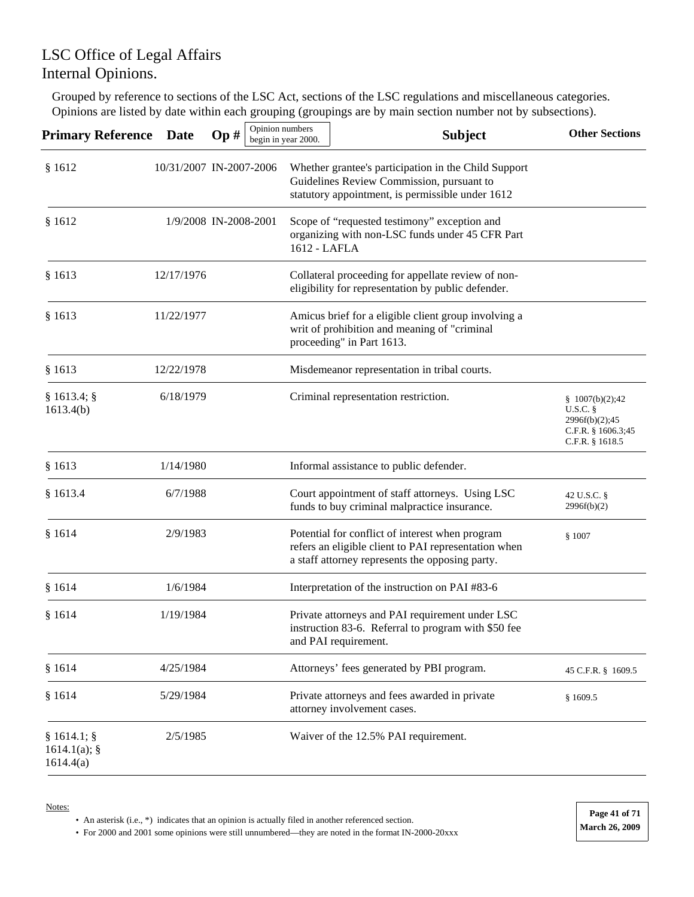Grouped by reference to sections of the LSC Act, sections of the LSC regulations and miscellaneous categories. Opinions are listed by date within each grouping (groupings are by main section number not by subsections).

| <b>Primary Reference</b>                      | Date                    | Op# | Opinion numbers | begin in year 2000. | <b>Subject</b>                                                                                                                                             | <b>Other Sections</b>                                                                       |
|-----------------------------------------------|-------------------------|-----|-----------------|---------------------|------------------------------------------------------------------------------------------------------------------------------------------------------------|---------------------------------------------------------------------------------------------|
| \$1612                                        | 10/31/2007 IN-2007-2006 |     |                 |                     | Whether grantee's participation in the Child Support<br>Guidelines Review Commission, pursuant to<br>statutory appointment, is permissible under 1612      |                                                                                             |
| \$1612                                        | 1/9/2008 IN-2008-2001   |     |                 | 1612 - LAFLA        | Scope of "requested testimony" exception and<br>organizing with non-LSC funds under 45 CFR Part                                                            |                                                                                             |
| § 1613                                        | 12/17/1976              |     |                 |                     | Collateral proceeding for appellate review of non-<br>eligibility for representation by public defender.                                                   |                                                                                             |
| § 1613                                        | 11/22/1977              |     |                 |                     | Amicus brief for a eligible client group involving a<br>writ of prohibition and meaning of "criminal<br>proceeding" in Part 1613.                          |                                                                                             |
| § 1613                                        | 12/22/1978              |     |                 |                     | Misdemeanor representation in tribal courts.                                                                                                               |                                                                                             |
| § 1613.4;<br>1613.4(b)                        | 6/18/1979               |     |                 |                     | Criminal representation restriction.                                                                                                                       | $\S$ 1007(b)(2);42<br>$U.S.C.$ §<br>2996f(b)(2);45<br>C.F.R. § 1606.3;45<br>C.F.R. § 1618.5 |
| \$1613                                        | 1/14/1980               |     |                 |                     | Informal assistance to public defender.                                                                                                                    |                                                                                             |
| § 1613.4                                      | 6/7/1988                |     |                 |                     | Court appointment of staff attorneys. Using LSC<br>funds to buy criminal malpractice insurance.                                                            | 42 U.S.C. §<br>2996f(b)(2)                                                                  |
| \$1614                                        | 2/9/1983                |     |                 |                     | Potential for conflict of interest when program<br>refers an eligible client to PAI representation when<br>a staff attorney represents the opposing party. | \$1007                                                                                      |
| \$1614                                        | 1/6/1984                |     |                 |                     | Interpretation of the instruction on PAI #83-6                                                                                                             |                                                                                             |
| § 1614                                        | 1/19/1984               |     |                 |                     | Private attorneys and PAI requirement under LSC<br>instruction 83-6. Referral to program with \$50 fee<br>and PAI requirement.                             |                                                                                             |
| \$1614                                        | 4/25/1984               |     |                 |                     | Attorneys' fees generated by PBI program.                                                                                                                  | 45 C.F.R. § 1609.5                                                                          |
| § 1614                                        | 5/29/1984               |     |                 |                     | Private attorneys and fees awarded in private<br>attorney involvement cases.                                                                               | \$1609.5                                                                                    |
| $§ 1614.1;$ §<br>$1614.1(a)$ ; §<br>1614.4(a) | 2/5/1985                |     |                 |                     | Waiver of the 12.5% PAI requirement.                                                                                                                       |                                                                                             |

Notes:

• An asterisk (i.e., \*) indicates that an opinion is actually filed in another referenced section.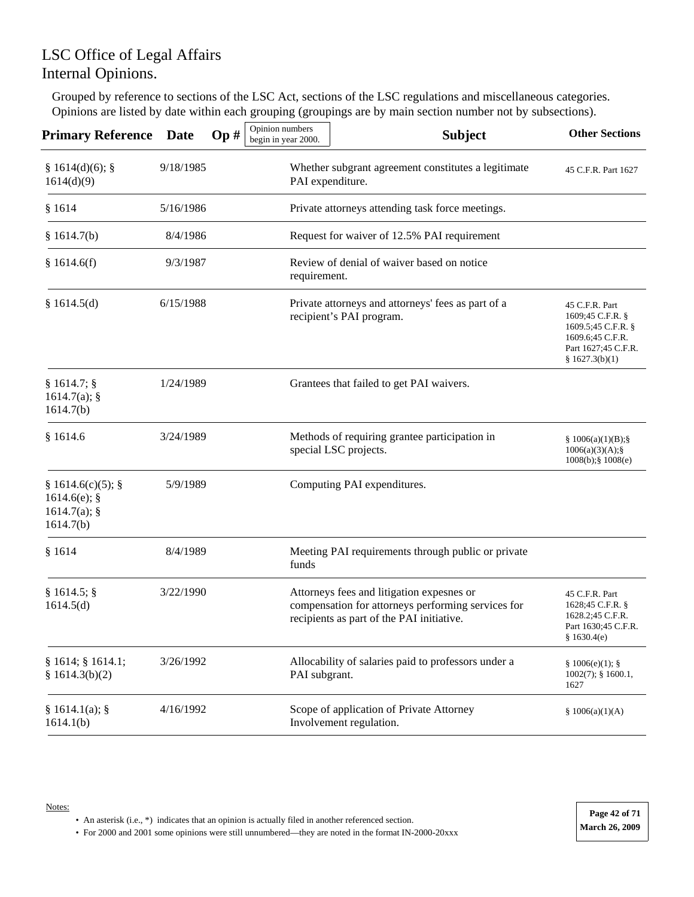Grouped by reference to sections of the LSC Act, sections of the LSC regulations and miscellaneous categories. Opinions are listed by date within each grouping (groupings are by main section number not by subsections).

| <b>Primary Reference</b>                                      | <b>Date</b> | Op# | Opinion numbers<br>begin in year 2000.           | <b>Subject</b>                                                                                                                               | <b>Other Sections</b>                                                                                                   |
|---------------------------------------------------------------|-------------|-----|--------------------------------------------------|----------------------------------------------------------------------------------------------------------------------------------------------|-------------------------------------------------------------------------------------------------------------------------|
| § 1614(d)(6);<br>1614(d)(9)                                   | 9/18/1985   |     | PAI expenditure.                                 | Whether subgrant agreement constitutes a legitimate                                                                                          | 45 C.F.R. Part 1627                                                                                                     |
| \$1614                                                        | 5/16/1986   |     | Private attorneys attending task force meetings. |                                                                                                                                              |                                                                                                                         |
| § 1614.7(b)                                                   | 8/4/1986    |     |                                                  | Request for waiver of 12.5% PAI requirement                                                                                                  |                                                                                                                         |
| \$1614.6(f)                                                   | 9/3/1987    |     | requirement.                                     | Review of denial of waiver based on notice                                                                                                   |                                                                                                                         |
| \$1614.5(d)                                                   | 6/15/1988   |     |                                                  | Private attorneys and attorneys' fees as part of a<br>recipient's PAI program.                                                               | 45 C.F.R. Part<br>1609;45 C.F.R. §<br>1609.5;45 C.F.R. §<br>1609.6;45 C.F.R.<br>Part 1627;45 C.F.R.<br>§ $1627.3(b)(1)$ |
| § 1614.7;<br>1614.7(a);<br>1614.7(b)                          | 1/24/1989   |     |                                                  | Grantees that failed to get PAI waivers.                                                                                                     |                                                                                                                         |
| \$1614.6                                                      | 3/24/1989   |     |                                                  | Methods of requiring grantee participation in<br>special LSC projects.                                                                       | § $1006(a)(1)(B);$ §<br>$1006(a)(3)(A);$ §<br>$1008(b);$ $1008(e)$                                                      |
| § 1614.6(c)(5);<br>$1614.6(e)$ ; §<br>1614.7(a);<br>1614.7(b) | 5/9/1989    |     |                                                  | Computing PAI expenditures.                                                                                                                  |                                                                                                                         |
| § 1614                                                        | 8/4/1989    |     | funds                                            | Meeting PAI requirements through public or private                                                                                           |                                                                                                                         |
| § 1614.5;<br>1614.5(d)                                        | 3/22/1990   |     |                                                  | Attorneys fees and litigation expesnes or<br>compensation for attorneys performing services for<br>recipients as part of the PAI initiative. | 45 C.F.R. Part<br>1628;45 C.F.R. §<br>1628.2;45 C.F.R.<br>Part 1630;45 C.F.R.<br>\$1630.4(e)                            |
| § 1614; § 1614.1;<br>§ $1614.3(b)(2)$                         | 3/26/1992   |     | PAI subgrant.                                    | Allocability of salaries paid to professors under a                                                                                          | § 1006(e)(1);<br>$1002(7)$ ; § 1600.1,<br>1627                                                                          |
| § 1614.1(a);<br>1614.1(b)                                     | 4/16/1992   |     |                                                  | Scope of application of Private Attorney<br>Involvement regulation.                                                                          | \$1006(a)(1)(A)                                                                                                         |

• An asterisk (i.e., \*) indicates that an opinion is actually filed in another referenced section.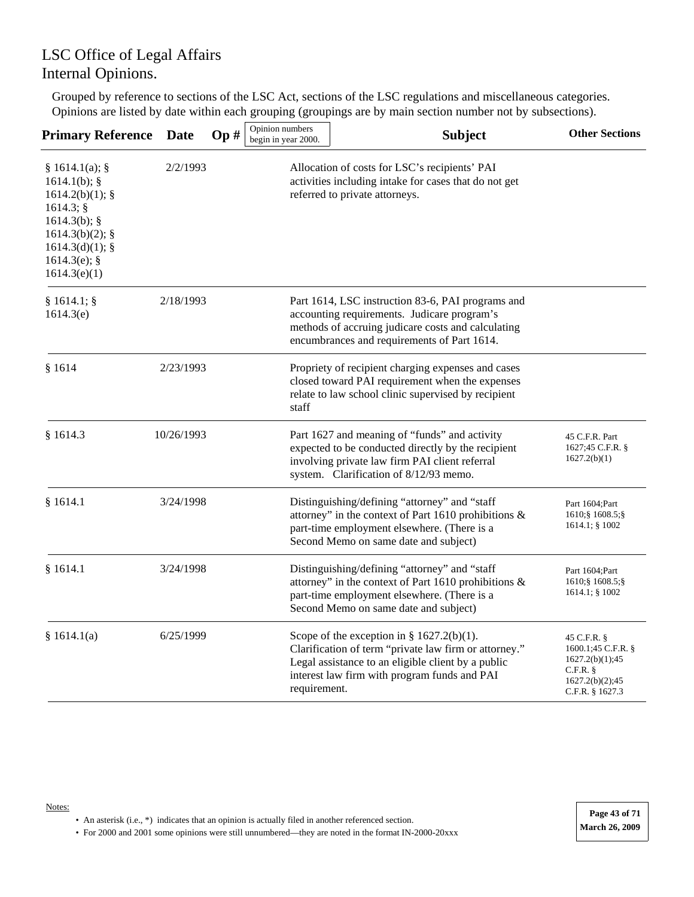Grouped by reference to sections of the LSC Act, sections of the LSC regulations and miscellaneous categories. Opinions are listed by date within each grouping (groupings are by main section number not by subsections).

| <b>Primary Reference</b>                                                                                                                                        | <b>Date</b> | Op# | Opinion numbers<br>begin in year 2000. | <b>Subject</b>                                                                                                                                                                                              | <b>Other Sections</b>                                                                                       |
|-----------------------------------------------------------------------------------------------------------------------------------------------------------------|-------------|-----|----------------------------------------|-------------------------------------------------------------------------------------------------------------------------------------------------------------------------------------------------------------|-------------------------------------------------------------------------------------------------------------|
| § 1614.1(a);<br>$1614.1(b)$ ; §<br>$1614.2(b)(1);$ §<br>1614.3;<br>$1614.3(b)$ ; §<br>$1614.3(b)(2)$ ; §<br>$1614.3(d)(1);$ §<br>1614.3(e); $§$<br>1614.3(e)(1) | 2/2/1993    |     |                                        | Allocation of costs for LSC's recipients' PAI<br>activities including intake for cases that do not get<br>referred to private attorneys.                                                                    |                                                                                                             |
| § 1614.1;<br>1614.3(e)                                                                                                                                          | 2/18/1993   |     |                                        | Part 1614, LSC instruction 83-6, PAI programs and<br>accounting requirements. Judicare program's<br>methods of accruing judicare costs and calculating<br>encumbrances and requirements of Part 1614.       |                                                                                                             |
| \$1614                                                                                                                                                          | 2/23/1993   |     | staff                                  | Propriety of recipient charging expenses and cases<br>closed toward PAI requirement when the expenses<br>relate to law school clinic supervised by recipient                                                |                                                                                                             |
| \$1614.3                                                                                                                                                        | 10/26/1993  |     |                                        | Part 1627 and meaning of "funds" and activity<br>expected to be conducted directly by the recipient<br>involving private law firm PAI client referral<br>system. Clarification of 8/12/93 memo.             | 45 C.F.R. Part<br>1627;45 C.F.R. §<br>1627.2(b)(1)                                                          |
| § 1614.1                                                                                                                                                        | 3/24/1998   |     |                                        | Distinguishing/defining "attorney" and "staff<br>attorney" in the context of Part 1610 prohibitions &<br>part-time employment elsewhere. (There is a<br>Second Memo on same date and subject)               | Part 1604; Part<br>1610; § 1608.5; §<br>1614.1; § 1002                                                      |
| \$1614.1                                                                                                                                                        | 3/24/1998   |     |                                        | Distinguishing/defining "attorney" and "staff<br>attorney" in the context of Part 1610 prohibitions &<br>part-time employment elsewhere. (There is a<br>Second Memo on same date and subject)               | Part 1604; Part<br>1610; § 1608.5; §<br>1614.1; § 1002                                                      |
| \$1614.1(a)                                                                                                                                                     | 6/25/1999   |     | requirement.                           | Scope of the exception in § $1627.2(b)(1)$ .<br>Clarification of term "private law firm or attorney."<br>Legal assistance to an eligible client by a public<br>interest law firm with program funds and PAI | 45 C.F.R. $\S$<br>1600.1;45 C.F.R. §<br>1627.2(b)(1);45<br>$C.F.R.$ §<br>1627.2(b)(2);45<br>C.F.R. § 1627.3 |

#### Notes:

• An asterisk (i.e., \*) indicates that an opinion is actually filed in another referenced section.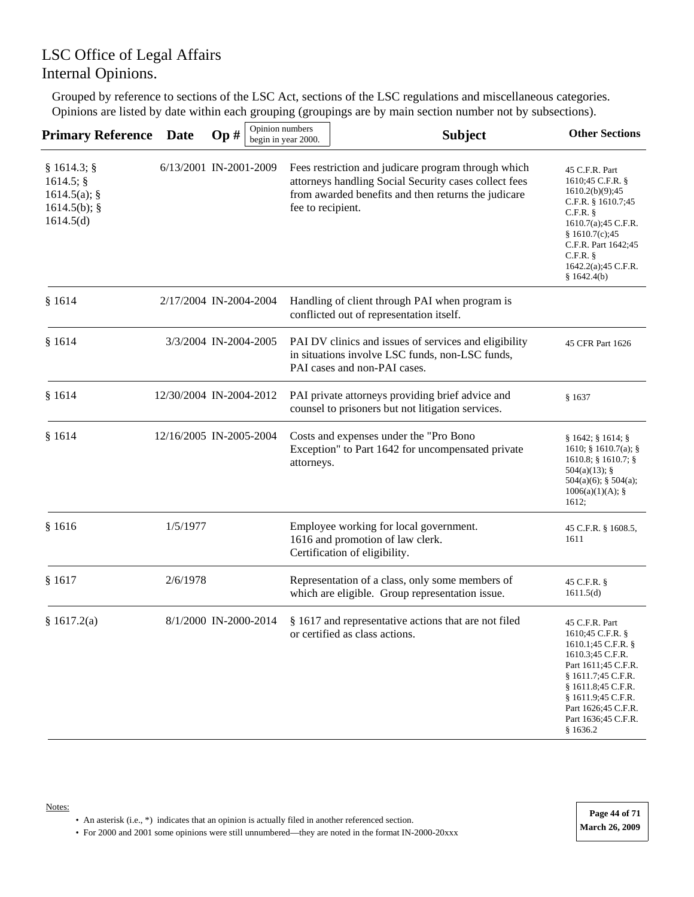Grouped by reference to sections of the LSC Act, sections of the LSC regulations and miscellaneous categories. Opinions are listed by date within each grouping (groupings are by main section number not by subsections).

| <b>Primary Reference</b>                                                | <b>Date</b>             | Op# | Opinion numbers | begin in year 2000. | <b>Subject</b>                                                                                                                                                      | <b>Other Sections</b>                                                                                                                                                                                                           |
|-------------------------------------------------------------------------|-------------------------|-----|-----------------|---------------------|---------------------------------------------------------------------------------------------------------------------------------------------------------------------|---------------------------------------------------------------------------------------------------------------------------------------------------------------------------------------------------------------------------------|
| § 1614.3;<br>1614.5;<br>$1614.5(a)$ ; §<br>$1614.5(b)$ ; §<br>1614.5(d) | 6/13/2001 IN-2001-2009  |     |                 | fee to recipient.   | Fees restriction and judicare program through which<br>attorneys handling Social Security cases collect fees<br>from awarded benefits and then returns the judicare | 45 C.F.R. Part<br>1610;45 C.F.R. §<br>1610.2(b)(9);45<br>C.F.R. $§$ 1610.7;45<br>$C.F.R.$ §<br>1610.7(a);45 C.F.R.<br>\$1610.7(c);45<br>C.F.R. Part 1642;45<br>$C.F.R.$ §<br>1642.2(a); 45 C.F.R.<br>\$1642.4(b)                |
| \$1614                                                                  | 2/17/2004 IN-2004-2004  |     |                 |                     | Handling of client through PAI when program is<br>conflicted out of representation itself.                                                                          |                                                                                                                                                                                                                                 |
| \$1614                                                                  | 3/3/2004 IN-2004-2005   |     |                 |                     | PAI DV clinics and issues of services and eligibility<br>in situations involve LSC funds, non-LSC funds,<br>PAI cases and non-PAI cases.                            | 45 CFR Part 1626                                                                                                                                                                                                                |
| \$1614                                                                  | 12/30/2004 IN-2004-2012 |     |                 |                     | PAI private attorneys providing brief advice and<br>counsel to prisoners but not litigation services.                                                               | § 1637                                                                                                                                                                                                                          |
| \$1614                                                                  | 12/16/2005 IN-2005-2004 |     |                 | attorneys.          | Costs and expenses under the "Pro Bono<br>Exception" to Part 1642 for uncompensated private                                                                         | § 1642; § 1614; §<br>1610; § 1610.7(a); §<br>$1610.8$ ; § 1610.7; §<br>$504(a)(13)$ ; §<br>$504(a)(6)$ ; § $504(a)$ ;<br>1006(a)(1)(A);<br>1612;                                                                                |
| \$1616                                                                  | 1/5/1977                |     |                 |                     | Employee working for local government.<br>1616 and promotion of law clerk.<br>Certification of eligibility.                                                         | 45 C.F.R. § 1608.5,<br>1611                                                                                                                                                                                                     |
| § 1617                                                                  | 2/6/1978                |     |                 |                     | Representation of a class, only some members of<br>which are eligible. Group representation issue.                                                                  | 45 C.F.R. §<br>1611.5(d)                                                                                                                                                                                                        |
| § 1617.2(a)                                                             | 8/1/2000 IN-2000-2014   |     |                 |                     | § 1617 and representative actions that are not filed<br>or certified as class actions.                                                                              | 45 C.F.R. Part<br>1610;45 C.F.R. §<br>1610.1;45 C.F.R. §<br>1610.3;45 C.F.R.<br>Part 1611;45 C.F.R.<br>§ 1611.7;45 C.F.R.<br>§ 1611.8;45 C.F.R.<br>§ 1611.9;45 C.F.R.<br>Part 1626;45 C.F.R.<br>Part 1636;45 C.F.R.<br>\$1636.2 |

• An asterisk (i.e., \*) indicates that an opinion is actually filed in another referenced section.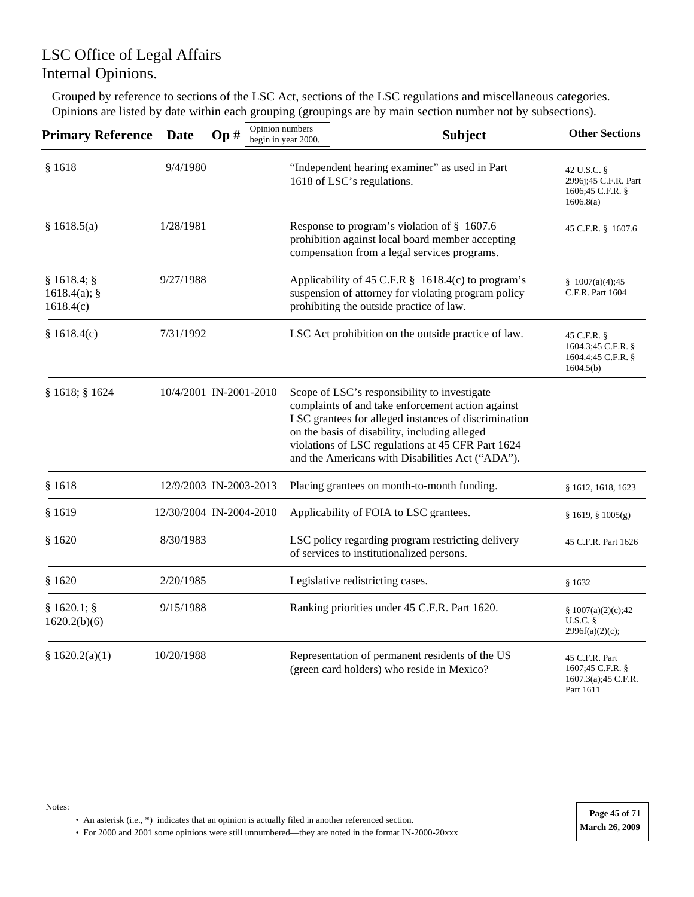Grouped by reference to sections of the LSC Act, sections of the LSC regulations and miscellaneous categories. Opinions are listed by date within each grouping (groupings are by main section number not by subsections).

| <b>Primary Reference</b>                  | Date                    | Op# | Opinion numbers | begin in year 2000. | <b>Subject</b>                                                                                                                                                                                                                                                                                                      | <b>Other Sections</b>                                                   |
|-------------------------------------------|-------------------------|-----|-----------------|---------------------|---------------------------------------------------------------------------------------------------------------------------------------------------------------------------------------------------------------------------------------------------------------------------------------------------------------------|-------------------------------------------------------------------------|
| \$1618                                    | 9/4/1980                |     |                 |                     | "Independent hearing examiner" as used in Part<br>1618 of LSC's regulations.                                                                                                                                                                                                                                        | 42 U.S.C. §<br>2996j;45 C.F.R. Part<br>1606;45 C.F.R. §<br>1606.8(a)    |
| \$1618.5(a)                               | 1/28/1981               |     |                 |                     | Response to program's violation of § 1607.6<br>prohibition against local board member accepting<br>compensation from a legal services programs.                                                                                                                                                                     | 45 C.F.R. § 1607.6                                                      |
| § 1618.4;<br>$1618.4(a)$ ; §<br>1618.4(c) | 9/27/1988               |     |                 |                     | Applicability of 45 C.F.R § 1618.4(c) to program's<br>suspension of attorney for violating program policy<br>prohibiting the outside practice of law.                                                                                                                                                               | \$1007(a)(4);45<br>C.F.R. Part 1604                                     |
| \$1618.4(c)                               | 7/31/1992               |     |                 |                     | LSC Act prohibition on the outside practice of law.                                                                                                                                                                                                                                                                 | 45 C.F.R. §<br>1604.3;45 C.F.R. §<br>1604.4;45 C.F.R. §<br>1604.5(b)    |
| § 1618; § 1624                            | 10/4/2001 IN-2001-2010  |     |                 |                     | Scope of LSC's responsibility to investigate<br>complaints of and take enforcement action against<br>LSC grantees for alleged instances of discrimination<br>on the basis of disability, including alleged<br>violations of LSC regulations at 45 CFR Part 1624<br>and the Americans with Disabilities Act ("ADA"). |                                                                         |
| \$1618                                    | 12/9/2003 IN-2003-2013  |     |                 |                     | Placing grantees on month-to-month funding.                                                                                                                                                                                                                                                                         | § 1612, 1618, 1623                                                      |
| §1619                                     | 12/30/2004 IN-2004-2010 |     |                 |                     | Applicability of FOIA to LSC grantees.                                                                                                                                                                                                                                                                              | § 1619, § 1005(g)                                                       |
| \$1620                                    | 8/30/1983               |     |                 |                     | LSC policy regarding program restricting delivery<br>of services to institutionalized persons.                                                                                                                                                                                                                      | 45 C.F.R. Part 1626                                                     |
| \$1620                                    | 2/20/1985               |     |                 |                     | Legislative redistricting cases.                                                                                                                                                                                                                                                                                    | §1632                                                                   |
| § 1620.1;<br>1620.2(b)(6)                 | 9/15/1988               |     |                 |                     | Ranking priorities under 45 C.F.R. Part 1620.                                                                                                                                                                                                                                                                       | § $1007(a)(2)(c);42$<br>U.S.C.<br>2996f(a)(2)(c);                       |
| § 1620.2(a)(1)                            | 10/20/1988              |     |                 |                     | Representation of permanent residents of the US<br>(green card holders) who reside in Mexico?                                                                                                                                                                                                                       | 45 C.F.R. Part<br>1607;45 C.F.R. §<br>1607.3(a); 45 C.F.R.<br>Part 1611 |

Notes: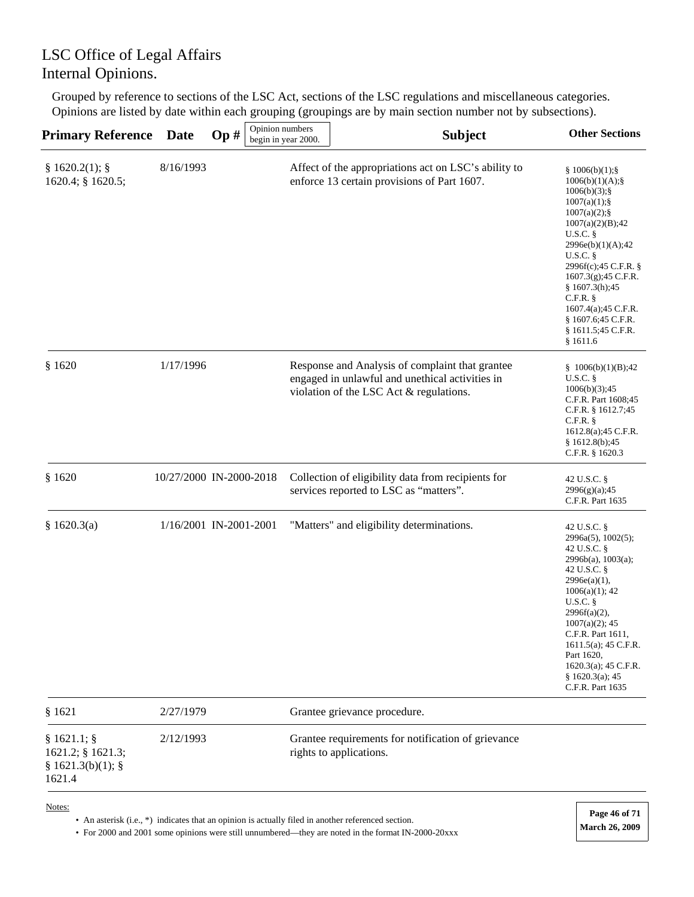Grouped by reference to sections of the LSC Act, sections of the LSC regulations and miscellaneous categories. Opinions are listed by date within each grouping (groupings are by main section number not by subsections).

| <b>Primary Reference</b>                                        | Date                    | Op# | Opinion numbers | begin in year 2000. | <b>Subject</b>                                                                                                                                | <b>Other Sections</b>                                                                                                                                                                                                                                                                                                         |
|-----------------------------------------------------------------|-------------------------|-----|-----------------|---------------------|-----------------------------------------------------------------------------------------------------------------------------------------------|-------------------------------------------------------------------------------------------------------------------------------------------------------------------------------------------------------------------------------------------------------------------------------------------------------------------------------|
| § 1620.2(1);<br>1620.4; § 1620.5;                               | 8/16/1993               |     |                 |                     | Affect of the appropriations act on LSC's ability to<br>enforce 13 certain provisions of Part 1607.                                           | § 1006(b)(1);<br>$1006(b)(1)(A);$ §<br>$1006(b)(3)$ ; §<br>$1007(a)(1);$ §<br>$1007(a)(2);$ §<br>1007(a)(2)(B);42<br>U.S.C.<br>2996e(b)(1)(A);42<br>$U.S.C.$ §<br>2996f(c);45 C.F.R. §<br>1607.3(g);45 C.F.R.<br>\$1607.3(h);45<br>$C.F.R.$ §<br>1607.4(a);45 C.F.R.<br>$§$ 1607.6;45 C.F.R.<br>§ 1611.5;45 C.F.R.<br>§1611.6 |
| \$1620                                                          | 1/17/1996               |     |                 |                     | Response and Analysis of complaint that grantee<br>engaged in unlawful and unethical activities in<br>violation of the LSC Act & regulations. | § $1006(b)(1)(B);42$<br>$U.S.C.$ §<br>1006(b)(3);45<br>C.F.R. Part 1608;45<br>C.F.R. § 1612.7;45<br>$C.F.R.$ §<br>1612.8(a);45 C.F.R.<br>\$1612.8(b);45<br>C.F.R. § 1620.3                                                                                                                                                    |
| \$1620                                                          | 10/27/2000 IN-2000-2018 |     |                 |                     | Collection of eligibility data from recipients for<br>services reported to LSC as "matters".                                                  | 42 U.S.C. §<br>2996(g)(a);45<br>C.F.R. Part 1635                                                                                                                                                                                                                                                                              |
| § 1620.3(a)                                                     | 1/16/2001 IN-2001-2001  |     |                 |                     | "Matters" and eligibility determinations.                                                                                                     | 42 U.S.C. §<br>2996a(5), 1002(5);<br>42 U.S.C. §<br>$2996b(a)$ , 1003(a);<br>42 U.S.C. §<br>2996e(a)(1),<br>$1006(a)(1)$ ; 42<br>$U.S.C.$ §<br>$2996f(a)(2)$ ,<br>$1007(a)(2)$ ; 45<br>C.F.R. Part 1611,<br>1611.5(a); 45 C.F.R.<br>Part 1620,<br>1620.3(a); 45 C.F.R.<br>§ 1620.3(a); 45<br>C.F.R. Part 1635                 |
| \$1621                                                          | 2/27/1979               |     |                 |                     | Grantee grievance procedure.                                                                                                                  |                                                                                                                                                                                                                                                                                                                               |
| $§ 1621.1;$ §<br>1621.2; § 1621.3;<br>§ 1621.3(b)(1);<br>1621.4 | 2/12/1993               |     |                 |                     | Grantee requirements for notification of grievance<br>rights to applications.                                                                 |                                                                                                                                                                                                                                                                                                                               |
|                                                                 |                         |     |                 |                     |                                                                                                                                               |                                                                                                                                                                                                                                                                                                                               |

Notes:

• An asterisk (i.e., \*) indicates that an opinion is actually filed in another referenced section.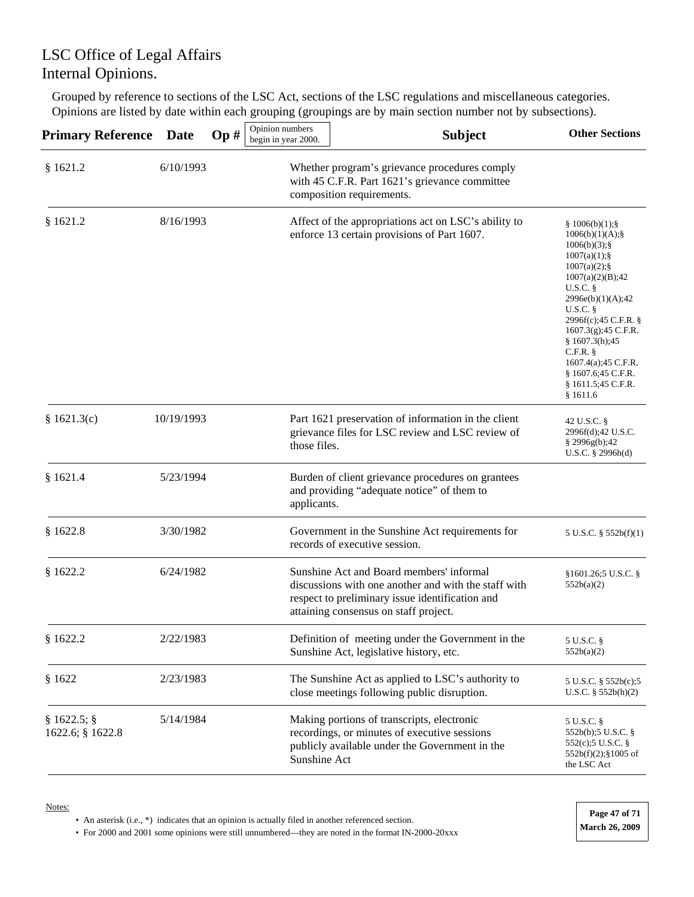Grouped by reference to sections of the LSC Act, sections of the LSC regulations and miscellaneous categories. Opinions are listed by date within each grouping (groupings are by main section number not by subsections).

| <b>Primary Reference</b>      | <b>Date</b> | Op# | Opinion numbers<br>begin in year 2000. | <b>Subject</b>                                                                                                                                                                               | <b>Other Sections</b>                                                                                                                                                                                                                                                                                                  |
|-------------------------------|-------------|-----|----------------------------------------|----------------------------------------------------------------------------------------------------------------------------------------------------------------------------------------------|------------------------------------------------------------------------------------------------------------------------------------------------------------------------------------------------------------------------------------------------------------------------------------------------------------------------|
| \$1621.2                      | 6/10/1993   |     |                                        | Whether program's grievance procedures comply<br>with 45 C.F.R. Part 1621's grievance committee<br>composition requirements.                                                                 |                                                                                                                                                                                                                                                                                                                        |
| \$1621.2                      | 8/16/1993   |     |                                        | Affect of the appropriations act on LSC's ability to<br>enforce 13 certain provisions of Part 1607.                                                                                          | \$1006(b)(1);<br>1006(b)(1)(A);<br>$1006(b)(3)$ ; §<br>1007(a)(1);<br>$1007(a)(2)$ ; §<br>1007(a)(2)(B);42<br>U.S.C.<br>2996e(b)(1)(A);42<br>U.S.C.<br>2996f(c);45 C.F.R. §<br>$1607.3(g)$ ; 45 C.F.R.<br>\$1607.3(h);45<br>$C.F.R.$ §<br>1607.4(a);45 C.F.R.<br>$§$ 1607.6;45 C.F.R.<br>§ 1611.5;45 C.F.R.<br>§1611.6 |
| \$1621.3(c)                   | 10/19/1993  |     | those files.                           | Part 1621 preservation of information in the client<br>grievance files for LSC review and LSC review of                                                                                      | 42 U.S.C. §<br>2996f(d);42 U.S.C.<br>$§$ 2996g(b);42<br>U.S.C. $\S$ 2996h(d)                                                                                                                                                                                                                                           |
| \$1621.4                      | 5/23/1994   |     | applicants.                            | Burden of client grievance procedures on grantees<br>and providing "adequate notice" of them to                                                                                              |                                                                                                                                                                                                                                                                                                                        |
| \$1622.8                      | 3/30/1982   |     |                                        | Government in the Sunshine Act requirements for<br>records of executive session.                                                                                                             | 5 U.S.C. $\S$ 552b(f)(1)                                                                                                                                                                                                                                                                                               |
| \$1622.2                      | 6/24/1982   |     |                                        | Sunshine Act and Board members' informal<br>discussions with one another and with the staff with<br>respect to preliminary issue identification and<br>attaining consensus on staff project. | $§1601.26;5$ U.S.C. §<br>552b(a)(2)                                                                                                                                                                                                                                                                                    |
| \$1622.2                      | 2/22/1983   |     |                                        | Definition of meeting under the Government in the<br>Sunshine Act, legislative history, etc.                                                                                                 | 5 U.S.C. §<br>552b(a)(2)                                                                                                                                                                                                                                                                                               |
| \$1622                        | 2/23/1983   |     |                                        | The Sunshine Act as applied to LSC's authority to<br>close meetings following public disruption.                                                                                             | 5 U.S.C. $\S 552b(c)$ ;5<br>$U.S.C.$ § 552b(h)(2)                                                                                                                                                                                                                                                                      |
| § 1622.5;<br>1622.6; § 1622.8 | 5/14/1984   |     | Sunshine Act                           | Making portions of transcripts, electronic<br>recordings, or minutes of executive sessions<br>publicly available under the Government in the                                                 | 5 U.S.C. §<br>552b(b);5 U.S.C. $\S$<br>552(c);5 U.S.C. §<br>$552b(f)(2);$ \$1005 of<br>the LSC Act                                                                                                                                                                                                                     |

Notes:

• An asterisk (i.e., \*) indicates that an opinion is actually filed in another referenced section.

• For 2000 and 2001 some opinions were still unnumbered—they are noted in the format IN-2000-20xxx **March 26, 2009** 

**Page 47 of 71**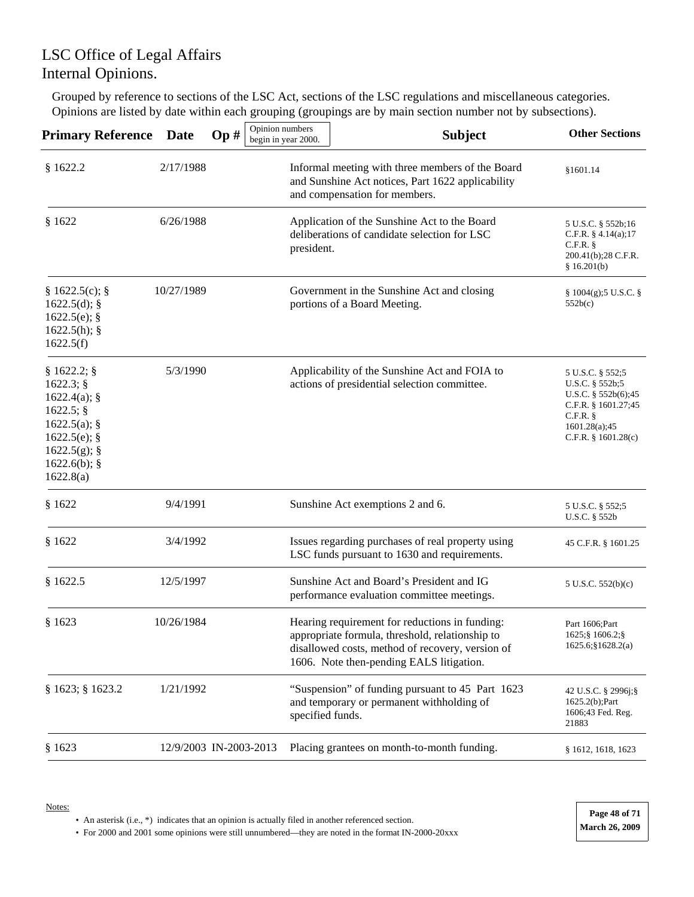Grouped by reference to sections of the LSC Act, sections of the LSC regulations and miscellaneous categories. Opinions are listed by date within each grouping (groupings are by main section number not by subsections).

| <b>Primary Reference</b>                                                                                                     | <b>Date</b> | Opinion numbers<br>Op# | begin in year 2000. | <b>Subject</b>                                                                                                                                                                                    | <b>Other Sections</b>                                                                                                                       |
|------------------------------------------------------------------------------------------------------------------------------|-------------|------------------------|---------------------|---------------------------------------------------------------------------------------------------------------------------------------------------------------------------------------------------|---------------------------------------------------------------------------------------------------------------------------------------------|
| \$1622.2                                                                                                                     | 2/17/1988   |                        |                     | Informal meeting with three members of the Board<br>and Sunshine Act notices, Part 1622 applicability<br>and compensation for members.                                                            | §1601.14                                                                                                                                    |
| \$1622                                                                                                                       | 6/26/1988   |                        | president.          | Application of the Sunshine Act to the Board<br>deliberations of candidate selection for LSC                                                                                                      | 5 U.S.C. § 552b;16<br>C.F.R. $§$ 4.14(a);17<br>$C.F.R.$ §<br>200.41(b);28 C.F.R.<br>\$16.201(b)                                             |
| § 1622.5(c);<br>$1622.5(d)$ ; §<br>$1622.5(e)$ ; §<br>1622.5(h);<br>1622.5(f)                                                | 10/27/1989  |                        |                     | Government in the Sunshine Act and closing<br>portions of a Board Meeting.                                                                                                                        | $\S 1004(g)$ ;5 U.S.C. $\S$<br>552b(c)                                                                                                      |
| § 1622.2;<br>1622.3;<br>1622.4(a);<br>1622.5;<br>1622.5(a);<br>$1622.5(e)$ ; §<br>1622.5(g);<br>$1622.6(b)$ ; §<br>1622.8(a) | 5/3/1990    |                        |                     | Applicability of the Sunshine Act and FOIA to<br>actions of presidential selection committee.                                                                                                     | 5 U.S.C. § 552;5<br>U.S.C. § 552b;5<br>U.S.C. $§$ 552b(6);45<br>C.F.R. § 1601.27;45<br>$C.F.R.$ §<br>1601.28(a);45<br>C.F.R. $§$ 1601.28(c) |
| § 1622                                                                                                                       | 9/4/1991    |                        |                     | Sunshine Act exemptions 2 and 6.                                                                                                                                                                  | 5 U.S.C. § 552;5<br>U.S.C. § 552b                                                                                                           |
| § 1622                                                                                                                       | 3/4/1992    |                        |                     | Issues regarding purchases of real property using<br>LSC funds pursuant to 1630 and requirements.                                                                                                 | 45 C.F.R. § 1601.25                                                                                                                         |
| \$1622.5                                                                                                                     | 12/5/1997   |                        |                     | Sunshine Act and Board's President and IG<br>performance evaluation committee meetings.                                                                                                           | 5 U.S.C. 552(b)(c)                                                                                                                          |
| \$1623                                                                                                                       | 10/26/1984  |                        |                     | Hearing requirement for reductions in funding:<br>appropriate formula, threshold, relationship to<br>disallowed costs, method of recovery, version of<br>1606. Note then-pending EALS litigation. | Part 1606:Part<br>1625; § 1606.2; §<br>1625.6; \$1628.2(a)                                                                                  |
| § 1623; § 1623.2                                                                                                             | 1/21/1992   |                        | specified funds.    | "Suspension" of funding pursuant to 45 Part 1623<br>and temporary or permanent withholding of                                                                                                     | 42 U.S.C. § 2996j;§<br>$1625.2(b)$ ; Part<br>1606;43 Fed. Reg.<br>21883                                                                     |
| \$1623                                                                                                                       |             | 12/9/2003 IN-2003-2013 |                     | Placing grantees on month-to-month funding.                                                                                                                                                       | $§$ 1612, 1618, 1623                                                                                                                        |

• An asterisk (i.e., \*) indicates that an opinion is actually filed in another referenced section.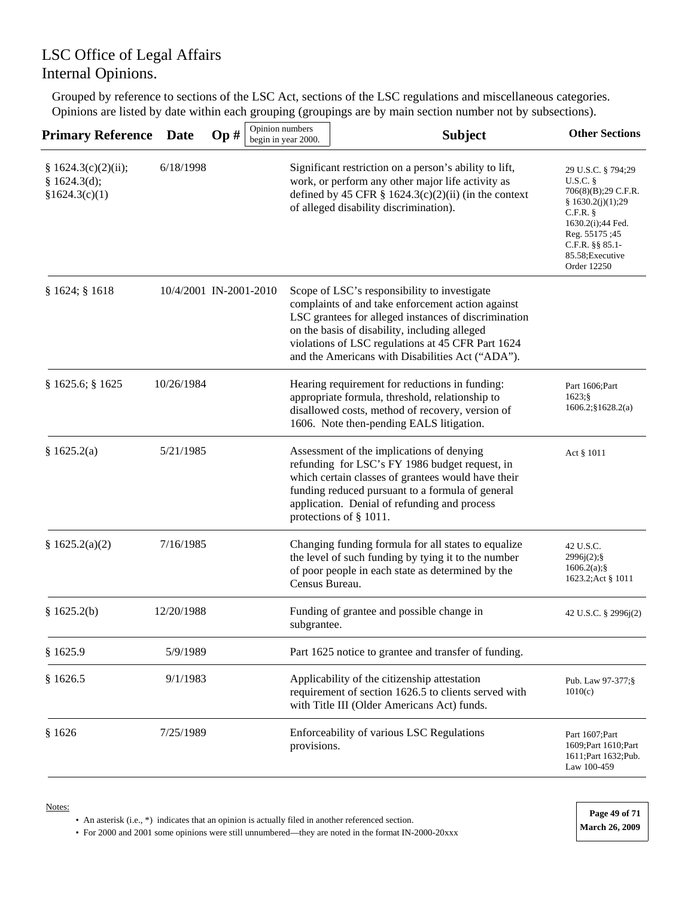Grouped by reference to sections of the LSC Act, sections of the LSC regulations and miscellaneous categories. Opinions are listed by date within each grouping (groupings are by main section number not by subsections).

| <b>Primary Reference</b>                              | <b>Date</b>            | Op# | Opinion numbers<br>begin in year 2000. | <b>Subject</b>                                                                                                                                                                                                                                                                                                      | <b>Other Sections</b>                                                                                                                                                                |
|-------------------------------------------------------|------------------------|-----|----------------------------------------|---------------------------------------------------------------------------------------------------------------------------------------------------------------------------------------------------------------------------------------------------------------------------------------------------------------------|--------------------------------------------------------------------------------------------------------------------------------------------------------------------------------------|
| § 1624.3(c)(2)(ii);<br>§ 1624.3(d);<br>\$1624.3(c)(1) | 6/18/1998              |     |                                        | Significant restriction on a person's ability to lift,<br>work, or perform any other major life activity as<br>defined by 45 CFR $\S$ 1624.3(c)(2)(ii) (in the context<br>of alleged disability discrimination).                                                                                                    | 29 U.S.C. § 794;29<br>U.S.C.<br>706(8)(B);29 C.F.R.<br>\$1630.2(j)(1);29<br>$C.F.R.$ $§$<br>1630.2(i);44 Fed.<br>Reg. 55175;45<br>C.F.R. §§ 85.1-<br>85.58; Executive<br>Order 12250 |
| § 1624; § 1618                                        | 10/4/2001 IN-2001-2010 |     |                                        | Scope of LSC's responsibility to investigate<br>complaints of and take enforcement action against<br>LSC grantees for alleged instances of discrimination<br>on the basis of disability, including alleged<br>violations of LSC regulations at 45 CFR Part 1624<br>and the Americans with Disabilities Act ("ADA"). |                                                                                                                                                                                      |
| § 1625.6; § 1625                                      | 10/26/1984             |     |                                        | Hearing requirement for reductions in funding:<br>appropriate formula, threshold, relationship to<br>disallowed costs, method of recovery, version of<br>1606. Note then-pending EALS litigation.                                                                                                                   | Part 1606; Part<br>1623;<br>$1606.2$ ; \$1628.2(a)                                                                                                                                   |
| § 1625.2(a)                                           | 5/21/1985              |     |                                        | Assessment of the implications of denying<br>refunding for LSC's FY 1986 budget request, in<br>which certain classes of grantees would have their<br>funding reduced pursuant to a formula of general<br>application. Denial of refunding and process<br>protections of § 1011.                                     | Act § 1011                                                                                                                                                                           |
| § 1625.2(a)(2)                                        | 7/16/1985              |     | Census Bureau.                         | Changing funding formula for all states to equalize<br>the level of such funding by tying it to the number<br>of poor people in each state as determined by the                                                                                                                                                     | 42 U.S.C.<br>2996j(2);<br>$1606.2(a)$ ;§<br>1623.2;Act § 1011                                                                                                                        |
| \$1625.2(b)                                           | 12/20/1988             |     | subgrantee.                            | Funding of grantee and possible change in                                                                                                                                                                                                                                                                           | 42 U.S.C. § 2996j(2)                                                                                                                                                                 |
| \$1625.9                                              | 5/9/1989               |     |                                        | Part 1625 notice to grantee and transfer of funding.                                                                                                                                                                                                                                                                |                                                                                                                                                                                      |
| \$1626.5                                              | 9/1/1983               |     |                                        | Applicability of the citizenship attestation<br>requirement of section 1626.5 to clients served with<br>with Title III (Older Americans Act) funds.                                                                                                                                                                 | Pub. Law 97-377;§<br>1010(c)                                                                                                                                                         |
| \$1626                                                | 7/25/1989              |     | provisions.                            | Enforceability of various LSC Regulations                                                                                                                                                                                                                                                                           | Part 1607; Part<br>1609; Part 1610; Part<br>1611; Part 1632; Pub.<br>Law 100-459                                                                                                     |

Notes:

• An asterisk (i.e., \*) indicates that an opinion is actually filed in another referenced section.

• For 2000 and 2001 some opinions were still unnumbered—they are noted in the format IN-2000-20xxx **March 26, 2009** 

**Page 49 of 71**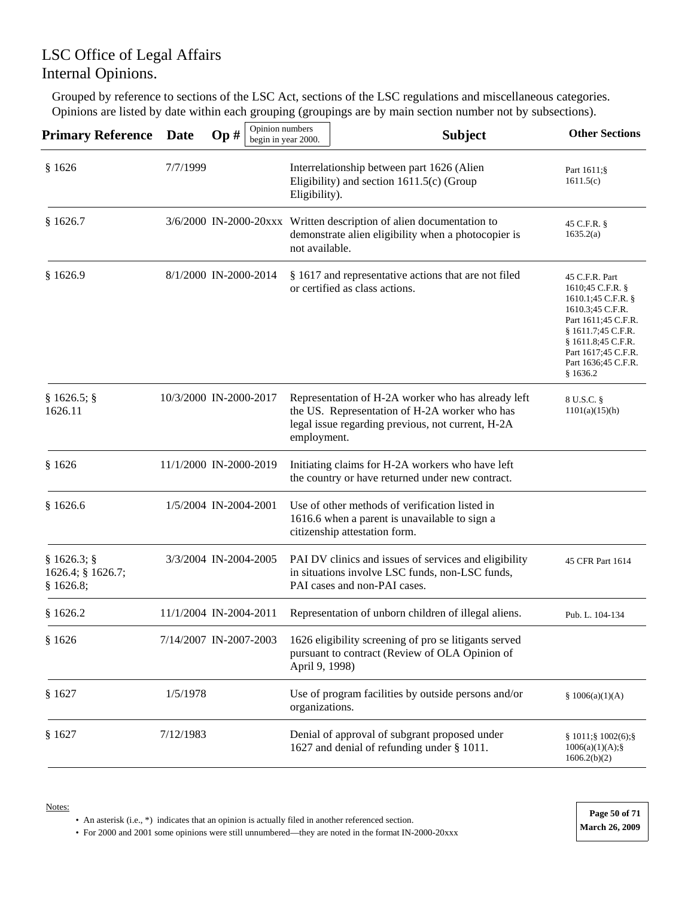Grouped by reference to sections of the LSC Act, sections of the LSC regulations and miscellaneous categories. Opinions are listed by date within each grouping (groupings are by main section number not by subsections).

| <b>Primary Reference</b>                    | <b>Date</b>            | Op# | Opinion numbers<br>begin in year 2000. |                | <b>Subject</b>                                                                                                                                           | <b>Other Sections</b>                                                                                                                                                                                       |
|---------------------------------------------|------------------------|-----|----------------------------------------|----------------|----------------------------------------------------------------------------------------------------------------------------------------------------------|-------------------------------------------------------------------------------------------------------------------------------------------------------------------------------------------------------------|
| \$1626                                      | 7/7/1999               |     |                                        | Eligibility).  | Interrelationship between part 1626 (Alien<br>Eligibility) and section $1611.5(c)$ (Group                                                                | Part 1611;§<br>1611.5(c)                                                                                                                                                                                    |
| \$1626.7                                    |                        |     |                                        | not available. | 3/6/2000 IN-2000-20xxx Written description of alien documentation to<br>demonstrate alien eligibility when a photocopier is                              | 45 C.F.R. §<br>1635.2(a)                                                                                                                                                                                    |
| \$1626.9                                    | 8/1/2000 IN-2000-2014  |     |                                        |                | § 1617 and representative actions that are not filed<br>or certified as class actions.                                                                   | 45 C.F.R. Part<br>1610;45 C.F.R. §<br>1610.1;45 C.F.R. §<br>1610.3;45 C.F.R.<br>Part 1611;45 C.F.R.<br>§ 1611.7;45 C.F.R.<br>$§$ 1611.8;45 C.F.R.<br>Part 1617;45 C.F.R.<br>Part 1636;45 C.F.R.<br>\$1636.2 |
| § 1626.5;<br>1626.11                        | 10/3/2000 IN-2000-2017 |     |                                        | employment.    | Representation of H-2A worker who has already left<br>the US. Representation of H-2A worker who has<br>legal issue regarding previous, not current, H-2A | 8 U.S.C. §<br>1101(a)(15)(h)                                                                                                                                                                                |
| \$1626                                      | 11/1/2000 IN-2000-2019 |     |                                        |                | Initiating claims for H-2A workers who have left<br>the country or have returned under new contract.                                                     |                                                                                                                                                                                                             |
| \$1626.6                                    | 1/5/2004 IN-2004-2001  |     |                                        |                | Use of other methods of verification listed in<br>1616.6 when a parent is unavailable to sign a<br>citizenship attestation form.                         |                                                                                                                                                                                                             |
| § 1626.3;<br>1626.4; § 1626.7;<br>\$1626.8; | 3/3/2004 IN-2004-2005  |     |                                        |                | PAI DV clinics and issues of services and eligibility<br>in situations involve LSC funds, non-LSC funds,<br>PAI cases and non-PAI cases.                 | 45 CFR Part 1614                                                                                                                                                                                            |
| \$1626.2                                    | 11/1/2004 IN-2004-2011 |     |                                        |                | Representation of unborn children of illegal aliens.                                                                                                     | Pub. L. 104-134                                                                                                                                                                                             |
| \$1626                                      | 7/14/2007 IN-2007-2003 |     |                                        | April 9, 1998) | 1626 eligibility screening of pro se litigants served<br>pursuant to contract (Review of OLA Opinion of                                                  |                                                                                                                                                                                                             |
| \$1627                                      | 1/5/1978               |     |                                        | organizations. | Use of program facilities by outside persons and/or                                                                                                      | § $1006(a)(1)(A)$                                                                                                                                                                                           |
| § 1627                                      | 7/12/1983              |     |                                        |                | Denial of approval of subgrant proposed under<br>1627 and denial of refunding under § 1011.                                                              | § 1011;§ 1002(6);§<br>$1006(a)(1)(A);$ §<br>1606.2(b)(2)                                                                                                                                                    |

Notes:

• An asterisk (i.e., \*) indicates that an opinion is actually filed in another referenced section.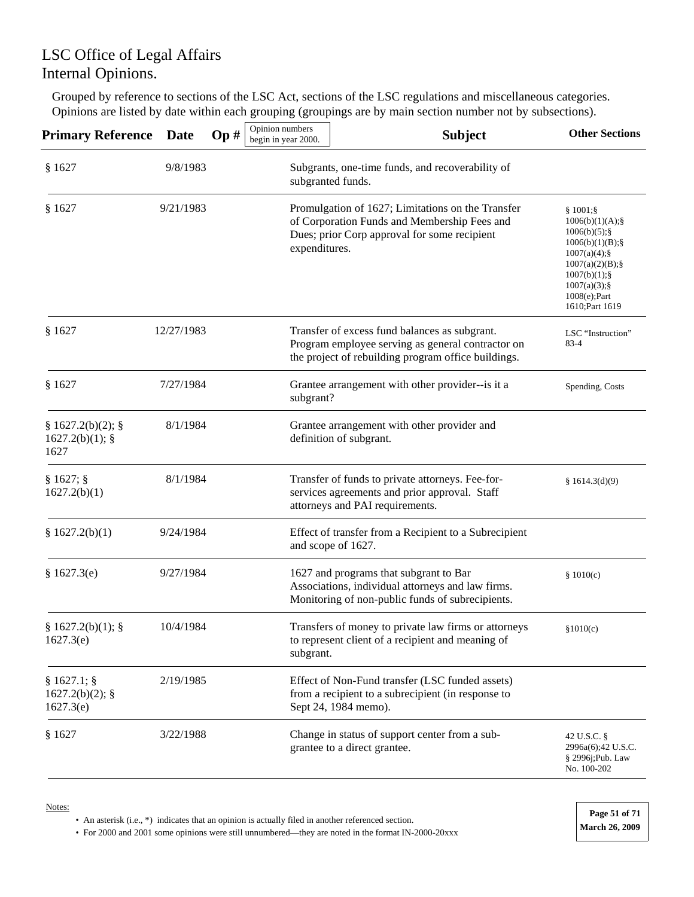Grouped by reference to sections of the LSC Act, sections of the LSC regulations and miscellaneous categories. Opinions are listed by date within each grouping (groupings are by main section number not by subsections).

| <b>Primary Reference</b>                    | <b>Date</b> | Op# | Opinion numbers<br>begin in year 2000. | <b>Subject</b>                                                                                                                                            | <b>Other Sections</b>                                                                                                                                                         |
|---------------------------------------------|-------------|-----|----------------------------------------|-----------------------------------------------------------------------------------------------------------------------------------------------------------|-------------------------------------------------------------------------------------------------------------------------------------------------------------------------------|
| \$1627                                      | 9/8/1983    |     |                                        | Subgrants, one-time funds, and recoverability of<br>subgranted funds.                                                                                     |                                                                                                                                                                               |
| § 1627                                      | 9/21/1983   |     | expenditures.                          | Promulgation of 1627; Limitations on the Transfer<br>of Corporation Funds and Membership Fees and<br>Dues; prior Corp approval for some recipient         | $$1001;\$<br>$1006(b)(1)(A);$ §<br>1006(b)(5);<br>1006(b)(1)(B);<br>1007(a)(4);<br>1007(a)(2)(B);<br>$1007(b)(1);$ §<br>$1007(a)(3)$ ;§<br>$1008(e);$ Part<br>1610; Part 1619 |
| § 1627                                      | 12/27/1983  |     |                                        | Transfer of excess fund balances as subgrant.<br>Program employee serving as general contractor on<br>the project of rebuilding program office buildings. | LSC "Instruction"<br>83-4                                                                                                                                                     |
| § 1627                                      | 7/27/1984   |     | subgrant?                              | Grantee arrangement with other provider--is it a                                                                                                          | Spending, Costs                                                                                                                                                               |
| § 1627.2(b)(2);<br>1627.2(b)(1);<br>1627    | 8/1/1984    |     |                                        | Grantee arrangement with other provider and<br>definition of subgrant.                                                                                    |                                                                                                                                                                               |
| § 1627;<br>1627.2(b)(1)                     | 8/1/1984    |     |                                        | Transfer of funds to private attorneys. Fee-for-<br>services agreements and prior approval. Staff<br>attorneys and PAI requirements.                      | § $1614.3(d)(9)$                                                                                                                                                              |
| § 1627.2(b)(1)                              | 9/24/1984   |     |                                        | Effect of transfer from a Recipient to a Subrecipient<br>and scope of 1627.                                                                               |                                                                                                                                                                               |
| § 1627.3(e)                                 | 9/27/1984   |     |                                        | 1627 and programs that subgrant to Bar<br>Associations, individual attorneys and law firms.<br>Monitoring of non-public funds of subrecipients.           | \$1010(c)                                                                                                                                                                     |
| § 1627.2(b)(1);<br>1627.3(e)                | 10/4/1984   |     | subgrant.                              | Transfers of money to private law firms or attorneys<br>to represent client of a recipient and meaning of                                                 | \$1010(c)                                                                                                                                                                     |
| $§ 1627.1;$ §<br>1627.2(b)(2);<br>1627.3(e) | 2/19/1985   |     |                                        | Effect of Non-Fund transfer (LSC funded assets)<br>from a recipient to a subrecipient (in response to<br>Sept 24, 1984 memo).                             |                                                                                                                                                                               |
| § 1627                                      | 3/22/1988   |     |                                        | Change in status of support center from a sub-<br>grantee to a direct grantee.                                                                            | 42 U.S.C. §<br>2996a(6);42 U.S.C.<br>§ 2996j;Pub. Law<br>No. 100-202                                                                                                          |

Notes:

• An asterisk (i.e., \*) indicates that an opinion is actually filed in another referenced section.

• For 2000 and 2001 some opinions were still unnumbered—they are noted in the format IN-2000-20xxx **March 26, 2009** 

**Page 51 of 71**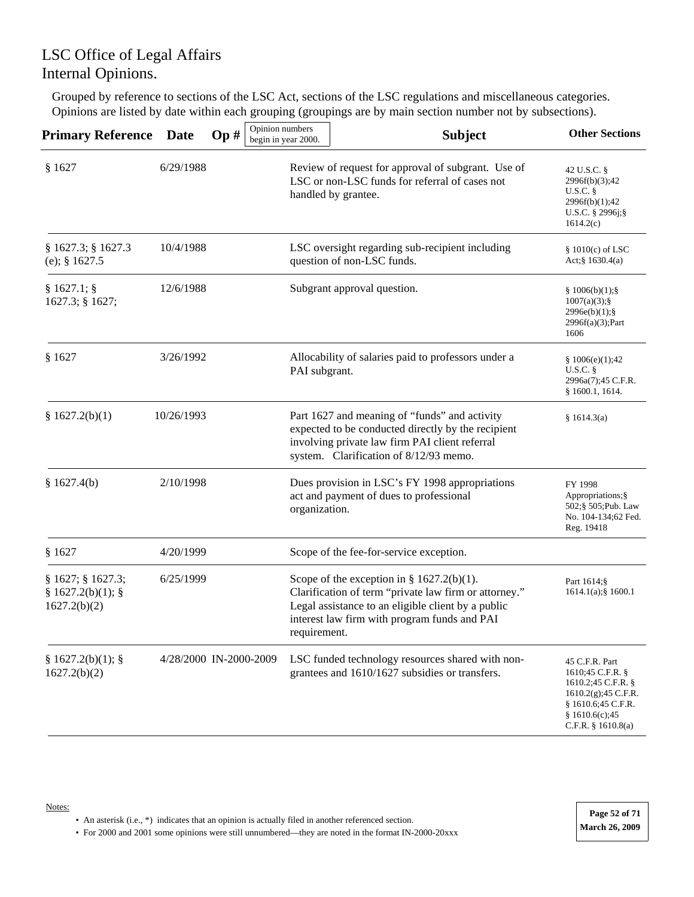Grouped by reference to sections of the LSC Act, sections of the LSC regulations and miscellaneous categories. Opinions are listed by date within each grouping (groupings are by main section number not by subsections).

| <b>Primary Reference</b>                             | <b>Date</b> | Op#                    | Opinion numbers<br>begin in year 2000. | <b>Subject</b>                                                                                                                                                                                               | <b>Other Sections</b>                                                                                                                          |
|------------------------------------------------------|-------------|------------------------|----------------------------------------|--------------------------------------------------------------------------------------------------------------------------------------------------------------------------------------------------------------|------------------------------------------------------------------------------------------------------------------------------------------------|
| § 1627                                               | 6/29/1988   |                        |                                        | Review of request for approval of subgrant. Use of<br>LSC or non-LSC funds for referral of cases not<br>handled by grantee.                                                                                  | 42 U.S.C. §<br>2996f(b)(3);42<br>U.S.C.<br>2996f(b)(1);42<br>U.S.C. $\S$ 2996j; $\S$<br>1614.2(c)                                              |
| § 1627.3; § 1627.3<br>(e); $§ 1627.5$                | 10/4/1988   |                        |                                        | LSC oversight regarding sub-recipient including<br>question of non-LSC funds.                                                                                                                                | $§ 1010(c)$ of LSC<br>Act;§ 1630.4(a)                                                                                                          |
| § 1627.1;<br>1627.3; § 1627;                         | 12/6/1988   |                        |                                        | Subgrant approval question.                                                                                                                                                                                  | \$1006(b)(1);<br>$1007(a)(3);$ §<br>$2996e(b)(1);$ §<br>$2996f(a)(3)$ ;Part<br>1606                                                            |
| § 1627                                               | 3/26/1992   |                        | PAI subgrant.                          | Allocability of salaries paid to professors under a                                                                                                                                                          | \$1006(e)(1);42<br>U.S.C.<br>2996a(7);45 C.F.R.<br>§ 1600.1, 1614.                                                                             |
| \$1627.2(b)(1)                                       | 10/26/1993  |                        |                                        | Part 1627 and meaning of "funds" and activity<br>expected to be conducted directly by the recipient<br>involving private law firm PAI client referral<br>system. Clarification of 8/12/93 memo.              | § 1614.3(a)                                                                                                                                    |
| \$1627.4(b)                                          | 2/10/1998   |                        | organization.                          | Dues provision in LSC's FY 1998 appropriations<br>act and payment of dues to professional                                                                                                                    | FY 1998<br>Appropriations; §<br>502;§ 505;Pub. Law<br>No. 104-134;62 Fed.<br>Reg. 19418                                                        |
| § 1627                                               | 4/20/1999   |                        |                                        | Scope of the fee-for-service exception.                                                                                                                                                                      |                                                                                                                                                |
| § 1627; § 1627.3;<br>§ 1627.2(b)(1);<br>1627.2(b)(2) | 6/25/1999   |                        | requirement.                           | Scope of the exception in $\S 1627.2(b)(1)$ .<br>Clarification of term "private law firm or attorney."<br>Legal assistance to an eligible client by a public<br>interest law firm with program funds and PAI | Part 1614;§<br>$1614.1(a)$ ; § 1600.1                                                                                                          |
| § 1627.2(b)(1);<br>1627.2(b)(2)                      |             | 4/28/2000 IN-2000-2009 |                                        | LSC funded technology resources shared with non-<br>grantees and 1610/1627 subsidies or transfers.                                                                                                           | 45 C.F.R. Part<br>1610;45 C.F.R. §<br>1610.2;45 C.F.R. §<br>1610.2(g); 45 C.F.R.<br>§ 1610.6;45 C.F.R.<br>\$1610.6(c);45<br>C.F.R. § 1610.8(a) |

Notes: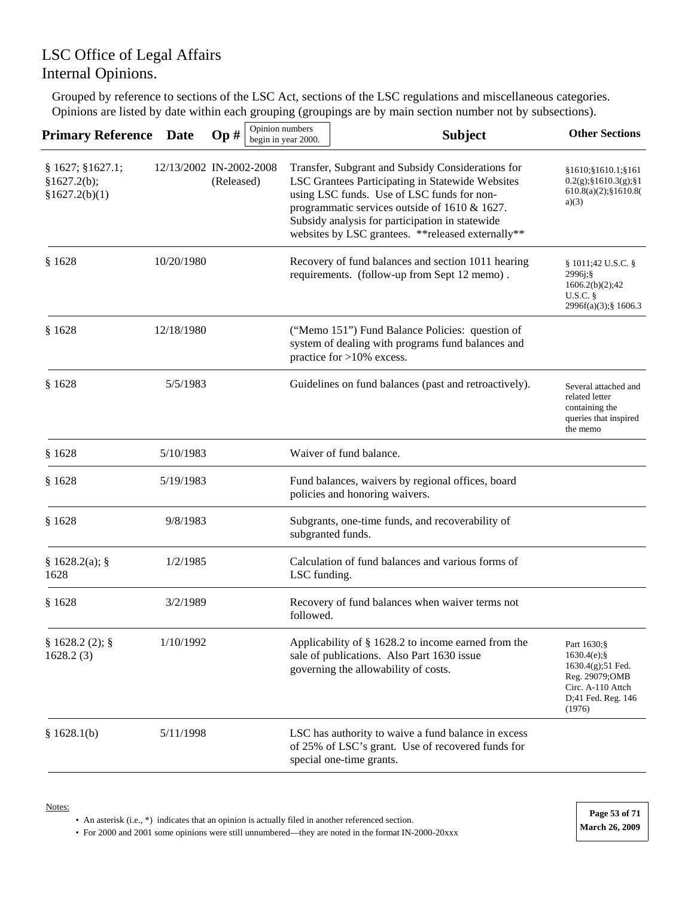Grouped by reference to sections of the LSC Act, sections of the LSC regulations and miscellaneous categories. Opinions are listed by date within each grouping (groupings are by main section number not by subsections).

| <b>Primary Reference</b>                          | <b>Date</b>             | Op#        | Opinion numbers | begin in year 2000. | <b>Subject</b>                                                                                                                                                                                                                                                                                                | <b>Other Sections</b>                                                                                                        |
|---------------------------------------------------|-------------------------|------------|-----------------|---------------------|---------------------------------------------------------------------------------------------------------------------------------------------------------------------------------------------------------------------------------------------------------------------------------------------------------------|------------------------------------------------------------------------------------------------------------------------------|
| § 1627; § 1627.1;<br>§1627.2(b);<br>§1627.2(b)(1) | 12/13/2002 IN-2002-2008 | (Released) |                 |                     | Transfer, Subgrant and Subsidy Considerations for<br>LSC Grantees Participating in Statewide Websites<br>using LSC funds. Use of LSC funds for non-<br>programmatic services outside of 1610 & 1627.<br>Subsidy analysis for participation in statewide<br>websites by LSC grantees. ** released externally** | §1610;§1610.1;§161<br>$0.2(g);$ §1610.3(g);§1<br>$610.8(a)(2);$ \$1610.8(<br>a)(3)                                           |
| \$1628                                            | 10/20/1980              |            |                 |                     | Recovery of fund balances and section 1011 hearing<br>requirements. (follow-up from Sept 12 memo).                                                                                                                                                                                                            | § 1011;42 U.S.C. §<br>$2996j$ ; §<br>1606.2(b)(2);42<br>U.S.C.<br>2996f(a)(3);§ 1606.3                                       |
| \$1628                                            | 12/18/1980              |            |                 |                     | ("Memo 151") Fund Balance Policies: question of<br>system of dealing with programs fund balances and<br>practice for $>10\%$ excess.                                                                                                                                                                          |                                                                                                                              |
| \$1628                                            | 5/5/1983                |            |                 |                     | Guidelines on fund balances (past and retroactively).                                                                                                                                                                                                                                                         | Several attached and<br>related letter<br>containing the<br>queries that inspired<br>the memo                                |
| \$1628                                            | 5/10/1983               |            |                 |                     | Waiver of fund balance.                                                                                                                                                                                                                                                                                       |                                                                                                                              |
| \$1628                                            | 5/19/1983               |            |                 |                     | Fund balances, waivers by regional offices, board<br>policies and honoring waivers.                                                                                                                                                                                                                           |                                                                                                                              |
| \$1628                                            | 9/8/1983                |            |                 |                     | Subgrants, one-time funds, and recoverability of<br>subgranted funds.                                                                                                                                                                                                                                         |                                                                                                                              |
| § 1628.2(a);<br>1628                              | 1/2/1985                |            |                 | LSC funding.        | Calculation of fund balances and various forms of                                                                                                                                                                                                                                                             |                                                                                                                              |
| \$1628                                            | 3/2/1989                |            |                 | followed.           | Recovery of fund balances when waiver terms not                                                                                                                                                                                                                                                               |                                                                                                                              |
| § 1628.2(2);<br>1628.2(3)                         | 1/10/1992               |            |                 |                     | Applicability of § 1628.2 to income earned from the<br>sale of publications. Also Part 1630 issue<br>governing the allowability of costs.                                                                                                                                                                     | Part 1630;§<br>$1630.4(e);$ §<br>$1630.4(g)$ ;51 Fed.<br>Reg. 29079;OMB<br>Circ. A-110 Attch<br>D;41 Fed. Reg. 146<br>(1976) |
| \$1628.1(b)                                       | 5/11/1998               |            |                 |                     | LSC has authority to waive a fund balance in excess<br>of 25% of LSC's grant. Use of recovered funds for<br>special one-time grants.                                                                                                                                                                          |                                                                                                                              |

• An asterisk (i.e., \*) indicates that an opinion is actually filed in another referenced section.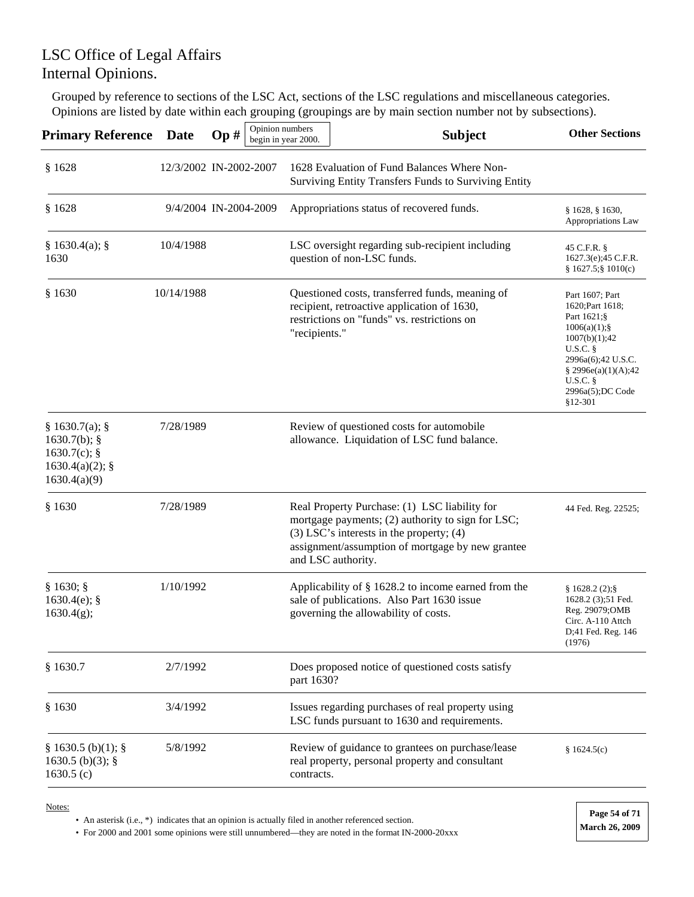Grouped by reference to sections of the LSC Act, sections of the LSC regulations and miscellaneous categories. Opinions are listed by date within each grouping (groupings are by main section number not by subsections).

| <b>Primary Reference</b>                                                                 | <b>Date</b>            | Op# | Opinion numbers | begin in year 2000. | <b>Subject</b>                                                                                                                                                                                                               | <b>Other Sections</b>                                                                                                                                                                    |
|------------------------------------------------------------------------------------------|------------------------|-----|-----------------|---------------------|------------------------------------------------------------------------------------------------------------------------------------------------------------------------------------------------------------------------------|------------------------------------------------------------------------------------------------------------------------------------------------------------------------------------------|
| \$1628                                                                                   | 12/3/2002 IN-2002-2007 |     |                 |                     | 1628 Evaluation of Fund Balances Where Non-<br>Surviving Entity Transfers Funds to Surviving Entity                                                                                                                          |                                                                                                                                                                                          |
| \$1628                                                                                   | 9/4/2004 IN-2004-2009  |     |                 |                     | Appropriations status of recovered funds.                                                                                                                                                                                    | § 1628, § 1630,<br>Appropriations Law                                                                                                                                                    |
| § 1630.4(a);<br>1630                                                                     | 10/4/1988              |     |                 |                     | LSC oversight regarding sub-recipient including<br>question of non-LSC funds.                                                                                                                                                | 45 C.F.R. §<br>1627.3(e);45 C.F.R.<br>$$1627.5$ ; $$1010(c)$                                                                                                                             |
| § 1630                                                                                   | 10/14/1988             |     |                 | "recipients."       | Questioned costs, transferred funds, meaning of<br>recipient, retroactive application of 1630,<br>restrictions on "funds" vs. restrictions on                                                                                | Part 1607; Part<br>1620; Part 1618;<br>Part 1621;§<br>1006(a)(1);<br>1007(b)(1);42<br>U.S.C.<br>2996a(6);42 U.S.C.<br>§ 2996 $e$ (a)(1)(A);42<br>U.S.C.<br>2996a(5);DC Code<br>$§12-301$ |
| § 1630.7(a);<br>$1630.7(b)$ ; §<br>$1630.7(c)$ ; §<br>$1630.4(a)(2)$ ; §<br>1630.4(a)(9) | 7/28/1989              |     |                 |                     | Review of questioned costs for automobile<br>allowance. Liquidation of LSC fund balance.                                                                                                                                     |                                                                                                                                                                                          |
| \$1630                                                                                   | 7/28/1989              |     |                 |                     | Real Property Purchase: (1) LSC liability for<br>mortgage payments; (2) authority to sign for LSC;<br>$(3)$ LSC's interests in the property; $(4)$<br>assignment/assumption of mortgage by new grantee<br>and LSC authority. | 44 Fed. Reg. 22525;                                                                                                                                                                      |
| § 1630;<br>$1630.4(e)$ ; §<br>1630.4(g);                                                 | 1/10/1992              |     |                 |                     | Applicability of § 1628.2 to income earned from the<br>sale of publications. Also Part 1630 issue<br>governing the allowability of costs.                                                                                    | § 1628.2(2);<br>1628.2 (3);51 Fed.<br>Reg. 29079;OMB<br>Circ. A-110 Attch<br>D;41 Fed. Reg. 146<br>(1976)                                                                                |
| § 1630.7                                                                                 | 2/7/1992               |     |                 | part 1630?          | Does proposed notice of questioned costs satisfy                                                                                                                                                                             |                                                                                                                                                                                          |
| \$1630                                                                                   | 3/4/1992               |     |                 |                     | Issues regarding purchases of real property using<br>LSC funds pursuant to 1630 and requirements.                                                                                                                            |                                                                                                                                                                                          |
| § 1630.5(b)(1);<br>$1630.5$ (b)(3); §<br>1630.5 $(c)$                                    | 5/8/1992               |     |                 | contracts.          | Review of guidance to grantees on purchase/lease<br>real property, personal property and consultant                                                                                                                          | \$1624.5(c)                                                                                                                                                                              |

Notes:

• An asterisk (i.e., \*) indicates that an opinion is actually filed in another referenced section.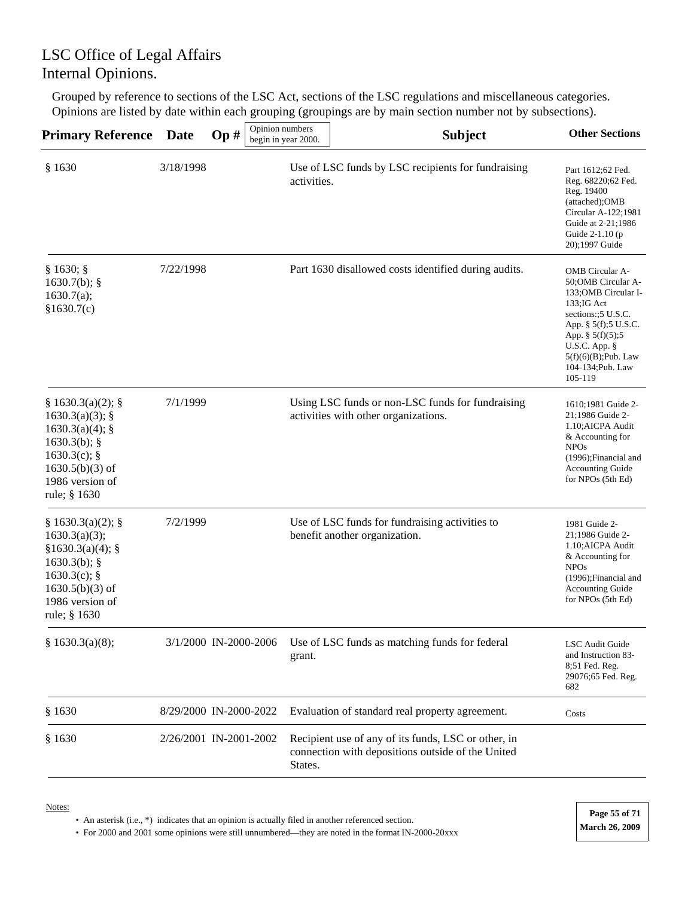Grouped by reference to sections of the LSC Act, sections of the LSC regulations and miscellaneous categories. Opinions are listed by date within each grouping (groupings are by main section number not by subsections).

| <b>Primary Reference</b>                                                                                                                             | <b>Date</b> | Op#                    | Opinion numbers<br>begin in year 2000. | <b>Subject</b>                                                                                           | <b>Other Sections</b>                                                                                                                                                                                                                      |
|------------------------------------------------------------------------------------------------------------------------------------------------------|-------------|------------------------|----------------------------------------|----------------------------------------------------------------------------------------------------------|--------------------------------------------------------------------------------------------------------------------------------------------------------------------------------------------------------------------------------------------|
| § 1630                                                                                                                                               | 3/18/1998   |                        | activities.                            | Use of LSC funds by LSC recipients for fundraising                                                       | Part 1612;62 Fed.<br>Reg. 68220;62 Fed.<br>Reg. 19400<br>(attached);OMB<br>Circular A-122;1981<br>Guide at 2-21;1986<br>Guide 2-1.10 (p)<br>20);1997 Guide                                                                                 |
| § 1630;<br>$1630.7(b)$ ; §<br>1630.7(a);<br>\$1630.7(c)                                                                                              | 7/22/1998   |                        |                                        | Part 1630 disallowed costs identified during audits.                                                     | <b>OMB</b> Circular A-<br>50:OMB Circular A-<br>133; OMB Circular I-<br>$133; IG$ Act<br>sections:: 5 U.S.C.<br>App. § 5(f);5 U.S.C.<br>App. $\S 5(f)(5);5$<br>U.S.C. App. $\S$<br>$5(f)(6)(B)$ ; Pub. Law<br>104-134; Pub. Law<br>105-119 |
| § 1630.3(a)(2);<br>1630.3(a)(3);<br>$1630.3(a)(4)$ ; §<br>$1630.3(b)$ ; §<br>$1630.3(c)$ ; §<br>$1630.5(b)(3)$ of<br>1986 version of<br>rule; § 1630 | 7/1/1999    |                        |                                        | Using LSC funds or non-LSC funds for fundraising<br>activities with other organizations.                 | 1610;1981 Guide 2-<br>21;1986 Guide 2-<br>1.10; AICPA Audit<br>& Accounting for<br><b>NPOs</b><br>(1996); Financial and<br><b>Accounting Guide</b><br>for NPOs (5th Ed)                                                                    |
| § 1630.3(a)(2);<br>1630.3(a)(3);<br>§1630.3(a)(4);<br>$1630.3(b)$ ; §<br>1630.3(c); $§$<br>$1630.5(b)(3)$ of<br>1986 version of<br>rule; § 1630      | 7/2/1999    |                        |                                        | Use of LSC funds for fundraising activities to<br>benefit another organization.                          | 1981 Guide 2-<br>21:1986 Guide 2-<br>1.10; AICPA Audit<br>& Accounting for<br><b>NPOs</b><br>(1996);Financial and<br><b>Accounting Guide</b><br>for NPOs (5th Ed)                                                                          |
| § 1630.3(a)(8);                                                                                                                                      |             | 3/1/2000 IN-2000-2006  | grant.                                 | Use of LSC funds as matching funds for federal                                                           | LSC Audit Guide<br>and Instruction 83-<br>8;51 Fed. Reg.<br>29076;65 Fed. Reg.<br>682                                                                                                                                                      |
| \$1630                                                                                                                                               |             | 8/29/2000 IN-2000-2022 |                                        | Evaluation of standard real property agreement.                                                          | Costs                                                                                                                                                                                                                                      |
| § 1630                                                                                                                                               |             | 2/26/2001 IN-2001-2002 | States.                                | Recipient use of any of its funds, LSC or other, in<br>connection with depositions outside of the United |                                                                                                                                                                                                                                            |

Notes:

• An asterisk (i.e., \*) indicates that an opinion is actually filed in another referenced section.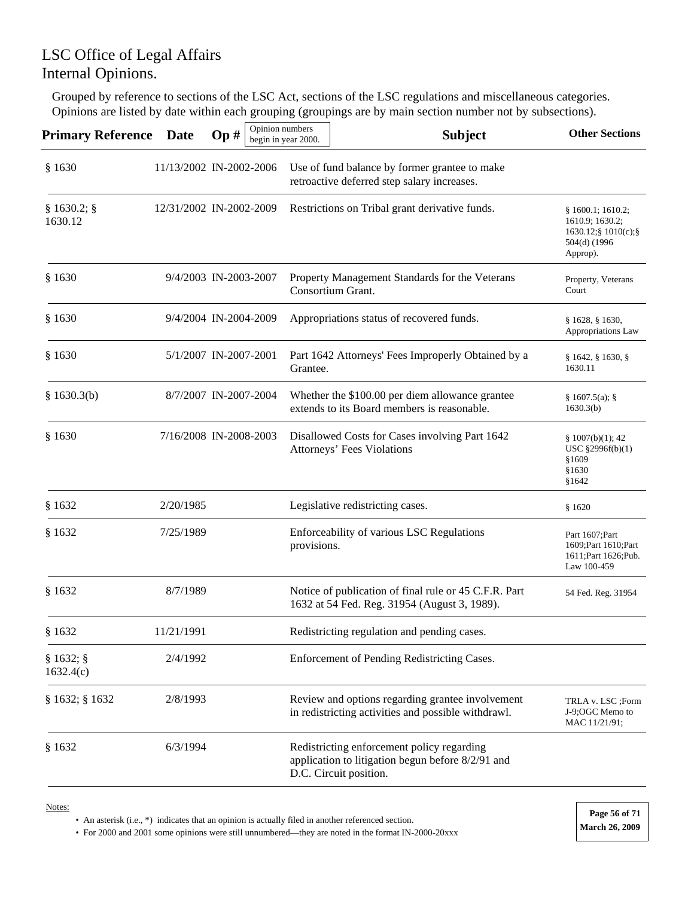Grouped by reference to sections of the LSC Act, sections of the LSC regulations and miscellaneous categories. Opinions are listed by date within each grouping (groupings are by main section number not by subsections).

| <b>Primary Reference</b> Date |                         | Op# | Opinion numbers | begin in year 2000. | <b>Subject</b>                                                                                                            | <b>Other Sections</b>                                                                                                 |
|-------------------------------|-------------------------|-----|-----------------|---------------------|---------------------------------------------------------------------------------------------------------------------------|-----------------------------------------------------------------------------------------------------------------------|
| § 1630                        | 11/13/2002 IN-2002-2006 |     |                 |                     | Use of fund balance by former grantee to make<br>retroactive deferred step salary increases.                              |                                                                                                                       |
| $§ 1630.2;$ §<br>1630.12      | 12/31/2002 IN-2002-2009 |     |                 |                     | Restrictions on Tribal grant derivative funds.                                                                            | § 1600.1; 1610.2;<br>1610.9; 1630.2;<br>$1630.12$ ; $\frac{1}{2}1010(c)$ ; $\frac{5}{2}$<br>504(d) (1996)<br>Approp). |
| § 1630                        | 9/4/2003 IN-2003-2007   |     |                 |                     | Property Management Standards for the Veterans<br>Consortium Grant.                                                       | Property, Veterans<br>Court                                                                                           |
| § 1630                        | 9/4/2004 IN-2004-2009   |     |                 |                     | Appropriations status of recovered funds.                                                                                 | § 1628, § 1630,<br>Appropriations Law                                                                                 |
| § 1630                        | 5/1/2007 IN-2007-2001   |     |                 | Grantee.            | Part 1642 Attorneys' Fees Improperly Obtained by a                                                                        | § 1642, § 1630, §<br>1630.11                                                                                          |
| § $1630.3(b)$                 | 8/7/2007 IN-2007-2004   |     |                 |                     | Whether the \$100.00 per diem allowance grantee<br>extends to its Board members is reasonable.                            | § 1607.5(a);<br>1630.3(b)                                                                                             |
| \$1630                        | 7/16/2008 IN-2008-2003  |     |                 |                     | Disallowed Costs for Cases involving Part 1642<br>Attorneys' Fees Violations                                              | \$1007(b)(1); 42<br>USC §2996f(b)(1)<br>\$1609<br>§1630<br>\$1642                                                     |
| \$1632                        | 2/20/1985               |     |                 |                     | Legislative redistricting cases.                                                                                          | \$1620                                                                                                                |
| § 1632                        | 7/25/1989               |     |                 | provisions.         | Enforceability of various LSC Regulations                                                                                 | Part 1607; Part<br>1609; Part 1610; Part<br>1611; Part 1626; Pub.<br>Law 100-459                                      |
| § 1632                        | 8/7/1989                |     |                 |                     | Notice of publication of final rule or 45 C.F.R. Part<br>1632 at 54 Fed. Reg. 31954 (August 3, 1989).                     | 54 Fed. Reg. 31954                                                                                                    |
| § 1632                        | 11/21/1991              |     |                 |                     | Redistricting regulation and pending cases.                                                                               |                                                                                                                       |
| § 1632;<br>1632.4(c)          | 2/4/1992                |     |                 |                     | Enforcement of Pending Redistricting Cases.                                                                               |                                                                                                                       |
| § 1632; § 1632                | 2/8/1993                |     |                 |                     | Review and options regarding grantee involvement<br>in redistricting activities and possible withdrawl.                   | TRLA v. LSC ;Form<br>J-9;OGC Memo to<br>MAC 11/21/91;                                                                 |
| § 1632                        | 6/3/1994                |     |                 |                     | Redistricting enforcement policy regarding<br>application to litigation begun before 8/2/91 and<br>D.C. Circuit position. |                                                                                                                       |

Notes:

• An asterisk (i.e., \*) indicates that an opinion is actually filed in another referenced section.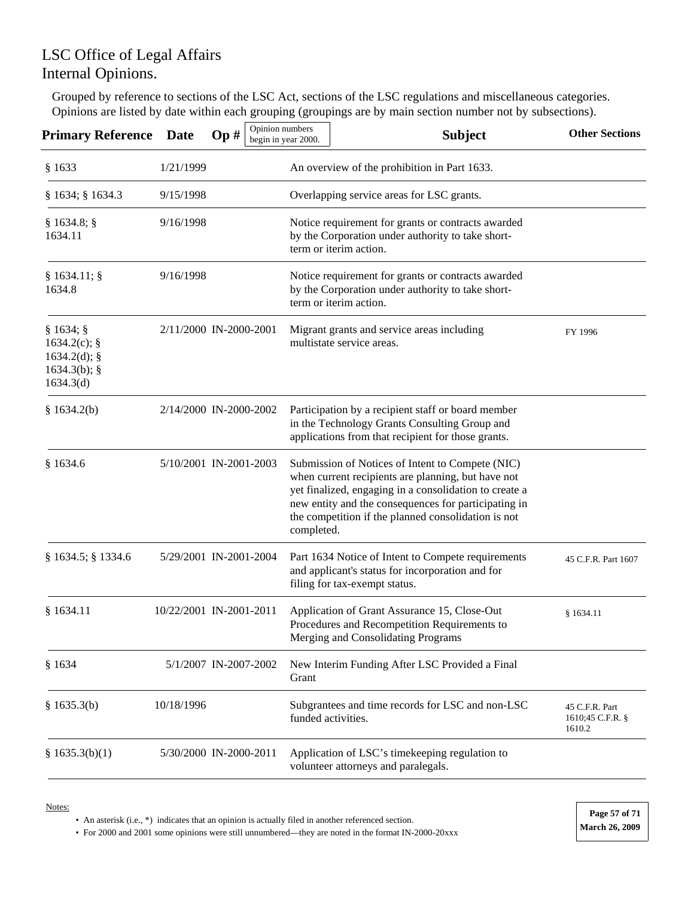Grouped by reference to sections of the LSC Act, sections of the LSC regulations and miscellaneous categories. Opinions are listed by date within each grouping (groupings are by main section number not by subsections).

| <b>Primary Reference</b>                                                      | <b>Date</b>             | Op# | Opinion numbers<br>begin in year 2000. | <b>Subject</b>                                                                                                                                                                                                                                                                  | <b>Other Sections</b>                        |
|-------------------------------------------------------------------------------|-------------------------|-----|----------------------------------------|---------------------------------------------------------------------------------------------------------------------------------------------------------------------------------------------------------------------------------------------------------------------------------|----------------------------------------------|
| § 1633                                                                        | 1/21/1999               |     |                                        | An overview of the prohibition in Part 1633.                                                                                                                                                                                                                                    |                                              |
| § 1634; § 1634.3                                                              | 9/15/1998               |     |                                        | Overlapping service areas for LSC grants.                                                                                                                                                                                                                                       |                                              |
| § 1634.8;<br>1634.11                                                          | 9/16/1998               |     |                                        | Notice requirement for grants or contracts awarded<br>by the Corporation under authority to take short-<br>term or iterim action.                                                                                                                                               |                                              |
| $§ 1634.11;$ §<br>1634.8                                                      | 9/16/1998               |     |                                        | Notice requirement for grants or contracts awarded<br>by the Corporation under authority to take short-<br>term or iterim action.                                                                                                                                               |                                              |
| § 1634;<br>$1634.2(c)$ ; §<br>$1634.2(d)$ ; §<br>$1634.3(b)$ ; §<br>1634.3(d) | 2/11/2000 IN-2000-2001  |     |                                        | Migrant grants and service areas including<br>multistate service areas.                                                                                                                                                                                                         | FY 1996                                      |
| \$1634.2(b)                                                                   | 2/14/2000 IN-2000-2002  |     |                                        | Participation by a recipient staff or board member<br>in the Technology Grants Consulting Group and<br>applications from that recipient for those grants.                                                                                                                       |                                              |
| \$1634.6                                                                      | 5/10/2001 IN-2001-2003  |     | completed.                             | Submission of Notices of Intent to Compete (NIC)<br>when current recipients are planning, but have not<br>yet finalized, engaging in a consolidation to create a<br>new entity and the consequences for participating in<br>the competition if the planned consolidation is not |                                              |
| § 1634.5; § 1334.6                                                            | 5/29/2001 IN-2001-2004  |     |                                        | Part 1634 Notice of Intent to Compete requirements<br>and applicant's status for incorporation and for<br>filing for tax-exempt status.                                                                                                                                         | 45 C.F.R. Part 1607                          |
| \$1634.11                                                                     | 10/22/2001 IN-2001-2011 |     |                                        | Application of Grant Assurance 15, Close-Out<br>Procedures and Recompetition Requirements to<br>Merging and Consolidating Programs                                                                                                                                              | \$1634.11                                    |
| § 1634                                                                        | 5/1/2007 IN-2007-2002   |     | Grant                                  | New Interim Funding After LSC Provided a Final                                                                                                                                                                                                                                  |                                              |
| § 1635.3(b)                                                                   | 10/18/1996              |     | funded activities.                     | Subgrantees and time records for LSC and non-LSC                                                                                                                                                                                                                                | 45 C.F.R. Part<br>1610;45 C.F.R. §<br>1610.2 |
| § 1635.3(b)(1)                                                                | 5/30/2000 IN-2000-2011  |     |                                        | Application of LSC's timekeeping regulation to<br>volunteer attorneys and paralegals.                                                                                                                                                                                           |                                              |

Notes:

• An asterisk (i.e., \*) indicates that an opinion is actually filed in another referenced section.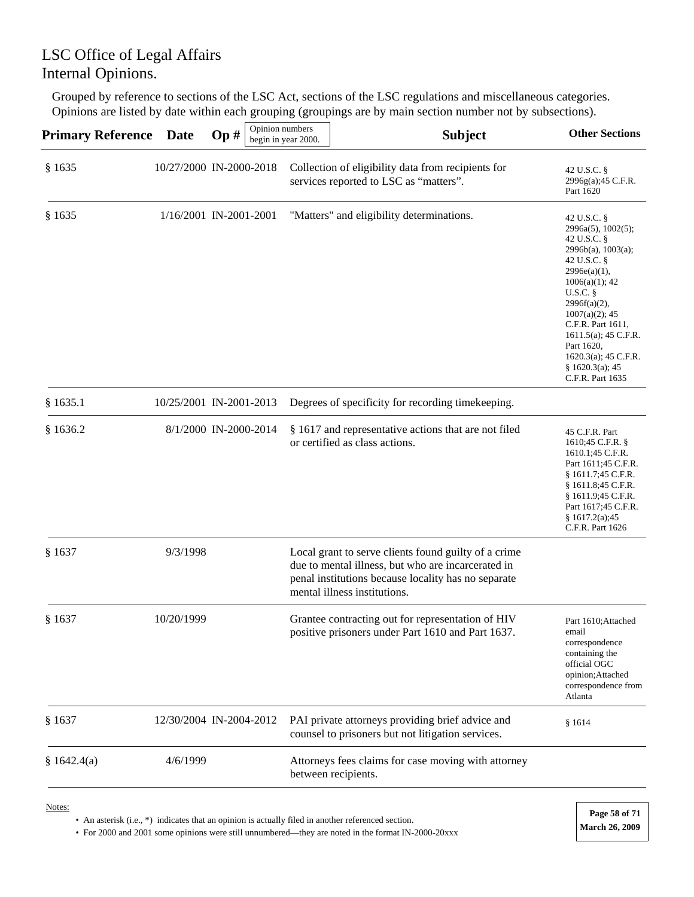Grouped by reference to sections of the LSC Act, sections of the LSC regulations and miscellaneous categories. Opinions are listed by date within each grouping (groupings are by main section number not by subsections).

| <b>Primary Reference</b> | <b>Date</b>             | Op# | Opinion numbers | begin in year 2000. | <b>Subject</b>                                                                                                                                                                                    | <b>Other Sections</b>                                                                                                                                                                                                                                                                                        |
|--------------------------|-------------------------|-----|-----------------|---------------------|---------------------------------------------------------------------------------------------------------------------------------------------------------------------------------------------------|--------------------------------------------------------------------------------------------------------------------------------------------------------------------------------------------------------------------------------------------------------------------------------------------------------------|
| § 1635                   | 10/27/2000 IN-2000-2018 |     |                 |                     | Collection of eligibility data from recipients for<br>services reported to LSC as "matters".                                                                                                      | 42 U.S.C. §<br>2996g(a);45 C.F.R.<br>Part 1620                                                                                                                                                                                                                                                               |
| § 1635                   | 1/16/2001 IN-2001-2001  |     |                 |                     | "Matters" and eligibility determinations.                                                                                                                                                         | 42 U.S.C. §<br>2996a(5), 1002(5);<br>42 U.S.C. §<br>$2996b(a)$ , 1003(a);<br>42 U.S.C. §<br>2996e(a)(1),<br>$1006(a)(1)$ ; 42<br>U.S.C.<br>$2996f(a)(2)$ ,<br>$1007(a)(2)$ ; 45<br>C.F.R. Part 1611,<br>$1611.5(a)$ ; 45 C.F.R.<br>Part 1620,<br>1620.3(a); 45 C.F.R.<br>§ 1620.3(a); 45<br>C.F.R. Part 1635 |
| \$1635.1                 | 10/25/2001 IN-2001-2013 |     |                 |                     | Degrees of specificity for recording timekeeping.                                                                                                                                                 |                                                                                                                                                                                                                                                                                                              |
| \$1636.2                 | 8/1/2000 IN-2000-2014   |     |                 |                     | § 1617 and representative actions that are not filed<br>or certified as class actions.                                                                                                            | 45 C.F.R. Part<br>1610;45 C.F.R. §<br>1610.1;45 C.F.R.<br>Part 1611;45 C.F.R.<br>§ 1611.7;45 C.F.R.<br>§ 1611.8;45 C.F.R.<br>§ 1611.9;45 C.F.R.<br>Part 1617;45 C.F.R.<br>§ 1617.2(a);45<br>C.F.R. Part 1626                                                                                                 |
| § 1637                   | 9/3/1998                |     |                 |                     | Local grant to serve clients found guilty of a crime<br>due to mental illness, but who are incarcerated in<br>penal institutions because locality has no separate<br>mental illness institutions. |                                                                                                                                                                                                                                                                                                              |
| § 1637                   | 10/20/1999              |     |                 |                     | Grantee contracting out for representation of HIV<br>positive prisoners under Part 1610 and Part 1637.                                                                                            | Part 1610; Attached<br>email<br>correspondence<br>containing the<br>official OGC<br>opinion; Attached<br>correspondence from<br>Atlanta                                                                                                                                                                      |
| § 1637                   | 12/30/2004 IN-2004-2012 |     |                 |                     | PAI private attorneys providing brief advice and<br>counsel to prisoners but not litigation services.                                                                                             | §1614                                                                                                                                                                                                                                                                                                        |
| \$1642.4(a)              | 4/6/1999                |     |                 |                     | Attorneys fees claims for case moving with attorney<br>between recipients.                                                                                                                        |                                                                                                                                                                                                                                                                                                              |

Notes:

• An asterisk (i.e., \*) indicates that an opinion is actually filed in another referenced section.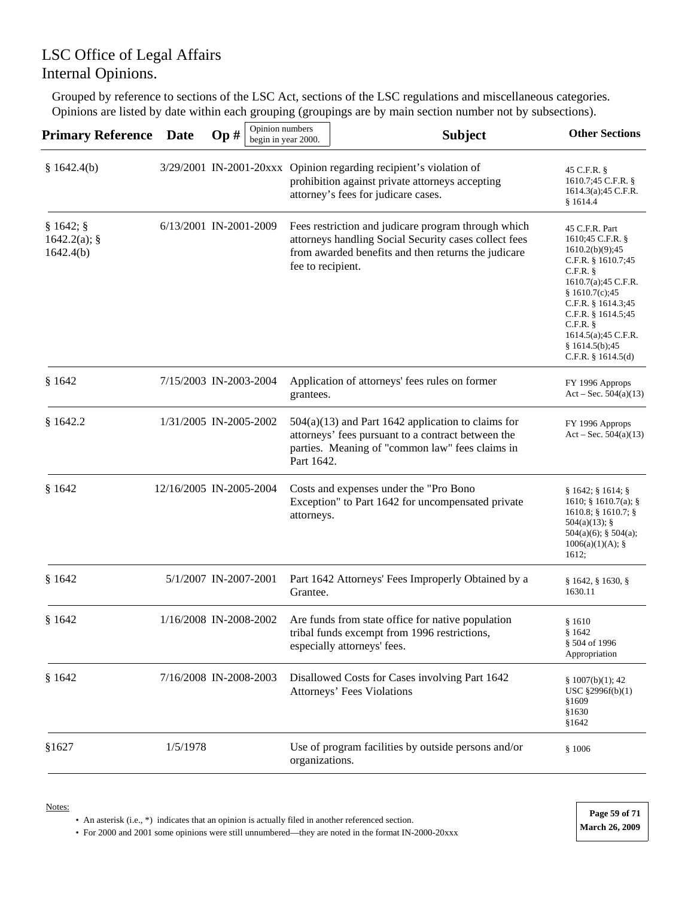Grouped by reference to sections of the LSC Act, sections of the LSC regulations and miscellaneous categories. Opinions are listed by date within each grouping (groupings are by main section number not by subsections).

| <b>Primary Reference</b>                | <b>Date</b> | Opinion numbers<br>Op#<br>begin in year 2000. |                   | <b>Subject</b>                                                                                                                                                      | <b>Other Sections</b>                                                                                                                                                                                                                                      |
|-----------------------------------------|-------------|-----------------------------------------------|-------------------|---------------------------------------------------------------------------------------------------------------------------------------------------------------------|------------------------------------------------------------------------------------------------------------------------------------------------------------------------------------------------------------------------------------------------------------|
| \$1642.4(b)                             |             |                                               |                   | 3/29/2001 IN-2001-20xxx Opinion regarding recipient's violation of<br>prohibition against private attorneys accepting<br>attorney's fees for judicare cases.        | 45 C.F.R. §<br>1610.7;45 C.F.R. §<br>1614.3(a); 45 C.F.R.<br>\$1614.4                                                                                                                                                                                      |
| § 1642;<br>$1642.2(a)$ ; §<br>1642.4(b) |             | 6/13/2001 IN-2001-2009                        | fee to recipient. | Fees restriction and judicare program through which<br>attorneys handling Social Security cases collect fees<br>from awarded benefits and then returns the judicare | 45 C.F.R. Part<br>1610;45 C.F.R. §<br>1610.2(b)(9);45<br>C.F.R. § 1610.7;45<br>C.F.R.<br>1610.7(a); 45 C.F.R.<br>\$1610.7(c);45<br>C.F.R. § 1614.3;45<br>C.F.R. § 1614.5;45<br>$C.F.R.$ §<br>1614.5(a);45 C.F.R.<br>§ 1614.5(b);45<br>C.F.R. $§$ 1614.5(d) |
| \$1642                                  |             | 7/15/2003 IN-2003-2004                        | grantees.         | Application of attorneys' fees rules on former                                                                                                                      | FY 1996 Approps<br>Act – Sec. $504(a)(13)$                                                                                                                                                                                                                 |
| \$1642.2                                |             | 1/31/2005 IN-2005-2002                        | Part 1642.        | $504(a)(13)$ and Part 1642 application to claims for<br>attorneys' fees pursuant to a contract between the<br>parties. Meaning of "common law" fees claims in       | FY 1996 Approps<br>Act – Sec. $504(a)(13)$                                                                                                                                                                                                                 |
| \$1642                                  |             | 12/16/2005 IN-2005-2004                       | attorneys.        | Costs and expenses under the "Pro Bono<br>Exception" to Part 1642 for uncompensated private                                                                         | § 1642; § 1614; §<br>1610; § 1610.7(a); §<br>$1610.8$ ; § 1610.7; §<br>$504(a)(13)$ ; §<br>$504(a)(6)$ ; § $504(a)$ ;<br>1006(a)(1)(A);<br>1612;                                                                                                           |
| \$1642                                  |             | 5/1/2007 IN-2007-2001                         | Grantee.          | Part 1642 Attorneys' Fees Improperly Obtained by a                                                                                                                  | § 1642, § 1630, §<br>1630.11                                                                                                                                                                                                                               |
| \$1642                                  |             | 1/16/2008 IN-2008-2002                        |                   | Are funds from state office for native population<br>tribal funds excempt from 1996 restrictions,<br>especially attorneys' fees.                                    | §1610<br>\$1642<br>§ 504 of 1996<br>Appropriation                                                                                                                                                                                                          |
| \$1642                                  |             | 7/16/2008 IN-2008-2003                        |                   | Disallowed Costs for Cases involving Part 1642<br>Attorneys' Fees Violations                                                                                        | § 1007(b)(1); 42<br>USC §2996f(b)(1)<br>§1609<br>§1630<br>§1642                                                                                                                                                                                            |
| §1627                                   | 1/5/1978    |                                               | organizations.    | Use of program facilities by outside persons and/or                                                                                                                 | \$1006                                                                                                                                                                                                                                                     |

Notes:

• An asterisk (i.e., \*) indicates that an opinion is actually filed in another referenced section.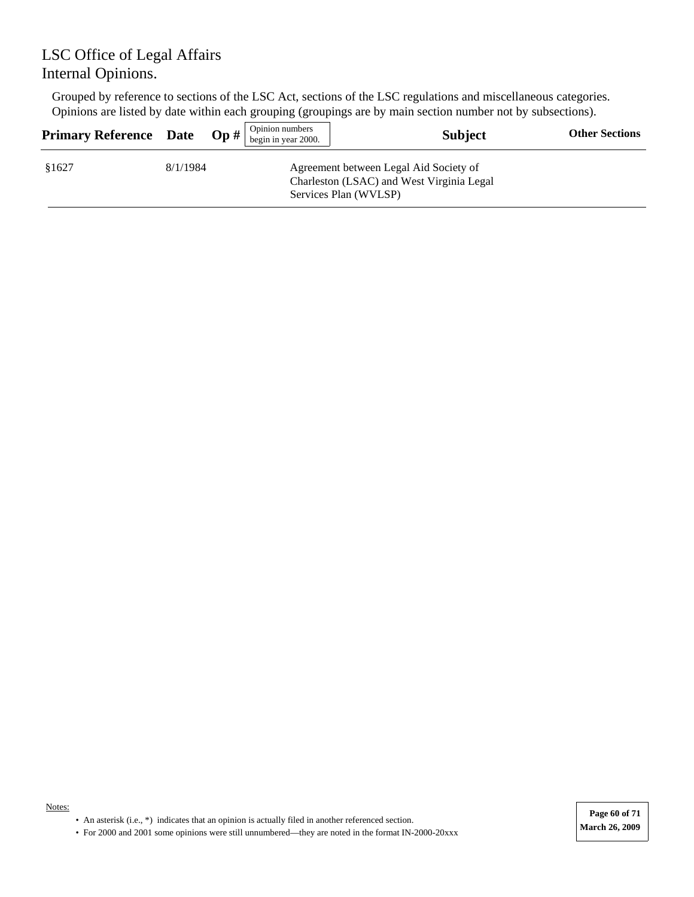Grouped by reference to sections of the LSC Act, sections of the LSC regulations and miscellaneous categories. Opinions are listed by date within each grouping (groupings are by main section number not by subsections).

| <b>Primary Reference</b> Date |          | $\mathbf{Op} \#$ | Opinion numbers<br>begin in year 2000. | <b>Subject</b>                                                                                               | <b>Other Sections</b> |
|-------------------------------|----------|------------------|----------------------------------------|--------------------------------------------------------------------------------------------------------------|-----------------------|
| \$1627                        | 8/1/1984 |                  |                                        | Agreement between Legal Aid Society of<br>Charleston (LSAC) and West Virginia Legal<br>Services Plan (WVLSP) |                       |

**Page 60 of 71**

• An asterisk (i.e., \*) indicates that an opinion is actually filed in another referenced section.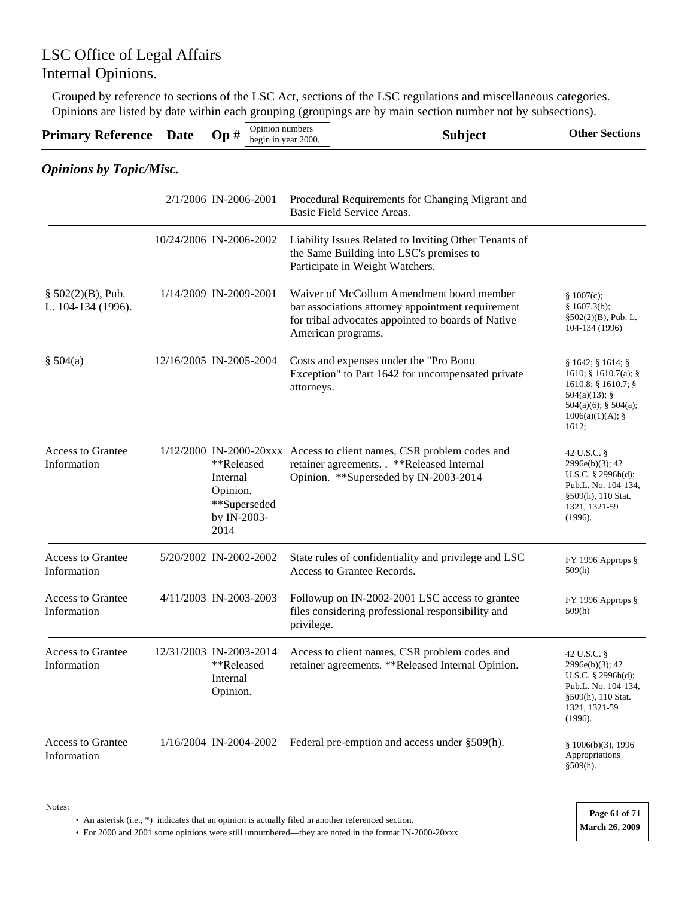Grouped by reference to sections of the LSC Act, sections of the LSC regulations and miscellaneous categories. Opinions are listed by date within each grouping (groupings are by main section number not by subsections).

| <b>Primary Reference</b>                   | <b>Date</b>             | Op#                                                       | Opinion numbers<br>begin in year 2000. |            | <b>Subject</b>                                                                                                                                                             | <b>Other Sections</b>                                                                                                                                  |
|--------------------------------------------|-------------------------|-----------------------------------------------------------|----------------------------------------|------------|----------------------------------------------------------------------------------------------------------------------------------------------------------------------------|--------------------------------------------------------------------------------------------------------------------------------------------------------|
| <b>Opinions by Topic/Misc.</b>             |                         |                                                           |                                        |            |                                                                                                                                                                            |                                                                                                                                                        |
|                                            | 2/1/2006 IN-2006-2001   |                                                           |                                        |            | Procedural Requirements for Changing Migrant and<br>Basic Field Service Areas.                                                                                             |                                                                                                                                                        |
|                                            | 10/24/2006 IN-2006-2002 |                                                           |                                        |            | Liability Issues Related to Inviting Other Tenants of<br>the Same Building into LSC's premises to<br>Participate in Weight Watchers.                                       |                                                                                                                                                        |
| $§ 502(2)(B)$ , Pub.<br>L. 104-134 (1996). | 1/14/2009 IN-2009-2001  |                                                           |                                        |            | Waiver of McCollum Amendment board member<br>bar associations attorney appointment requirement<br>for tribal advocates appointed to boards of Native<br>American programs. | \$1007(c);<br>§ 1607.3(b);<br>$§502(2)(B)$ , Pub. L.<br>104-134 (1996)                                                                                 |
| \$504(a)                                   | 12/16/2005 IN-2005-2004 |                                                           |                                        | attorneys. | Costs and expenses under the "Pro Bono<br>Exception" to Part 1642 for uncompensated private                                                                                | $§ 1642;$ $§ 1614;$ $§$<br>1610; $§ 1610.7(a);$<br>$1610.8$ ; § 1610.7; §<br>$504(a)(13)$ ; §<br>$504(a)(6)$ ; § $504(a)$ ;<br>1006(a)(1)(A);<br>1612; |
| <b>Access to Grantee</b><br>Information    |                         | **Released<br>Internal<br>Opinion.<br>by IN-2003-<br>2014 | **Superseded                           |            | 1/12/2000 IN-2000-20xxx Access to client names, CSR problem codes and<br>retainer agreements. . **Released Internal<br>Opinion. **Superseded by IN-2003-2014               | 42 U.S.C. §<br>$2996e(b)(3)$ ; 42<br>U.S.C. $\S$ 2996h(d);<br>Pub.L. No. 104-134,<br>§509(h), 110 Stat.<br>1321, 1321-59<br>(1996).                    |
| <b>Access to Grantee</b><br>Information    | 5/20/2002 IN-2002-2002  |                                                           |                                        |            | State rules of confidentiality and privilege and LSC<br>Access to Grantee Records.                                                                                         | FY 1996 Approps §<br>509(h)                                                                                                                            |
| <b>Access to Grantee</b><br>Information    | 4/11/2003 IN-2003-2003  |                                                           |                                        | privilege. | Followup on IN-2002-2001 LSC access to grantee<br>files considering professional responsibility and                                                                        | FY 1996 Approps §<br>509(h)                                                                                                                            |
| <b>Access to Grantee</b><br>Information    | 12/31/2003 IN-2003-2014 | **Released<br>Internal<br>Opinion.                        |                                        |            | Access to client names, CSR problem codes and<br>retainer agreements. **Released Internal Opinion.                                                                         | 42 U.S.C. §<br>2996e(b)(3); 42<br>U.S.C. $\S$ 2996h(d);<br>Pub.L. No. 104-134,<br>§509(h), 110 Stat.<br>1321, 1321-59<br>(1996).                       |
| <b>Access to Grantee</b><br>Information    | 1/16/2004 IN-2004-2002  |                                                           |                                        |            | Federal pre-emption and access under §509(h).                                                                                                                              | § 1006(b)(3), 1996<br>Appropriations<br>§509(h).                                                                                                       |

Notes:

• An asterisk (i.e., \*) indicates that an opinion is actually filed in another referenced section.

• For 2000 and 2001 some opinions were still unnumbered—they are noted in the format IN-2000-20xxx **March 26, 2009** 

**Page 61 of 71**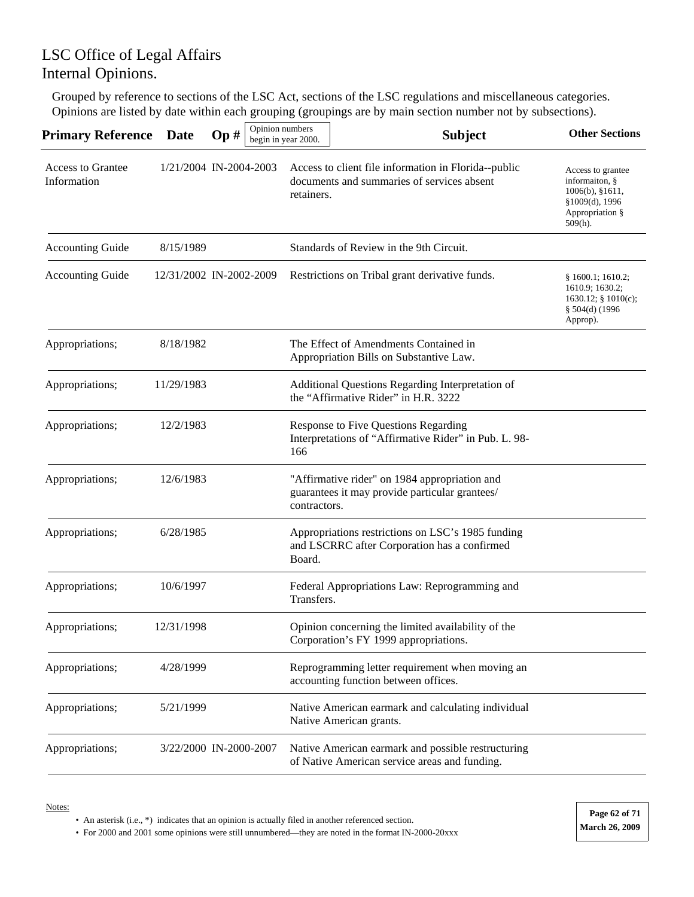Grouped by reference to sections of the LSC Act, sections of the LSC regulations and miscellaneous categories. Opinions are listed by date within each grouping (groupings are by main section number not by subsections).

| <b>Primary Reference</b>                | <b>Date</b> | Op#                     | Opinion numbers<br>begin in year 2000. | <b>Subject</b>                                                                                      | <b>Other Sections</b>                                                                                     |
|-----------------------------------------|-------------|-------------------------|----------------------------------------|-----------------------------------------------------------------------------------------------------|-----------------------------------------------------------------------------------------------------------|
| <b>Access to Grantee</b><br>Information |             | 1/21/2004 IN-2004-2003  | retainers.                             | Access to client file information in Florida--public<br>documents and summaries of services absent  | Access to grantee<br>informaiton, §<br>1006(b), §1611,<br>§1009(d), 1996<br>Appropriation §<br>$509(h)$ . |
| <b>Accounting Guide</b>                 | 8/15/1989   |                         |                                        | Standards of Review in the 9th Circuit.                                                             |                                                                                                           |
| <b>Accounting Guide</b>                 |             | 12/31/2002 IN-2002-2009 |                                        | Restrictions on Tribal grant derivative funds.                                                      | § 1600.1; 1610.2;<br>1610.9; 1630.2;<br>1630.12; § 1010(c);<br>§ 504(d) (1996<br>Approp).                 |
| Appropriations;                         | 8/18/1982   |                         |                                        | The Effect of Amendments Contained in<br>Appropriation Bills on Substantive Law.                    |                                                                                                           |
| Appropriations;                         | 11/29/1983  |                         |                                        | Additional Questions Regarding Interpretation of<br>the "Affirmative Rider" in H.R. 3222            |                                                                                                           |
| Appropriations;                         | 12/2/1983   |                         | 166                                    | Response to Five Questions Regarding<br>Interpretations of "Affirmative Rider" in Pub. L. 98-       |                                                                                                           |
| Appropriations;                         | 12/6/1983   |                         | contractors.                           | "Affirmative rider" on 1984 appropriation and<br>guarantees it may provide particular grantees/     |                                                                                                           |
| Appropriations;                         | 6/28/1985   |                         | Board.                                 | Appropriations restrictions on LSC's 1985 funding<br>and LSCRRC after Corporation has a confirmed   |                                                                                                           |
| Appropriations;                         | 10/6/1997   |                         | Transfers.                             | Federal Appropriations Law: Reprogramming and                                                       |                                                                                                           |
| Appropriations;                         | 12/31/1998  |                         |                                        | Opinion concerning the limited availability of the<br>Corporation's FY 1999 appropriations.         |                                                                                                           |
| Appropriations;                         | 4/28/1999   |                         |                                        | Reprogramming letter requirement when moving an<br>accounting function between offices.             |                                                                                                           |
| Appropriations;                         | 5/21/1999   |                         |                                        | Native American earmark and calculating individual<br>Native American grants.                       |                                                                                                           |
| Appropriations;                         |             | 3/22/2000 IN-2000-2007  |                                        | Native American earmark and possible restructuring<br>of Native American service areas and funding. |                                                                                                           |

Notes:

• An asterisk (i.e., \*) indicates that an opinion is actually filed in another referenced section.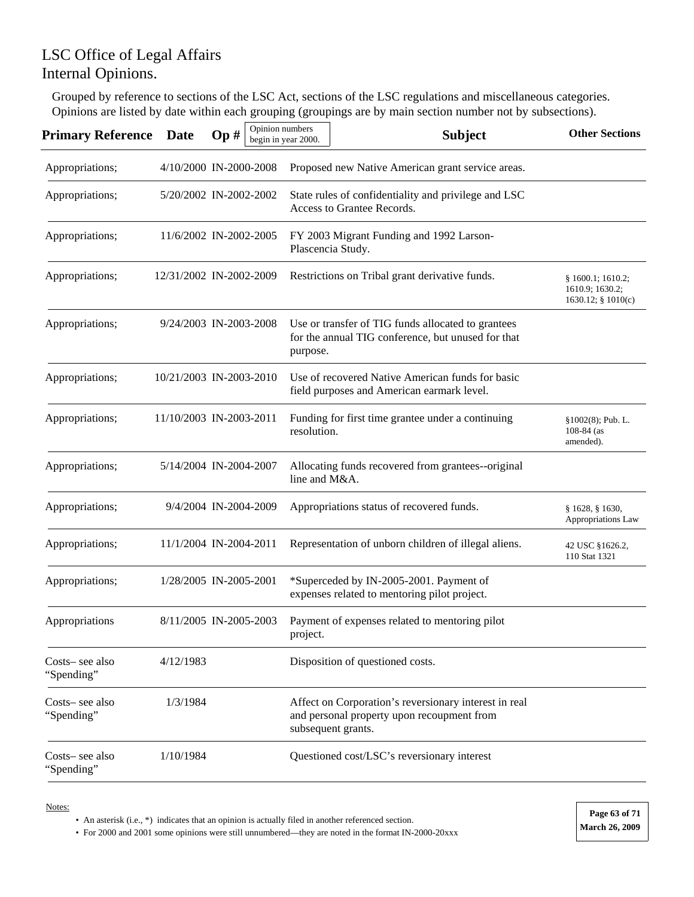Grouped by reference to sections of the LSC Act, sections of the LSC regulations and miscellaneous categories. Opinions are listed by date within each grouping (groupings are by main section number not by subsections).

| <b>Primary Reference</b>      | <b>Date</b>             | Op# | Opinion numbers | begin in year 2000. | <b>Subject</b>                                                                                                            | <b>Other Sections</b>                                      |
|-------------------------------|-------------------------|-----|-----------------|---------------------|---------------------------------------------------------------------------------------------------------------------------|------------------------------------------------------------|
| Appropriations;               | 4/10/2000 IN-2000-2008  |     |                 |                     | Proposed new Native American grant service areas.                                                                         |                                                            |
| Appropriations;               | 5/20/2002 IN-2002-2002  |     |                 |                     | State rules of confidentiality and privilege and LSC<br>Access to Grantee Records.                                        |                                                            |
| Appropriations;               | 11/6/2002 IN-2002-2005  |     |                 |                     | FY 2003 Migrant Funding and 1992 Larson-<br>Plascencia Study.                                                             |                                                            |
| Appropriations;               | 12/31/2002 IN-2002-2009 |     |                 |                     | Restrictions on Tribal grant derivative funds.                                                                            | § 1600.1; 1610.2;<br>1610.9; 1630.2;<br>1630.12; § 1010(c) |
| Appropriations;               | 9/24/2003 IN-2003-2008  |     |                 | purpose.            | Use or transfer of TIG funds allocated to grantees<br>for the annual TIG conference, but unused for that                  |                                                            |
| Appropriations;               | 10/21/2003 IN-2003-2010 |     |                 |                     | Use of recovered Native American funds for basic<br>field purposes and American earmark level.                            |                                                            |
| Appropriations;               | 11/10/2003 IN-2003-2011 |     |                 | resolution.         | Funding for first time grantee under a continuing                                                                         | $§1002(8);$ Pub. L.<br>$108 - 84$ (as<br>amended).         |
| Appropriations;               | 5/14/2004 IN-2004-2007  |     |                 | line and M&A.       | Allocating funds recovered from grantees--original                                                                        |                                                            |
| Appropriations;               | 9/4/2004 IN-2004-2009   |     |                 |                     | Appropriations status of recovered funds.                                                                                 | § 1628, § 1630,<br>Appropriations Law                      |
| Appropriations;               | 11/1/2004 IN-2004-2011  |     |                 |                     | Representation of unborn children of illegal aliens.                                                                      | 42 USC §1626.2,<br>110 Stat 1321                           |
| Appropriations;               | 1/28/2005 IN-2005-2001  |     |                 |                     | *Superceded by IN-2005-2001. Payment of<br>expenses related to mentoring pilot project.                                   |                                                            |
| Appropriations                | 8/11/2005 IN-2005-2003  |     |                 | project.            | Payment of expenses related to mentoring pilot                                                                            |                                                            |
| Costs– see also<br>"Spending" | 4/12/1983               |     |                 |                     | Disposition of questioned costs.                                                                                          |                                                            |
| Costs– see also<br>"Spending" | 1/3/1984                |     |                 |                     | Affect on Corporation's reversionary interest in real<br>and personal property upon recoupment from<br>subsequent grants. |                                                            |
| Costs– see also<br>"Spending" | 1/10/1984               |     |                 |                     | Questioned cost/LSC's reversionary interest                                                                               |                                                            |

Notes:

• An asterisk (i.e., \*) indicates that an opinion is actually filed in another referenced section.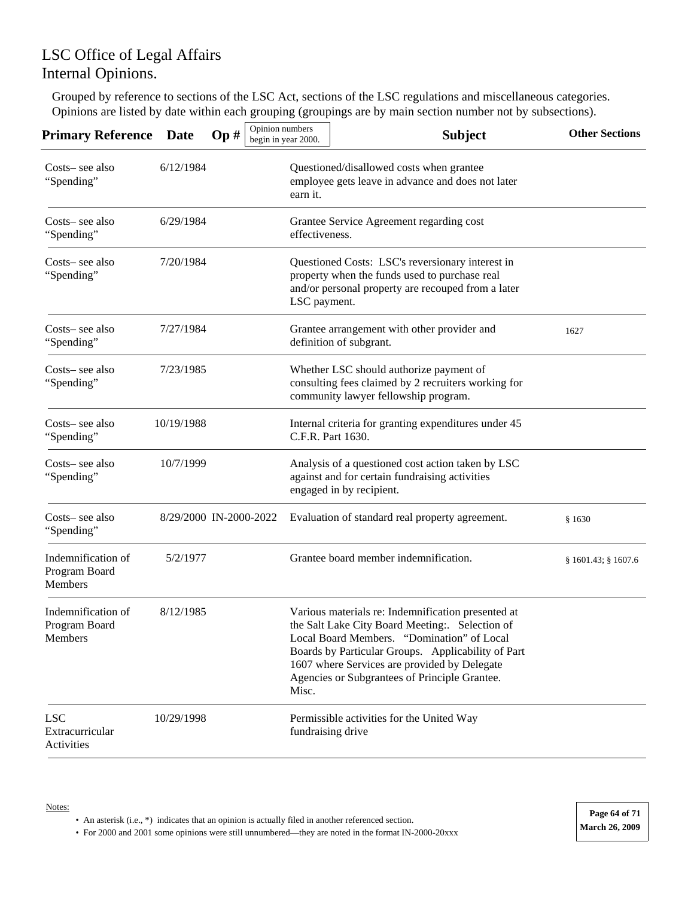Grouped by reference to sections of the LSC Act, sections of the LSC regulations and miscellaneous categories. Opinions are listed by date within each grouping (groupings are by main section number not by subsections).

| Primary Reference                              | <b>Date</b>            | Op# | Opinion numbers<br>begin in year 2000. | <b>Subject</b>                                                                                                                                                                                                                                                                                            | <b>Other Sections</b> |
|------------------------------------------------|------------------------|-----|----------------------------------------|-----------------------------------------------------------------------------------------------------------------------------------------------------------------------------------------------------------------------------------------------------------------------------------------------------------|-----------------------|
| Costs-see also<br>"Spending"                   | 6/12/1984              |     | earn it.                               | Questioned/disallowed costs when grantee<br>employee gets leave in advance and does not later                                                                                                                                                                                                             |                       |
| Costs– see also<br>"Spending"                  | 6/29/1984              |     | effectiveness.                         | Grantee Service Agreement regarding cost                                                                                                                                                                                                                                                                  |                       |
| Costs– see also<br>"Spending"                  | 7/20/1984              |     | LSC payment.                           | Questioned Costs: LSC's reversionary interest in<br>property when the funds used to purchase real<br>and/or personal property are recouped from a later                                                                                                                                                   |                       |
| Costs-see also<br>"Spending"                   | 7/27/1984              |     |                                        | Grantee arrangement with other provider and<br>definition of subgrant.                                                                                                                                                                                                                                    | 1627                  |
| Costs– see also<br>"Spending"                  | 7/23/1985              |     |                                        | Whether LSC should authorize payment of<br>consulting fees claimed by 2 recruiters working for<br>community lawyer fellowship program.                                                                                                                                                                    |                       |
| Costs– see also<br>"Spending"                  | 10/19/1988             |     | C.F.R. Part 1630.                      | Internal criteria for granting expenditures under 45                                                                                                                                                                                                                                                      |                       |
| Costs-see also<br>"Spending"                   | 10/7/1999              |     |                                        | Analysis of a questioned cost action taken by LSC<br>against and for certain fundraising activities<br>engaged in by recipient.                                                                                                                                                                           |                       |
| Costs-see also<br>"Spending"                   | 8/29/2000 IN-2000-2022 |     |                                        | Evaluation of standard real property agreement.                                                                                                                                                                                                                                                           | \$1630                |
| Indemnification of<br>Program Board<br>Members | 5/2/1977               |     |                                        | Grantee board member indemnification.                                                                                                                                                                                                                                                                     | § 1601.43; § 1607.6   |
| Indemnification of<br>Program Board<br>Members | 8/12/1985              |     | Misc.                                  | Various materials re: Indemnification presented at<br>the Salt Lake City Board Meeting: Selection of<br>Local Board Members. "Domination" of Local<br>Boards by Particular Groups. Applicability of Part<br>1607 where Services are provided by Delegate<br>Agencies or Subgrantees of Principle Grantee. |                       |
| <b>LSC</b><br>Extracurricular<br>Activities    | 10/29/1998             |     | fundraising drive                      | Permissible activities for the United Way                                                                                                                                                                                                                                                                 |                       |

Notes:

• An asterisk (i.e., \*) indicates that an opinion is actually filed in another referenced section.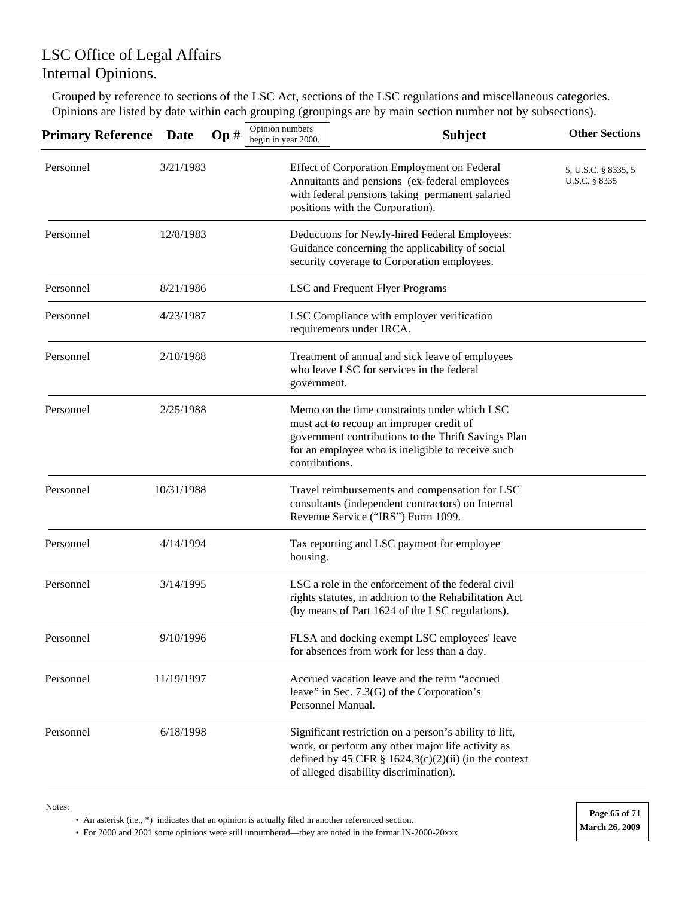Grouped by reference to sections of the LSC Act, sections of the LSC regulations and miscellaneous categories. Opinions are listed by date within each grouping (groupings are by main section number not by subsections).

| <b>Primary Reference</b> | <b>Date</b> | Op# | Opinion numbers<br>begin in year 2000. | <b>Subject</b>                                                                                                                                                                                                   | <b>Other Sections</b>                |
|--------------------------|-------------|-----|----------------------------------------|------------------------------------------------------------------------------------------------------------------------------------------------------------------------------------------------------------------|--------------------------------------|
| Personnel                | 3/21/1983   |     |                                        | Effect of Corporation Employment on Federal<br>Annuitants and pensions (ex-federal employees<br>with federal pensions taking permanent salaried<br>positions with the Corporation).                              | 5, U.S.C. § 8335, 5<br>U.S.C. § 8335 |
| Personnel                | 12/8/1983   |     |                                        | Deductions for Newly-hired Federal Employees:<br>Guidance concerning the applicability of social<br>security coverage to Corporation employees.                                                                  |                                      |
| Personnel                | 8/21/1986   |     |                                        | LSC and Frequent Flyer Programs                                                                                                                                                                                  |                                      |
| Personnel                | 4/23/1987   |     |                                        | LSC Compliance with employer verification<br>requirements under IRCA.                                                                                                                                            |                                      |
| Personnel                | 2/10/1988   |     | government.                            | Treatment of annual and sick leave of employees<br>who leave LSC for services in the federal                                                                                                                     |                                      |
| Personnel                | 2/25/1988   |     | contributions.                         | Memo on the time constraints under which LSC<br>must act to recoup an improper credit of<br>government contributions to the Thrift Savings Plan<br>for an employee who is ineligible to receive such             |                                      |
| Personnel                | 10/31/1988  |     |                                        | Travel reimbursements and compensation for LSC<br>consultants (independent contractors) on Internal<br>Revenue Service ("IRS") Form 1099.                                                                        |                                      |
| Personnel                | 4/14/1994   |     | housing.                               | Tax reporting and LSC payment for employee                                                                                                                                                                       |                                      |
| Personnel                | 3/14/1995   |     |                                        | LSC a role in the enforcement of the federal civil<br>rights statutes, in addition to the Rehabilitation Act<br>(by means of Part 1624 of the LSC regulations).                                                  |                                      |
| Personnel                | 9/10/1996   |     |                                        | FLSA and docking exempt LSC employees' leave<br>for absences from work for less than a day.                                                                                                                      |                                      |
| Personnel                | 11/19/1997  |     |                                        | Accrued vacation leave and the term "accrued<br>leave" in Sec. $7.3(G)$ of the Corporation's<br>Personnel Manual.                                                                                                |                                      |
| Personnel                | 6/18/1998   |     |                                        | Significant restriction on a person's ability to lift,<br>work, or perform any other major life activity as<br>defined by 45 CFR $\S$ 1624.3(c)(2)(ii) (in the context<br>of alleged disability discrimination). |                                      |

Notes:

• An asterisk (i.e., \*) indicates that an opinion is actually filed in another referenced section.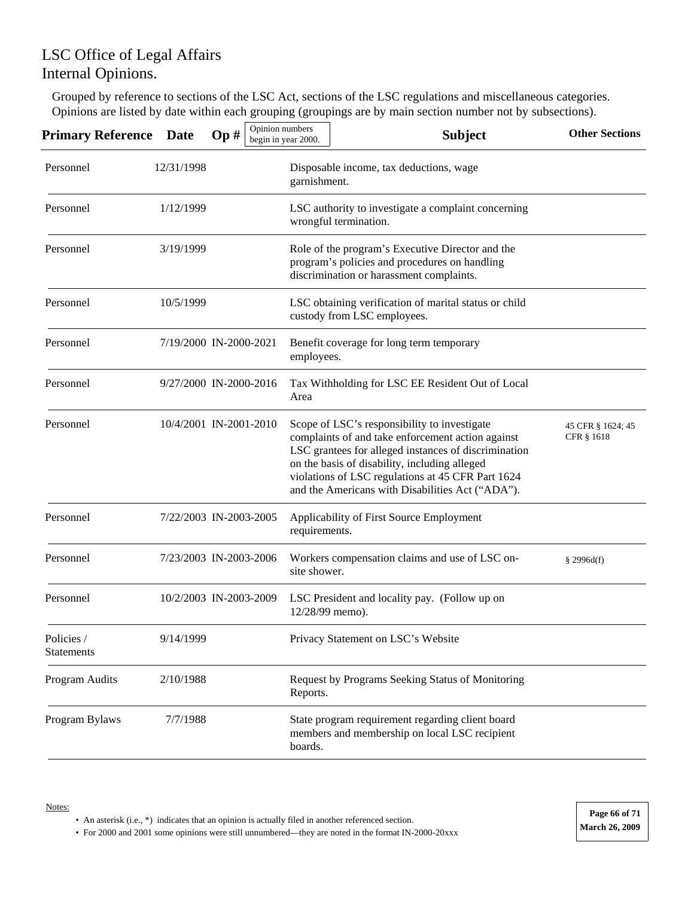Grouped by reference to sections of the LSC Act, sections of the LSC regulations and miscellaneous categories. Opinions are listed by date within each grouping (groupings are by main section number not by subsections).

| <b>Primary Reference</b> | <b>Date</b>            | Op# | Opinion numbers<br>begin in year 2000. |                 | <b>Subject</b>                                                                                                                                                                                                                                                                                                      | <b>Other Sections</b>           |
|--------------------------|------------------------|-----|----------------------------------------|-----------------|---------------------------------------------------------------------------------------------------------------------------------------------------------------------------------------------------------------------------------------------------------------------------------------------------------------------|---------------------------------|
| Personnel                | 12/31/1998             |     |                                        | garnishment.    | Disposable income, tax deductions, wage                                                                                                                                                                                                                                                                             |                                 |
| Personnel                | 1/12/1999              |     |                                        |                 | LSC authority to investigate a complaint concerning<br>wrongful termination.                                                                                                                                                                                                                                        |                                 |
| Personnel                | 3/19/1999              |     |                                        |                 | Role of the program's Executive Director and the<br>program's policies and procedures on handling<br>discrimination or harassment complaints.                                                                                                                                                                       |                                 |
| Personnel                | 10/5/1999              |     |                                        |                 | LSC obtaining verification of marital status or child<br>custody from LSC employees.                                                                                                                                                                                                                                |                                 |
| Personnel                | 7/19/2000 IN-2000-2021 |     |                                        | employees.      | Benefit coverage for long term temporary                                                                                                                                                                                                                                                                            |                                 |
| Personnel                | 9/27/2000 IN-2000-2016 |     |                                        | Area            | Tax Withholding for LSC EE Resident Out of Local                                                                                                                                                                                                                                                                    |                                 |
| Personnel                | 10/4/2001 IN-2001-2010 |     |                                        |                 | Scope of LSC's responsibility to investigate<br>complaints of and take enforcement action against<br>LSC grantees for alleged instances of discrimination<br>on the basis of disability, including alleged<br>violations of LSC regulations at 45 CFR Part 1624<br>and the Americans with Disabilities Act ("ADA"). | 45 CFR § 1624; 45<br>CFR § 1618 |
| Personnel                | 7/22/2003 IN-2003-2005 |     |                                        | requirements.   | Applicability of First Source Employment                                                                                                                                                                                                                                                                            |                                 |
| Personnel                | 7/23/2003 IN-2003-2006 |     |                                        | site shower.    | Workers compensation claims and use of LSC on-                                                                                                                                                                                                                                                                      | \$2996d(f)                      |
| Personnel                | 10/2/2003 IN-2003-2009 |     |                                        | 12/28/99 memo). | LSC President and locality pay. (Follow up on                                                                                                                                                                                                                                                                       |                                 |
| Policies /<br>Statements | 9/14/1999              |     |                                        |                 | Privacy Statement on LSC's Website                                                                                                                                                                                                                                                                                  |                                 |
| Program Audits           | 2/10/1988              |     |                                        | Reports.        | Request by Programs Seeking Status of Monitoring                                                                                                                                                                                                                                                                    |                                 |
| Program Bylaws           | 7/7/1988               |     |                                        | boards.         | State program requirement regarding client board<br>members and membership on local LSC recipient                                                                                                                                                                                                                   |                                 |

<sup>•</sup> An asterisk (i.e., \*) indicates that an opinion is actually filed in another referenced section.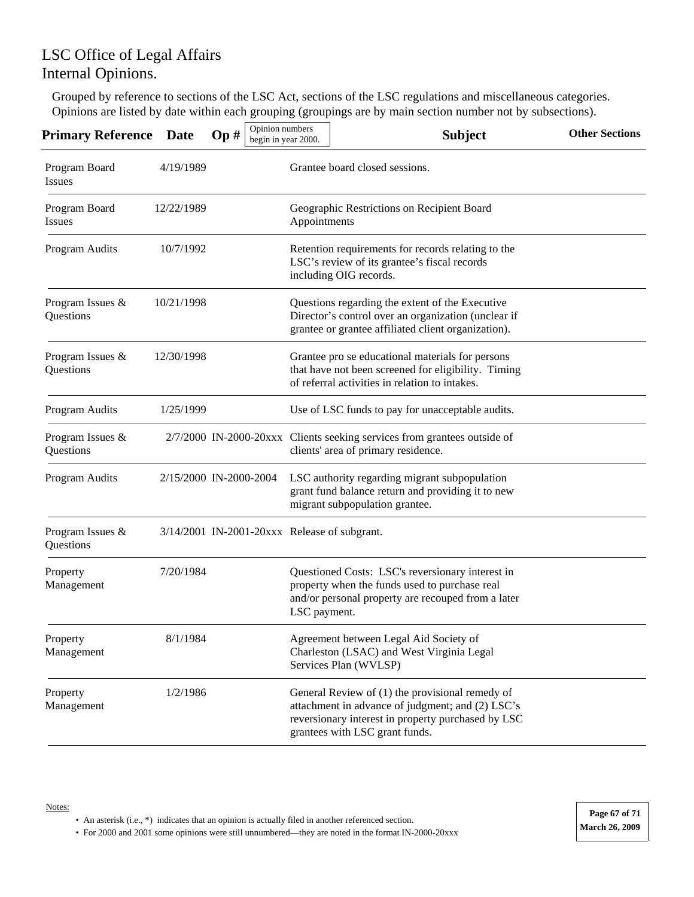Grouped by reference to sections of the LSC Act, sections of the LSC regulations and miscellaneous categories. Opinions are listed by date within each grouping (groupings are by main section number not by subsections).

| <b>Primary Reference</b>       | <b>Date</b> | Opinion numbers<br>Op#                       | begin in year 2000. | <b>Subject</b>                                                                                                                                                                              | <b>Other Sections</b> |
|--------------------------------|-------------|----------------------------------------------|---------------------|---------------------------------------------------------------------------------------------------------------------------------------------------------------------------------------------|-----------------------|
| Program Board<br><b>Issues</b> | 4/19/1989   |                                              |                     | Grantee board closed sessions.                                                                                                                                                              |                       |
| Program Board<br>Issues        | 12/22/1989  |                                              | Appointments        | Geographic Restrictions on Recipient Board                                                                                                                                                  |                       |
| Program Audits                 | 10/7/1992   |                                              |                     | Retention requirements for records relating to the<br>LSC's review of its grantee's fiscal records<br>including OIG records.                                                                |                       |
| Program Issues &<br>Questions  | 10/21/1998  |                                              |                     | Questions regarding the extent of the Executive<br>Director's control over an organization (unclear if<br>grantee or grantee affiliated client organization).                               |                       |
| Program Issues &<br>Questions  | 12/30/1998  |                                              |                     | Grantee pro se educational materials for persons<br>that have not been screened for eligibility. Timing<br>of referral activities in relation to intakes.                                   |                       |
| Program Audits                 | 1/25/1999   |                                              |                     | Use of LSC funds to pay for unacceptable audits.                                                                                                                                            |                       |
| Program Issues &<br>Questions  |             |                                              |                     | 2/7/2000 IN-2000-20xxx Clients seeking services from grantees outside of<br>clients' area of primary residence.                                                                             |                       |
| Program Audits                 |             | 2/15/2000 IN-2000-2004                       |                     | LSC authority regarding migrant subpopulation<br>grant fund balance return and providing it to new<br>migrant subpopulation grantee.                                                        |                       |
| Program Issues &<br>Questions  |             | 3/14/2001 IN-2001-20xxx Release of subgrant. |                     |                                                                                                                                                                                             |                       |
| Property<br>Management         | 7/20/1984   |                                              | LSC payment.        | Questioned Costs: LSC's reversionary interest in<br>property when the funds used to purchase real<br>and/or personal property are recouped from a later                                     |                       |
| Property<br>Management         | 8/1/1984    |                                              |                     | Agreement between Legal Aid Society of<br>Charleston (LSAC) and West Virginia Legal<br>Services Plan (WVLSP)                                                                                |                       |
| Property<br>Management         | 1/2/1986    |                                              |                     | General Review of (1) the provisional remedy of<br>attachment in advance of judgment; and (2) LSC's<br>reversionary interest in property purchased by LSC<br>grantees with LSC grant funds. |                       |

<sup>•</sup> An asterisk (i.e., \*) indicates that an opinion is actually filed in another referenced section.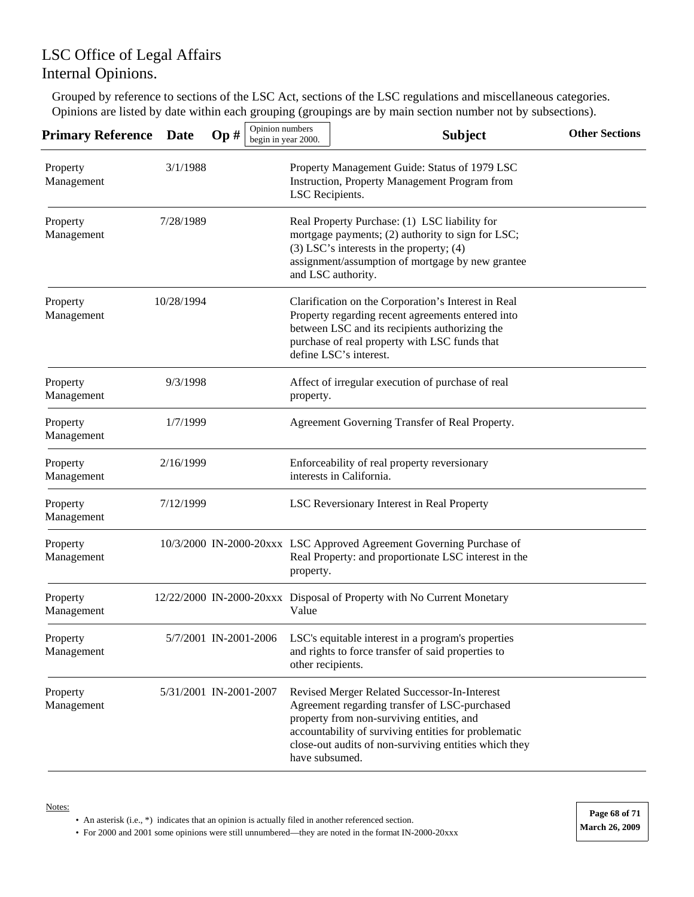Grouped by reference to sections of the LSC Act, sections of the LSC regulations and miscellaneous categories. Opinions are listed by date within each grouping (groupings are by main section number not by subsections).

| Primary Reference      | <b>Date</b> | Opinion numbers<br>Op# | begin in year 2000.                                                                                                                                                                                                          | <b>Subject</b>                                                                                                                                                                                                                                              | <b>Other Sections</b> |  |  |  |
|------------------------|-------------|------------------------|------------------------------------------------------------------------------------------------------------------------------------------------------------------------------------------------------------------------------|-------------------------------------------------------------------------------------------------------------------------------------------------------------------------------------------------------------------------------------------------------------|-----------------------|--|--|--|
| Property<br>Management | 3/1/1988    |                        | LSC Recipients.                                                                                                                                                                                                              | Property Management Guide: Status of 1979 LSC<br>Instruction, Property Management Program from                                                                                                                                                              |                       |  |  |  |
| Property<br>Management | 7/28/1989   |                        | Real Property Purchase: (1) LSC liability for<br>mortgage payments; (2) authority to sign for LSC;<br>$(3)$ LSC's interests in the property; $(4)$<br>assignment/assumption of mortgage by new grantee<br>and LSC authority. |                                                                                                                                                                                                                                                             |                       |  |  |  |
| Property<br>Management | 10/28/1994  |                        |                                                                                                                                                                                                                              | Clarification on the Corporation's Interest in Real<br>Property regarding recent agreements entered into<br>between LSC and its recipients authorizing the<br>purchase of real property with LSC funds that<br>define LSC's interest.                       |                       |  |  |  |
| Property<br>Management | 9/3/1998    |                        | property.                                                                                                                                                                                                                    | Affect of irregular execution of purchase of real                                                                                                                                                                                                           |                       |  |  |  |
| Property<br>Management | 1/7/1999    |                        |                                                                                                                                                                                                                              | Agreement Governing Transfer of Real Property.                                                                                                                                                                                                              |                       |  |  |  |
| Property<br>Management | 2/16/1999   |                        |                                                                                                                                                                                                                              | Enforceability of real property reversionary<br>interests in California.                                                                                                                                                                                    |                       |  |  |  |
| Property<br>Management | 7/12/1999   |                        |                                                                                                                                                                                                                              | LSC Reversionary Interest in Real Property                                                                                                                                                                                                                  |                       |  |  |  |
| Property<br>Management |             |                        | property.                                                                                                                                                                                                                    | 10/3/2000 IN-2000-20xxx LSC Approved Agreement Governing Purchase of<br>Real Property: and proportionate LSC interest in the                                                                                                                                |                       |  |  |  |
| Property<br>Management |             |                        | Value                                                                                                                                                                                                                        | 12/22/2000 IN-2000-20xxx Disposal of Property with No Current Monetary                                                                                                                                                                                      |                       |  |  |  |
| Property<br>Management |             | 5/7/2001 IN-2001-2006  | other recipients.                                                                                                                                                                                                            | LSC's equitable interest in a program's properties<br>and rights to force transfer of said properties to                                                                                                                                                    |                       |  |  |  |
| Property<br>Management |             | 5/31/2001 IN-2001-2007 | have subsumed.                                                                                                                                                                                                               | Revised Merger Related Successor-In-Interest<br>Agreement regarding transfer of LSC-purchased<br>property from non-surviving entities, and<br>accountability of surviving entities for problematic<br>close-out audits of non-surviving entities which they |                       |  |  |  |

#### Notes:

• An asterisk (i.e., \*) indicates that an opinion is actually filed in another referenced section.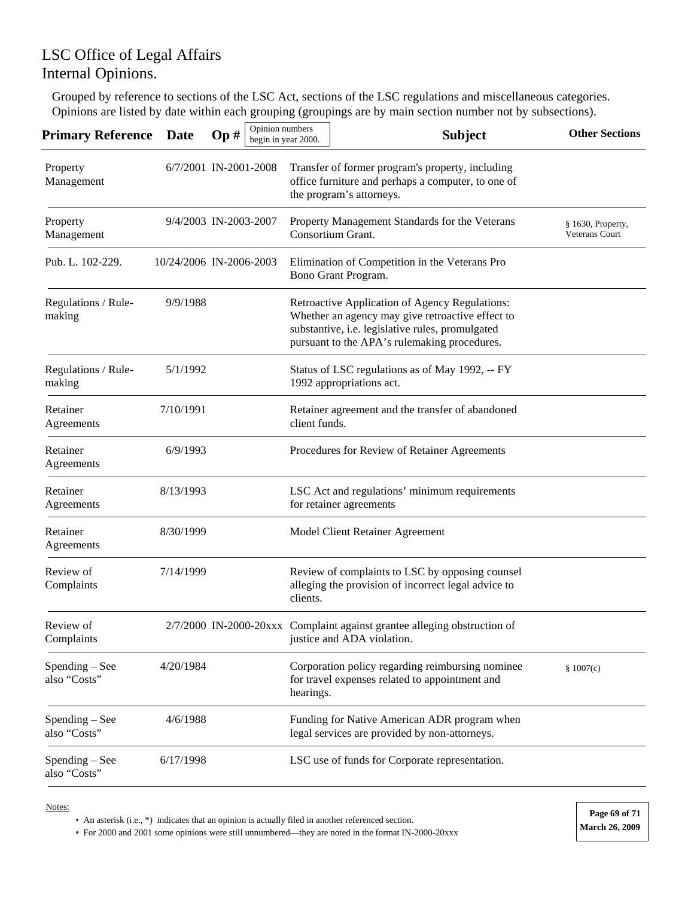Grouped by reference to sections of the LSC Act, sections of the LSC regulations and miscellaneous categories. Opinions are listed by date within each grouping (groupings are by main section number not by subsections).

| <b>Primary Reference</b>       | <b>Date</b>             | Op# | Opinion numbers<br>begin in year 2000. |                                                                          | <b>Subject</b>                                                                                                                                                                                         | <b>Other Sections</b>               |  |
|--------------------------------|-------------------------|-----|----------------------------------------|--------------------------------------------------------------------------|--------------------------------------------------------------------------------------------------------------------------------------------------------------------------------------------------------|-------------------------------------|--|
| Property<br>Management         | 6/7/2001 IN-2001-2008   |     |                                        |                                                                          | Transfer of former program's property, including<br>office furniture and perhaps a computer, to one of<br>the program's attorneys.                                                                     |                                     |  |
| Property<br>Management         | 9/4/2003 IN-2003-2007   |     |                                        |                                                                          | Property Management Standards for the Veterans<br>Consortium Grant.                                                                                                                                    | § 1630, Property,<br>Veterans Court |  |
| Pub. L. 102-229.               | 10/24/2006 IN-2006-2003 |     |                                        |                                                                          | Elimination of Competition in the Veterans Pro<br>Bono Grant Program.                                                                                                                                  |                                     |  |
| Regulations / Rule-<br>making  | 9/9/1988                |     |                                        |                                                                          | Retroactive Application of Agency Regulations:<br>Whether an agency may give retroactive effect to<br>substantive, i.e. legislative rules, promulgated<br>pursuant to the APA's rulemaking procedures. |                                     |  |
| Regulations / Rule-<br>making  | 5/1/1992                |     |                                        |                                                                          | Status of LSC regulations as of May 1992, -- FY<br>1992 appropriations act.                                                                                                                            |                                     |  |
| Retainer<br>Agreements         | 7/10/1991               |     |                                        | Retainer agreement and the transfer of abandoned<br>client funds.        |                                                                                                                                                                                                        |                                     |  |
| Retainer<br>Agreements         | 6/9/1993                |     |                                        |                                                                          | Procedures for Review of Retainer Agreements                                                                                                                                                           |                                     |  |
| Retainer<br>Agreements         | 8/13/1993               |     |                                        | LSC Act and regulations' minimum requirements<br>for retainer agreements |                                                                                                                                                                                                        |                                     |  |
| Retainer<br>Agreements         | 8/30/1999               |     |                                        |                                                                          | Model Client Retainer Agreement                                                                                                                                                                        |                                     |  |
| Review of<br>Complaints        | 7/14/1999               |     |                                        | clients.                                                                 | Review of complaints to LSC by opposing counsel<br>alleging the provision of incorrect legal advice to                                                                                                 |                                     |  |
| Review of<br>Complaints        |                         |     |                                        |                                                                          | 2/7/2000 IN-2000-20xxx Complaint against grantee alleging obstruction of<br>justice and ADA violation.                                                                                                 |                                     |  |
| Spending – See<br>also "Costs" | 4/20/1984               |     |                                        | hearings.                                                                | Corporation policy regarding reimbursing nominee<br>for travel expenses related to appointment and                                                                                                     | \$1007(c)                           |  |
| Spending – See<br>also "Costs" | 4/6/1988                |     |                                        |                                                                          | Funding for Native American ADR program when<br>legal services are provided by non-attorneys.                                                                                                          |                                     |  |
| Spending – See<br>also "Costs" | 6/17/1998               |     |                                        |                                                                          | LSC use of funds for Corporate representation.                                                                                                                                                         |                                     |  |

Notes:

• An asterisk (i.e., \*) indicates that an opinion is actually filed in another referenced section.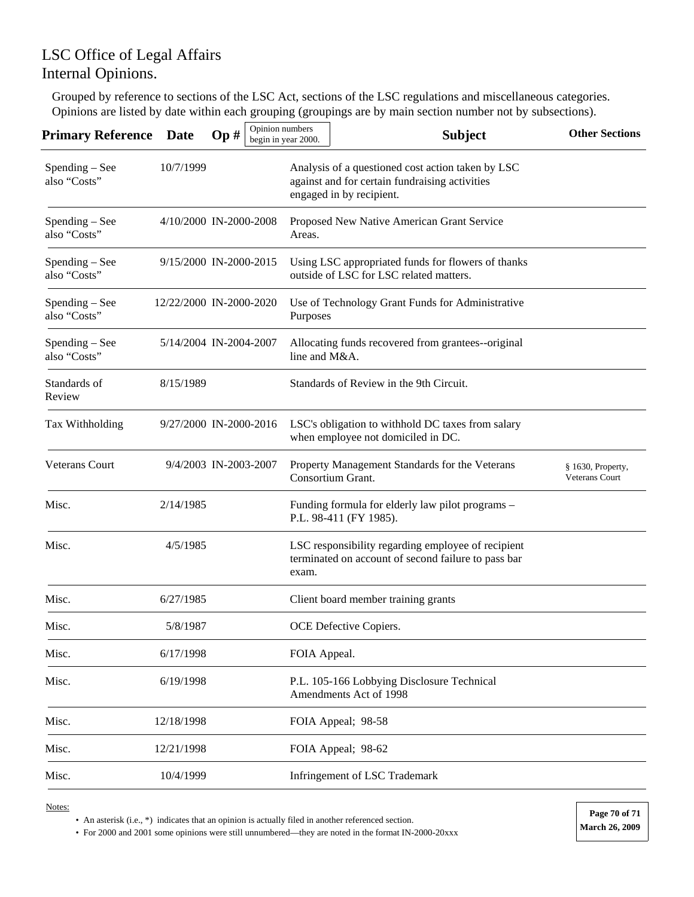## LSC Office of Legal Affairs Internal Opinions.

Grouped by reference to sections of the LSC Act, sections of the LSC regulations and miscellaneous categories. Opinions are listed by date within each grouping (groupings are by main section number not by subsections).

| <b>Primary Reference</b>       | Date                    | Op# | Opinion numbers | begin in year 2000. | <b>Subject</b>                                                                                                                  | <b>Other Sections</b>               |
|--------------------------------|-------------------------|-----|-----------------|---------------------|---------------------------------------------------------------------------------------------------------------------------------|-------------------------------------|
| Spending – See<br>also "Costs" | 10/7/1999               |     |                 |                     | Analysis of a questioned cost action taken by LSC<br>against and for certain fundraising activities<br>engaged in by recipient. |                                     |
| Spending - See<br>also "Costs" | 4/10/2000 IN-2000-2008  |     |                 | Areas.              | Proposed New Native American Grant Service                                                                                      |                                     |
| Spending – See<br>also "Costs" | 9/15/2000 IN-2000-2015  |     |                 |                     | Using LSC appropriated funds for flowers of thanks<br>outside of LSC for LSC related matters.                                   |                                     |
| Spending – See<br>also "Costs" | 12/22/2000 IN-2000-2020 |     |                 | Purposes            | Use of Technology Grant Funds for Administrative                                                                                |                                     |
| Spending – See<br>also "Costs" | 5/14/2004 IN-2004-2007  |     |                 | line and M&A.       | Allocating funds recovered from grantees--original                                                                              |                                     |
| Standards of<br>Review         | 8/15/1989               |     |                 |                     | Standards of Review in the 9th Circuit.                                                                                         |                                     |
| Tax Withholding                | 9/27/2000 IN-2000-2016  |     |                 |                     | LSC's obligation to withhold DC taxes from salary<br>when employee not domiciled in DC.                                         |                                     |
| <b>Veterans Court</b>          | 9/4/2003 IN-2003-2007   |     |                 |                     | Property Management Standards for the Veterans<br>Consortium Grant.                                                             | § 1630, Property,<br>Veterans Court |
| Misc.                          | 2/14/1985               |     |                 |                     | Funding formula for elderly law pilot programs -<br>P.L. 98-411 (FY 1985).                                                      |                                     |
| Misc.                          | 4/5/1985                |     |                 | exam.               | LSC responsibility regarding employee of recipient<br>terminated on account of second failure to pass bar                       |                                     |
| Misc.                          | 6/27/1985               |     |                 |                     | Client board member training grants                                                                                             |                                     |
| Misc.                          | 5/8/1987                |     |                 |                     | OCE Defective Copiers.                                                                                                          |                                     |
| Misc.                          | 6/17/1998               |     |                 | FOIA Appeal.        |                                                                                                                                 |                                     |
| Misc.                          | 6/19/1998               |     |                 |                     | P.L. 105-166 Lobbying Disclosure Technical<br>Amendments Act of 1998                                                            |                                     |
| Misc.                          | 12/18/1998              |     |                 |                     | FOIA Appeal; 98-58                                                                                                              |                                     |
| Misc.                          | 12/21/1998              |     |                 |                     | FOIA Appeal; 98-62                                                                                                              |                                     |
| Misc.                          | 10/4/1999               |     |                 |                     | Infringement of LSC Trademark                                                                                                   |                                     |

Notes:

• An asterisk (i.e., \*) indicates that an opinion is actually filed in another referenced section.

• For 2000 and 2001 some opinions were still unnumbered—they are noted in the format IN-2000-20xxx **March 26, 2009**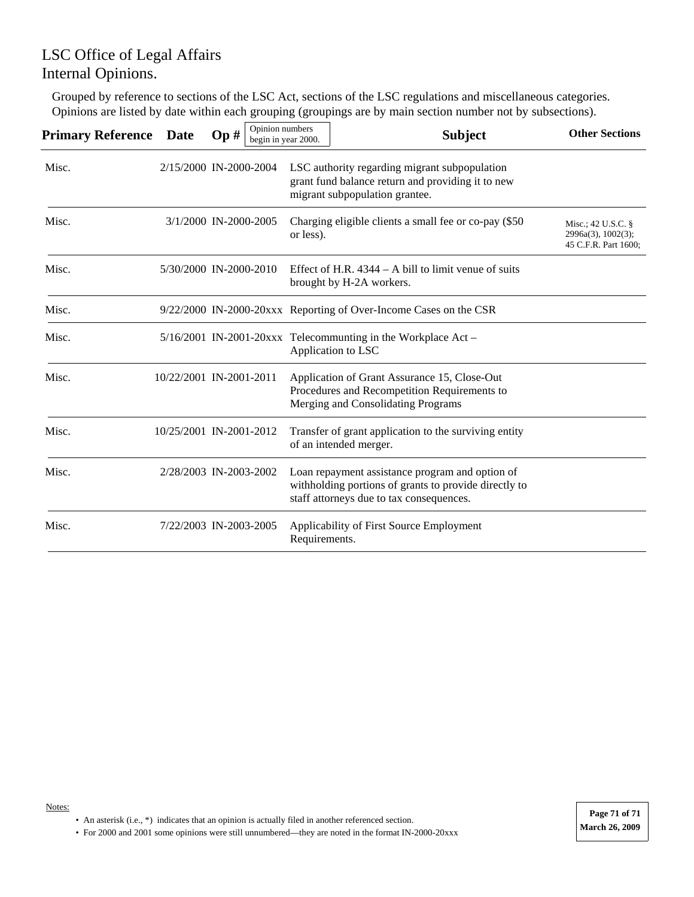## LSC Office of Legal Affairs Internal Opinions.

Grouped by reference to sections of the LSC Act, sections of the LSC regulations and miscellaneous categories. Opinions are listed by date within each grouping (groupings are by main section number not by subsections).

| <b>Primary Reference</b> | <b>Date</b> | Op#                     | Opinion numbers<br>begin in year 2000. | <b>Subject</b>                                                                                                                                       | <b>Other Sections</b>                                               |
|--------------------------|-------------|-------------------------|----------------------------------------|------------------------------------------------------------------------------------------------------------------------------------------------------|---------------------------------------------------------------------|
| Misc.                    |             | 2/15/2000 IN-2000-2004  |                                        | LSC authority regarding migrant subpopulation<br>grant fund balance return and providing it to new<br>migrant subpopulation grantee.                 |                                                                     |
| Misc.                    |             | 3/1/2000 IN-2000-2005   | or less).                              | Charging eligible clients a small fee or co-pay (\$50)                                                                                               | Misc.; 42 U.S.C. $\S$<br>2996a(3), 1002(3);<br>45 C.F.R. Part 1600; |
| Misc.                    |             | 5/30/2000 IN-2000-2010  |                                        | Effect of H.R. $4344 - A$ bill to limit venue of suits<br>brought by H-2A workers.                                                                   |                                                                     |
| Misc.                    |             |                         |                                        | 9/22/2000 IN-2000-20xxx Reporting of Over-Income Cases on the CSR                                                                                    |                                                                     |
| Misc.                    |             |                         |                                        | $5/16/2001$ IN-2001-20xxx Telecommunting in the Workplace Act -<br>Application to LSC                                                                |                                                                     |
| Misc.                    |             | 10/22/2001 IN-2001-2011 |                                        | Application of Grant Assurance 15, Close-Out<br>Procedures and Recompetition Requirements to<br>Merging and Consolidating Programs                   |                                                                     |
| Misc.                    |             | 10/25/2001 IN-2001-2012 |                                        | Transfer of grant application to the surviving entity<br>of an intended merger.                                                                      |                                                                     |
| Misc.                    |             | 2/28/2003 IN-2003-2002  |                                        | Loan repayment assistance program and option of<br>withholding portions of grants to provide directly to<br>staff attorneys due to tax consequences. |                                                                     |
| Misc.                    |             | 7/22/2003 IN-2003-2005  | Requirements.                          | Applicability of First Source Employment                                                                                                             |                                                                     |

• An asterisk (i.e., \*) indicates that an opinion is actually filed in another referenced section.

• For 2000 and 2001 some opinions were still unnumbered—they are noted in the format IN-2000-20xxx **March 26, 2009**